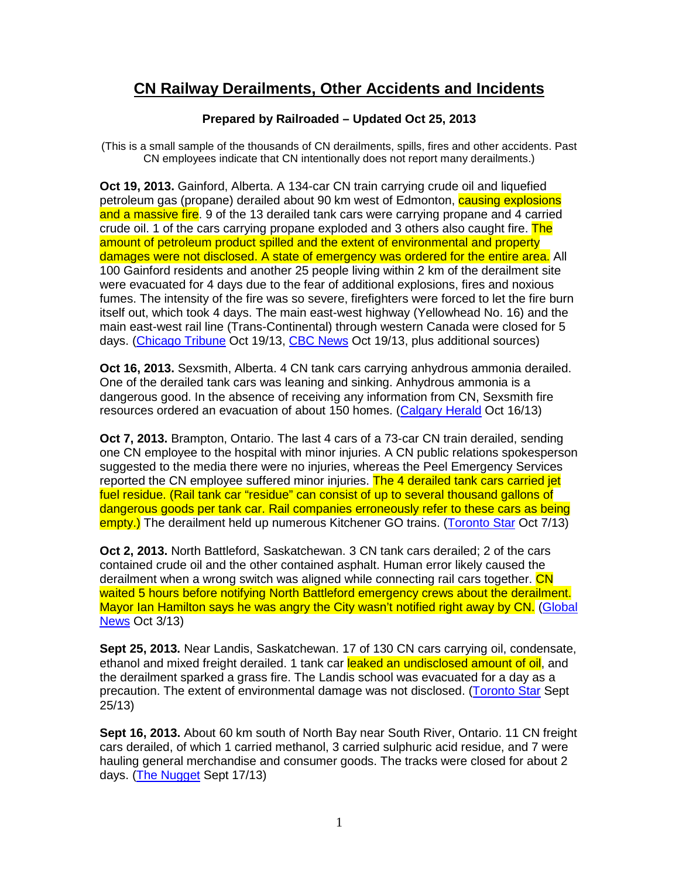## **CN Railway Derailments, Other Accidents and Incidents**

## **Prepared by Railroaded – Updated Oct 25, 2013**

(This is a small sample of the thousands of CN derailments, spills, fires and other accidents. Past CN employees indicate that CN intentionally does not report many derailments.)

**Oct 19, 2013.** Gainford, Alberta. A 134-car CN train carrying crude oil and liquefied petroleum gas (propane) derailed about 90 km west of Edmonton, causing explosions and a massive fire. 9 of the 13 derailed tank cars were carrying propane and 4 carried crude oil. 1 of the cars carrying propane exploded and 3 others also caught fire. The amount of petroleum product spilled and the extent of environmental and property damages were not disclosed. A state of emergency was ordered for the entire area. All 100 Gainford residents and another 25 people living within 2 km of the derailment site were evacuated for 4 days due to the fear of additional explosions, fires and noxious fumes. The intensity of the fire was so severe, firefighters were forced to let the fire burn itself out, which took 4 days. The main east-west highway (Yellowhead No. 16) and the main east-west rail line (Trans-Continental) through western Canada were closed for 5 days. (Chicago Tribune Oct 19/13, CBC News Oct 19/13, plus additional sources)

**Oct 16, 2013.** Sexsmith, Alberta. 4 CN tank cars carrying anhydrous ammonia derailed. One of the derailed tank cars was leaning and sinking. Anhydrous ammonia is a dangerous good. In the absence of receiving any information from CN, Sexsmith fire resources ordered an evacuation of about 150 homes. (Calgary Herald Oct 16/13)

**Oct 7, 2013.** Brampton, Ontario. The last 4 cars of a 73-car CN train derailed, sending one CN employee to the hospital with minor injuries. A CN public relations spokesperson suggested to the media there were no injuries, whereas the Peel Emergency Services reported the CN employee suffered minor injuries. The 4 derailed tank cars carried jet fuel residue. (Rail tank car "residue" can consist of up to several thousand gallons of dangerous goods per tank car. Rail companies erroneously refer to these cars as being empty.) The derailment held up numerous Kitchener GO trains. (Toronto Star Oct 7/13)

**Oct 2, 2013.** North Battleford, Saskatchewan. 3 CN tank cars derailed; 2 of the cars contained crude oil and the other contained asphalt. Human error likely caused the derailment when a wrong switch was aligned while connecting rail cars together. CN waited 5 hours before notifying North Battleford emergency crews about the derailment. Mayor Ian Hamilton says he was angry the City wasn't notified right away by CN. (Global News Oct 3/13)

**Sept 25, 2013.** Near Landis, Saskatchewan. 17 of 130 CN cars carrying oil, condensate, ethanol and mixed freight derailed. 1 tank car leaked an undisclosed amount of oil, and the derailment sparked a grass fire. The Landis school was evacuated for a day as a precaution. The extent of environmental damage was not disclosed. (Toronto Star Sept 25/13)

**Sept 16, 2013.** About 60 km south of North Bay near South River, Ontario. 11 CN freight cars derailed, of which 1 carried methanol, 3 carried sulphuric acid residue, and 7 were hauling general merchandise and consumer goods. The tracks were closed for about 2 days. (The Nugget Sept 17/13)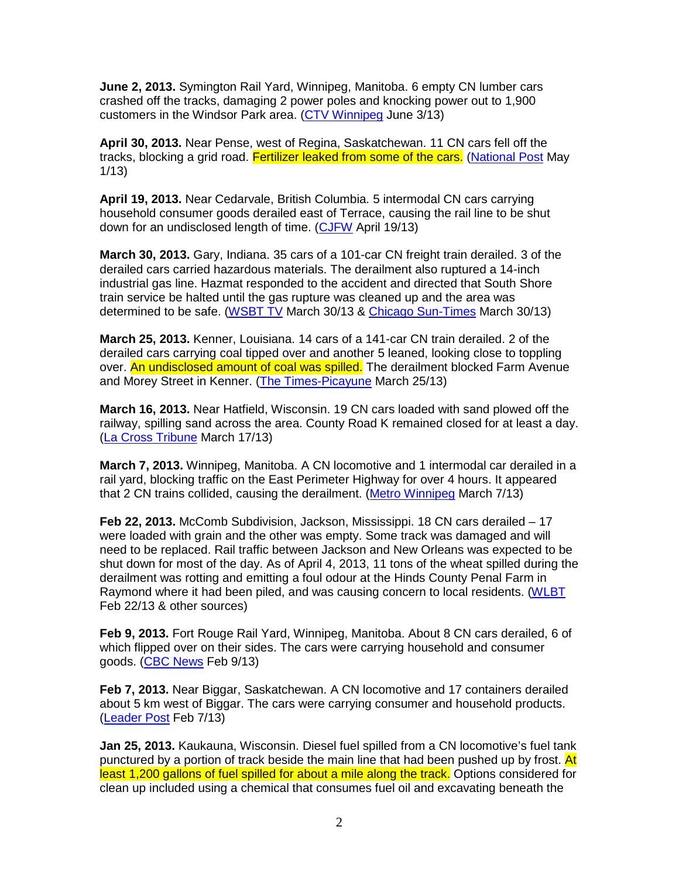**June 2, 2013.** Symington Rail Yard, Winnipeg, Manitoba. 6 empty CN lumber cars crashed off the tracks, damaging 2 power poles and knocking power out to 1,900 customers in the Windsor Park area. (CTV Winnipeg June 3/13)

**April 30, 2013.** Near Pense, west of Regina, Saskatchewan. 11 CN cars fell off the tracks, blocking a grid road. Fertilizer leaked from some of the cars. (National Post May 1/13)

**April 19, 2013.** Near Cedarvale, British Columbia. 5 intermodal CN cars carrying household consumer goods derailed east of Terrace, causing the rail line to be shut down for an undisclosed length of time. (CJFW April 19/13)

**March 30, 2013.** Gary, Indiana. 35 cars of a 101-car CN freight train derailed. 3 of the derailed cars carried hazardous materials. The derailment also ruptured a 14-inch industrial gas line. Hazmat responded to the accident and directed that South Shore train service be halted until the gas rupture was cleaned up and the area was determined to be safe. (WSBT TV March 30/13 & Chicago Sun-Times March 30/13)

**March 25, 2013.** Kenner, Louisiana. 14 cars of a 141-car CN train derailed. 2 of the derailed cars carrying coal tipped over and another 5 leaned, looking close to toppling over. An undisclosed amount of coal was spilled. The derailment blocked Farm Avenue and Morey Street in Kenner. (The Times-Picayune March 25/13)

**March 16, 2013.** Near Hatfield, Wisconsin. 19 CN cars loaded with sand plowed off the railway, spilling sand across the area. County Road K remained closed for at least a day. (La Cross Tribune March 17/13)

**March 7, 2013.** Winnipeg, Manitoba. A CN locomotive and 1 intermodal car derailed in a rail yard, blocking traffic on the East Perimeter Highway for over 4 hours. It appeared that 2 CN trains collided, causing the derailment. (Metro Winnipeg March 7/13)

**Feb 22, 2013.** McComb Subdivision, Jackson, Mississippi. 18 CN cars derailed – 17 were loaded with grain and the other was empty. Some track was damaged and will need to be replaced. Rail traffic between Jackson and New Orleans was expected to be shut down for most of the day. As of April 4, 2013, 11 tons of the wheat spilled during the derailment was rotting and emitting a foul odour at the Hinds County Penal Farm in Raymond where it had been piled, and was causing concern to local residents. (WLBT Feb 22/13 & other sources)

**Feb 9, 2013.** Fort Rouge Rail Yard, Winnipeg, Manitoba. About 8 CN cars derailed, 6 of which flipped over on their sides. The cars were carrying household and consumer goods. (CBC News Feb 9/13)

**Feb 7, 2013.** Near Biggar, Saskatchewan. A CN locomotive and 17 containers derailed about 5 km west of Biggar. The cars were carrying consumer and household products. (Leader Post Feb 7/13)

**Jan 25, 2013.** Kaukauna, Wisconsin. Diesel fuel spilled from a CN locomotive's fuel tank punctured by a portion of track beside the main line that had been pushed up by frost. At least 1,200 gallons of fuel spilled for about a mile along the track. Options considered for clean up included using a chemical that consumes fuel oil and excavating beneath the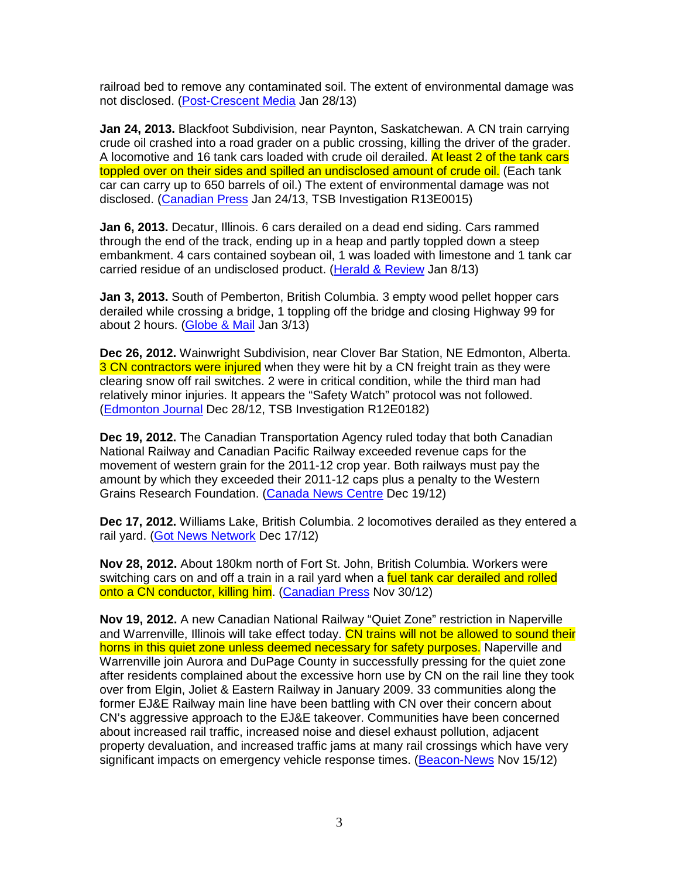railroad bed to remove any contaminated soil. The extent of environmental damage was not disclosed. (Post-Crescent Media Jan 28/13)

**Jan 24, 2013.** Blackfoot Subdivision, near Paynton, Saskatchewan. A CN train carrying crude oil crashed into a road grader on a public crossing, killing the driver of the grader. A locomotive and 16 tank cars loaded with crude oil derailed. At least 2 of the tank cars toppled over on their sides and spilled an undisclosed amount of crude oil. (Each tank car can carry up to 650 barrels of oil.) The extent of environmental damage was not disclosed. (Canadian Press Jan 24/13, TSB Investigation R13E0015)

**Jan 6, 2013.** Decatur, Illinois. 6 cars derailed on a dead end siding. Cars rammed through the end of the track, ending up in a heap and partly toppled down a steep embankment. 4 cars contained soybean oil, 1 was loaded with limestone and 1 tank car carried residue of an undisclosed product. (Herald & Review Jan 8/13)

**Jan 3, 2013.** South of Pemberton, British Columbia. 3 empty wood pellet hopper cars derailed while crossing a bridge, 1 toppling off the bridge and closing Highway 99 for about 2 hours. (Globe & Mail Jan 3/13)

**Dec 26, 2012.** Wainwright Subdivision, near Clover Bar Station, NE Edmonton, Alberta. 3 CN contractors were injured when they were hit by a CN freight train as they were clearing snow off rail switches. 2 were in critical condition, while the third man had relatively minor injuries. It appears the "Safety Watch" protocol was not followed. (Edmonton Journal Dec 28/12, TSB Investigation R12E0182)

**Dec 19, 2012.** The Canadian Transportation Agency ruled today that both Canadian National Railway and Canadian Pacific Railway exceeded revenue caps for the movement of western grain for the 2011-12 crop year. Both railways must pay the amount by which they exceeded their 2011-12 caps plus a penalty to the Western Grains Research Foundation. (Canada News Centre Dec 19/12)

**Dec 17, 2012.** Williams Lake, British Columbia. 2 locomotives derailed as they entered a rail yard. (Got News Network Dec 17/12)

**Nov 28, 2012.** About 180km north of Fort St. John, British Columbia. Workers were switching cars on and off a train in a rail yard when a fuel tank car derailed and rolled onto a CN conductor, killing him. (Canadian Press Nov 30/12)

**Nov 19, 2012.** A new Canadian National Railway "Quiet Zone" restriction in Naperville and Warrenville, Illinois will take effect today. CN trains will not be allowed to sound their horns in this quiet zone unless deemed necessary for safety purposes. Naperville and Warrenville join Aurora and DuPage County in successfully pressing for the quiet zone after residents complained about the excessive horn use by CN on the rail line they took over from Elgin, Joliet & Eastern Railway in January 2009. 33 communities along the former EJ&E Railway main line have been battling with CN over their concern about CN's aggressive approach to the EJ&E takeover. Communities have been concerned about increased rail traffic, increased noise and diesel exhaust pollution, adjacent property devaluation, and increased traffic jams at many rail crossings which have very significant impacts on emergency vehicle response times. (Beacon-News Nov 15/12)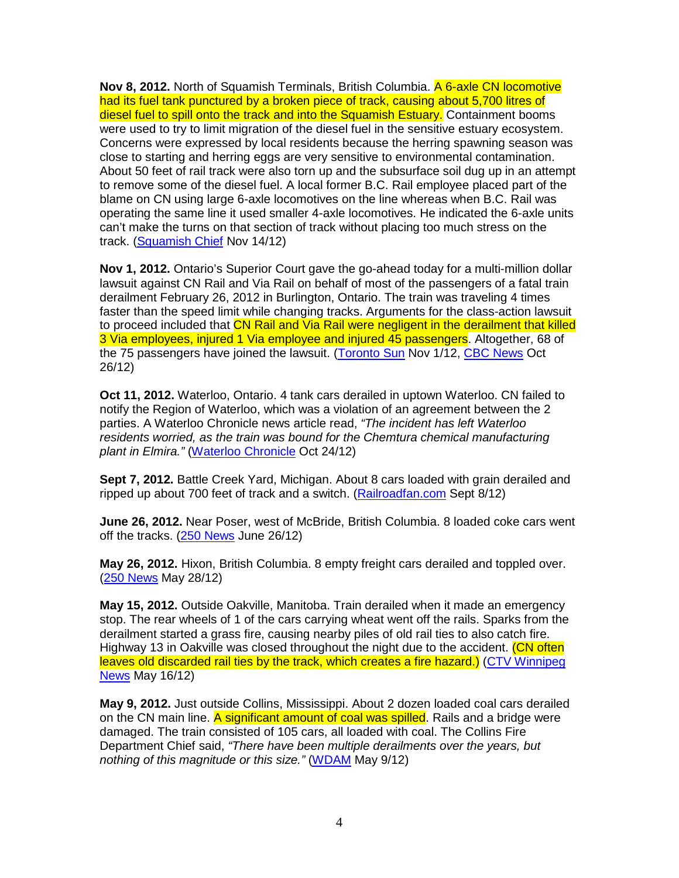**Nov 8, 2012.** North of Squamish Terminals, British Columbia. A 6-axle CN locomotive had its fuel tank punctured by a broken piece of track, causing about 5,700 litres of diesel fuel to spill onto the track and into the Squamish Estuary. Containment booms were used to try to limit migration of the diesel fuel in the sensitive estuary ecosystem. Concerns were expressed by local residents because the herring spawning season was close to starting and herring eggs are very sensitive to environmental contamination. About 50 feet of rail track were also torn up and the subsurface soil dug up in an attempt to remove some of the diesel fuel. A local former B.C. Rail employee placed part of the blame on CN using large 6-axle locomotives on the line whereas when B.C. Rail was operating the same line it used smaller 4-axle locomotives. He indicated the 6-axle units can't make the turns on that section of track without placing too much stress on the track. (Squamish Chief Nov 14/12)

**Nov 1, 2012.** Ontario's Superior Court gave the go-ahead today for a multi-million dollar lawsuit against CN Rail and Via Rail on behalf of most of the passengers of a fatal train derailment February 26, 2012 in Burlington, Ontario. The train was traveling 4 times faster than the speed limit while changing tracks. Arguments for the class-action lawsuit to proceed included that CN Rail and Via Rail were negligent in the derailment that killed 3 Via employees, injured 1 Via employee and injured 45 passengers. Altogether, 68 of the 75 passengers have joined the lawsuit. (Toronto Sun Nov 1/12, CBC News Oct 26/12)

**Oct 11, 2012.** Waterloo, Ontario. 4 tank cars derailed in uptown Waterloo. CN failed to notify the Region of Waterloo, which was a violation of an agreement between the 2 parties. A Waterloo Chronicle news article read, "The incident has left Waterloo residents worried, as the train was bound for the Chemtura chemical manufacturing plant in Elmira." (Waterloo Chronicle Oct 24/12)

**Sept 7, 2012.** Battle Creek Yard, Michigan. About 8 cars loaded with grain derailed and ripped up about 700 feet of track and a switch. (Railroadfan.com Sept 8/12)

**June 26, 2012.** Near Poser, west of McBride, British Columbia. 8 loaded coke cars went off the tracks. (250 News June 26/12)

**May 26, 2012.** Hixon, British Columbia. 8 empty freight cars derailed and toppled over. (250 News May 28/12)

**May 15, 2012.** Outside Oakville, Manitoba. Train derailed when it made an emergency stop. The rear wheels of 1 of the cars carrying wheat went off the rails. Sparks from the derailment started a grass fire, causing nearby piles of old rail ties to also catch fire. Highway 13 in Oakville was closed throughout the night due to the accident. (CN often leaves old discarded rail ties by the track, which creates a fire hazard.) (CTV Winnipeg News May 16/12)

**May 9, 2012.** Just outside Collins, Mississippi. About 2 dozen loaded coal cars derailed on the CN main line. A significant amount of coal was spilled. Rails and a bridge were damaged. The train consisted of 105 cars, all loaded with coal. The Collins Fire Department Chief said, "There have been multiple derailments over the years, but nothing of this magnitude or this size." (WDAM May 9/12)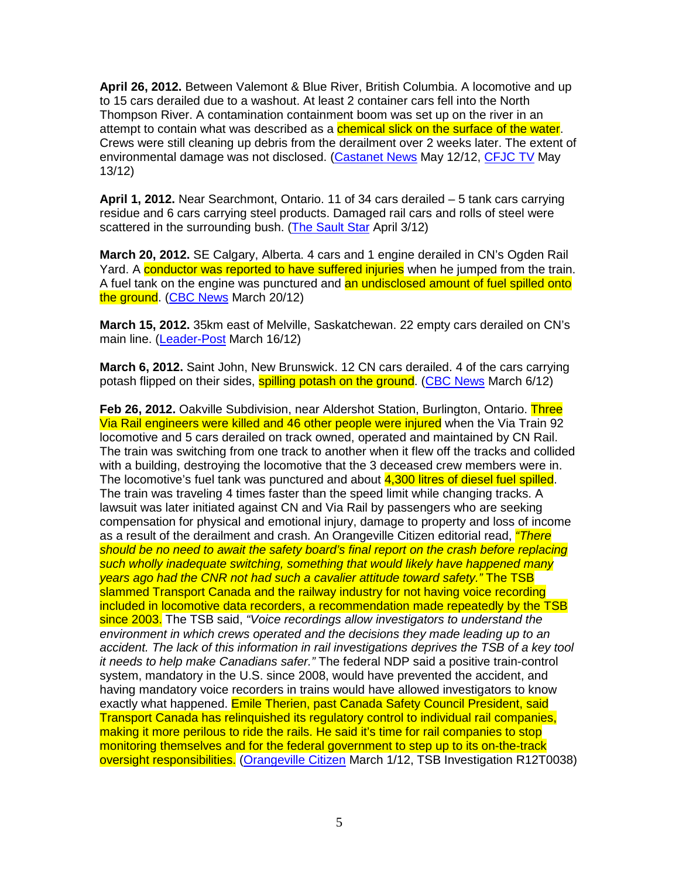**April 26, 2012.** Between Valemont & Blue River, British Columbia. A locomotive and up to 15 cars derailed due to a washout. At least 2 container cars fell into the North Thompson River. A contamination containment boom was set up on the river in an attempt to contain what was described as a **chemical slick on the surface of the water**. Crews were still cleaning up debris from the derailment over 2 weeks later. The extent of environmental damage was not disclosed. (Castanet News May 12/12, CFJC TV May 13/12)

**April 1, 2012.** Near Searchmont, Ontario. 11 of 34 cars derailed – 5 tank cars carrying residue and 6 cars carrying steel products. Damaged rail cars and rolls of steel were scattered in the surrounding bush. (The Sault Star April 3/12)

**March 20, 2012.** SE Calgary, Alberta. 4 cars and 1 engine derailed in CN's Ogden Rail Yard. A conductor was reported to have suffered injuries when he jumped from the train. A fuel tank on the engine was punctured and an undisclosed amount of fuel spilled onto the ground. (CBC News March 20/12)

**March 15, 2012.** 35km east of Melville, Saskatchewan. 22 empty cars derailed on CN's main line. (Leader-Post March 16/12)

**March 6, 2012.** Saint John, New Brunswick. 12 CN cars derailed. 4 of the cars carrying potash flipped on their sides, **spilling potash on the ground.** (CBC News March 6/12)

**Feb 26, 2012.** Oakville Subdivision, near Aldershot Station, Burlington, Ontario. Three Via Rail engineers were killed and 46 other people were injured when the Via Train 92 locomotive and 5 cars derailed on track owned, operated and maintained by CN Rail. The train was switching from one track to another when it flew off the tracks and collided with a building, destroying the locomotive that the 3 deceased crew members were in. The locomotive's fuel tank was punctured and about 4,300 litres of diesel fuel spilled. The train was traveling 4 times faster than the speed limit while changing tracks. A lawsuit was later initiated against CN and Via Rail by passengers who are seeking compensation for physical and emotional injury, damage to property and loss of income as a result of the derailment and crash. An Orangeville Citizen editorial read, *"There* should be no need to await the safety board's final report on the crash before replacing such wholly inadequate switching, something that would likely have happened many years ago had the CNR not had such a cavalier attitude toward safety." The TSB slammed Transport Canada and the railway industry for not having voice recording included in locomotive data recorders, a recommendation made repeatedly by the TSB since 2003. The TSB said, "Voice recordings allow investigators to understand the environment in which crews operated and the decisions they made leading up to an accident. The lack of this information in rail investigations deprives the TSB of a key tool it needs to help make Canadians safer." The federal NDP said a positive train-control system, mandatory in the U.S. since 2008, would have prevented the accident, and having mandatory voice recorders in trains would have allowed investigators to know exactly what happened. Emile Therien, past Canada Safety Council President, said Transport Canada has relinquished its regulatory control to individual rail companies, making it more perilous to ride the rails. He said it's time for rail companies to stop monitoring themselves and for the federal government to step up to its on-the-track oversight responsibilities. (Orangeville Citizen March 1/12, TSB Investigation R12T0038)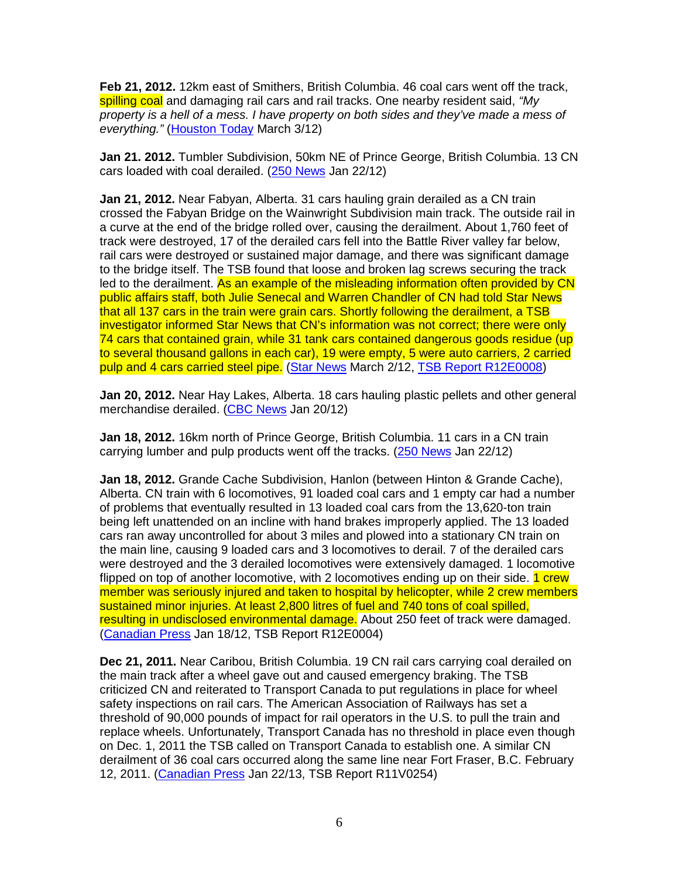**Feb 21, 2012.** 12km east of Smithers, British Columbia. 46 coal cars went off the track, spilling coal and damaging rail cars and rail tracks. One nearby resident said, "My property is a hell of a mess. I have property on both sides and they've made a mess of everything." (Houston Today March 3/12)

**Jan 21. 2012.** Tumbler Subdivision, 50km NE of Prince George, British Columbia. 13 CN cars loaded with coal derailed. (250 News Jan 22/12)

**Jan 21, 2012.** Near Fabyan, Alberta. 31 cars hauling grain derailed as a CN train crossed the Fabyan Bridge on the Wainwright Subdivision main track. The outside rail in a curve at the end of the bridge rolled over, causing the derailment. About 1,760 feet of track were destroyed, 17 of the derailed cars fell into the Battle River valley far below, rail cars were destroyed or sustained major damage, and there was significant damage to the bridge itself. The TSB found that loose and broken lag screws securing the track led to the derailment. As an example of the misleading information often provided by CN public affairs staff, both Julie Senecal and Warren Chandler of CN had told Star News that all 137 cars in the train were grain cars. Shortly following the derailment, a TSB investigator informed Star News that CN's information was not correct; there were only 74 cars that contained grain, while 31 tank cars contained dangerous goods residue (up to several thousand gallons in each car), 19 were empty, 5 were auto carriers, 2 carried pulp and 4 cars carried steel pipe. (Star News March 2/12, TSB Report R12E0008)

**Jan 20, 2012.** Near Hay Lakes, Alberta. 18 cars hauling plastic pellets and other general merchandise derailed. (CBC News Jan 20/12)

**Jan 18, 2012.** 16km north of Prince George, British Columbia. 11 cars in a CN train carrying lumber and pulp products went off the tracks. (250 News Jan 22/12)

**Jan 18, 2012.** Grande Cache Subdivision, Hanlon (between Hinton & Grande Cache), Alberta. CN train with 6 locomotives, 91 loaded coal cars and 1 empty car had a number of problems that eventually resulted in 13 loaded coal cars from the 13,620-ton train being left unattended on an incline with hand brakes improperly applied. The 13 loaded cars ran away uncontrolled for about 3 miles and plowed into a stationary CN train on the main line, causing 9 loaded cars and 3 locomotives to derail. 7 of the derailed cars were destroyed and the 3 derailed locomotives were extensively damaged. 1 locomotive flipped on top of another locomotive, with 2 locomotives ending up on their side. **1 crew** member was seriously injured and taken to hospital by helicopter, while 2 crew members sustained minor injuries. At least 2,800 litres of fuel and 740 tons of coal spilled, resulting in undisclosed environmental damage. About 250 feet of track were damaged. (Canadian Press Jan 18/12, TSB Report R12E0004)

**Dec 21, 2011.** Near Caribou, British Columbia. 19 CN rail cars carrying coal derailed on the main track after a wheel gave out and caused emergency braking. The TSB criticized CN and reiterated to Transport Canada to put regulations in place for wheel safety inspections on rail cars. The American Association of Railways has set a threshold of 90,000 pounds of impact for rail operators in the U.S. to pull the train and replace wheels. Unfortunately, Transport Canada has no threshold in place even though on Dec. 1, 2011 the TSB called on Transport Canada to establish one. A similar CN derailment of 36 coal cars occurred along the same line near Fort Fraser, B.C. February 12, 2011. (Canadian Press Jan 22/13, TSB Report R11V0254)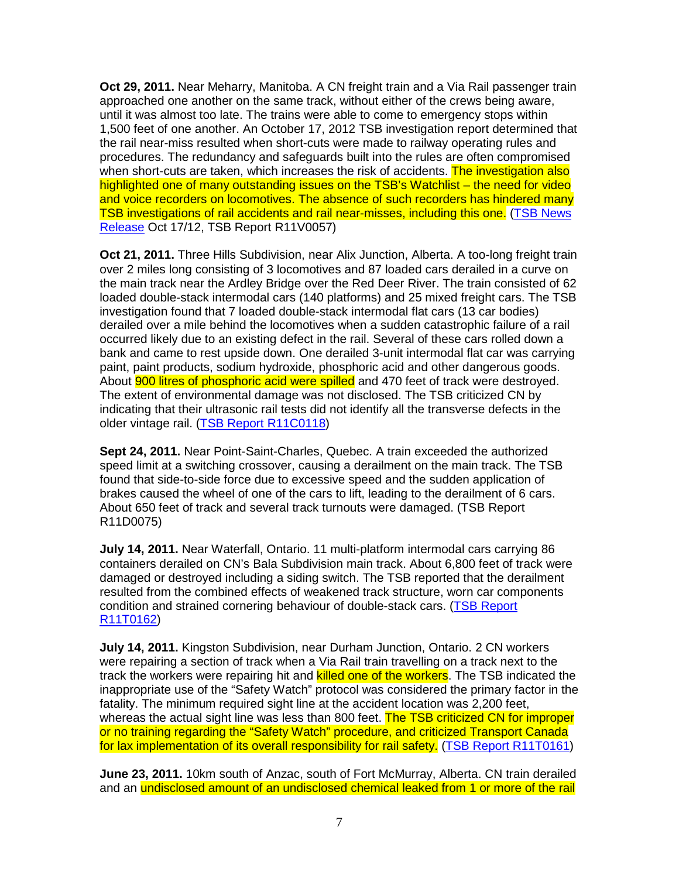**Oct 29, 2011.** Near Meharry, Manitoba. A CN freight train and a Via Rail passenger train approached one another on the same track, without either of the crews being aware, until it was almost too late. The trains were able to come to emergency stops within 1,500 feet of one another. An October 17, 2012 TSB investigation report determined that the rail near-miss resulted when short-cuts were made to railway operating rules and procedures. The redundancy and safeguards built into the rules are often compromised when short-cuts are taken, which increases the risk of accidents. The investigation also highlighted one of many outstanding issues on the TSB's Watchlist – the need for video and voice recorders on locomotives. The absence of such recorders has hindered many TSB investigations of rail accidents and rail near-misses, including this one. (TSB News Release Oct 17/12, TSB Report R11V0057)

**Oct 21, 2011.** Three Hills Subdivision, near Alix Junction, Alberta. A too-long freight train over 2 miles long consisting of 3 locomotives and 87 loaded cars derailed in a curve on the main track near the Ardley Bridge over the Red Deer River. The train consisted of 62 loaded double-stack intermodal cars (140 platforms) and 25 mixed freight cars. The TSB investigation found that 7 loaded double-stack intermodal flat cars (13 car bodies) derailed over a mile behind the locomotives when a sudden catastrophic failure of a rail occurred likely due to an existing defect in the rail. Several of these cars rolled down a bank and came to rest upside down. One derailed 3-unit intermodal flat car was carrying paint, paint products, sodium hydroxide, phosphoric acid and other dangerous goods. About **900 litres of phosphoric acid were spilled** and 470 feet of track were destroyed. The extent of environmental damage was not disclosed. The TSB criticized CN by indicating that their ultrasonic rail tests did not identify all the transverse defects in the older vintage rail. (TSB Report R11C0118)

**Sept 24, 2011.** Near Point-Saint-Charles, Quebec. A train exceeded the authorized speed limit at a switching crossover, causing a derailment on the main track. The TSB found that side-to-side force due to excessive speed and the sudden application of brakes caused the wheel of one of the cars to lift, leading to the derailment of 6 cars. About 650 feet of track and several track turnouts were damaged. (TSB Report R11D0075)

**July 14, 2011.** Near Waterfall, Ontario. 11 multi-platform intermodal cars carrying 86 containers derailed on CN's Bala Subdivision main track. About 6,800 feet of track were damaged or destroyed including a siding switch. The TSB reported that the derailment resulted from the combined effects of weakened track structure, worn car components condition and strained cornering behaviour of double-stack cars. (TSB Report R11T0162)

**July 14, 2011.** Kingston Subdivision, near Durham Junction, Ontario. 2 CN workers were repairing a section of track when a Via Rail train travelling on a track next to the track the workers were repairing hit and **killed one of the workers**. The TSB indicated the inappropriate use of the "Safety Watch" protocol was considered the primary factor in the fatality. The minimum required sight line at the accident location was 2,200 feet, whereas the actual sight line was less than 800 feet. The TSB criticized CN for improper or no training regarding the "Safety Watch" procedure, and criticized Transport Canada for lax implementation of its overall responsibility for rail safety. (TSB Report R11T0161)

**June 23, 2011.** 10km south of Anzac, south of Fort McMurray, Alberta. CN train derailed and an undisclosed amount of an undisclosed chemical leaked from 1 or more of the rail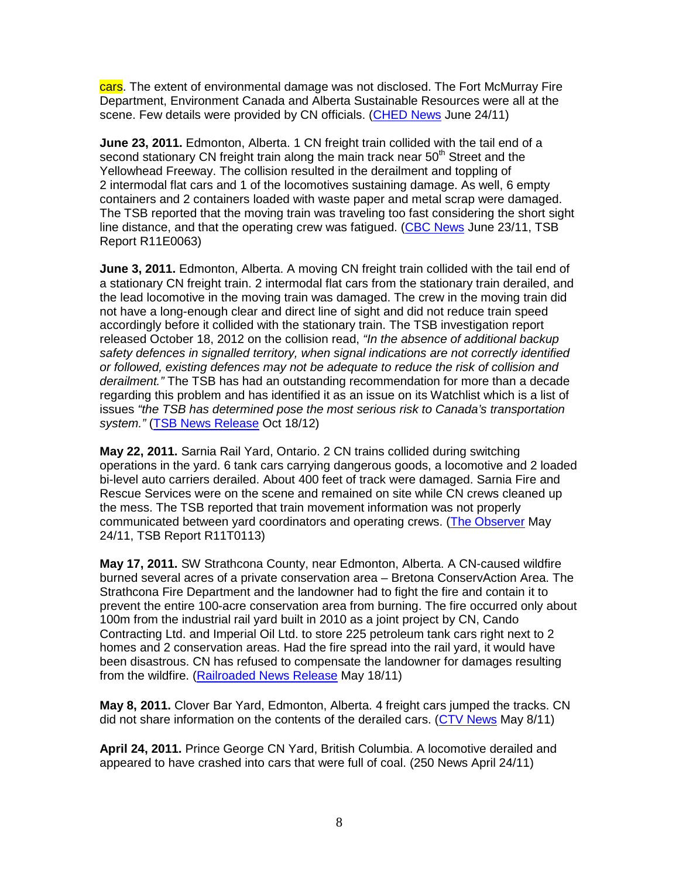cars. The extent of environmental damage was not disclosed. The Fort McMurray Fire Department, Environment Canada and Alberta Sustainable Resources were all at the scene. Few details were provided by CN officials. (CHED News June 24/11)

**June 23, 2011.** Edmonton, Alberta. 1 CN freight train collided with the tail end of a second stationary CN freight train along the main track near 50<sup>th</sup> Street and the Yellowhead Freeway. The collision resulted in the derailment and toppling of 2 intermodal flat cars and 1 of the locomotives sustaining damage. As well, 6 empty containers and 2 containers loaded with waste paper and metal scrap were damaged. The TSB reported that the moving train was traveling too fast considering the short sight line distance, and that the operating crew was fatigued. (CBC News June 23/11, TSB Report R11E0063)

**June 3, 2011.** Edmonton, Alberta. A moving CN freight train collided with the tail end of a stationary CN freight train. 2 intermodal flat cars from the stationary train derailed, and the lead locomotive in the moving train was damaged. The crew in the moving train did not have a long-enough clear and direct line of sight and did not reduce train speed accordingly before it collided with the stationary train. The TSB investigation report released October 18, 2012 on the collision read, "In the absence of additional backup safety defences in signalled territory, when signal indications are not correctly identified or followed, existing defences may not be adequate to reduce the risk of collision and derailment." The TSB has had an outstanding recommendation for more than a decade regarding this problem and has identified it as an issue on its Watchlist which is a list of issues "the TSB has determined pose the most serious risk to Canada's transportation system." (TSB News Release Oct 18/12)

**May 22, 2011.** Sarnia Rail Yard, Ontario. 2 CN trains collided during switching operations in the yard. 6 tank cars carrying dangerous goods, a locomotive and 2 loaded bi-level auto carriers derailed. About 400 feet of track were damaged. Sarnia Fire and Rescue Services were on the scene and remained on site while CN crews cleaned up the mess. The TSB reported that train movement information was not properly communicated between yard coordinators and operating crews. (The Observer May 24/11, TSB Report R11T0113)

**May 17, 2011.** SW Strathcona County, near Edmonton, Alberta. A CN-caused wildfire burned several acres of a private conservation area – Bretona ConservAction Area. The Strathcona Fire Department and the landowner had to fight the fire and contain it to prevent the entire 100-acre conservation area from burning. The fire occurred only about 100m from the industrial rail yard built in 2010 as a joint project by CN, Cando Contracting Ltd. and Imperial Oil Ltd. to store 225 petroleum tank cars right next to 2 homes and 2 conservation areas. Had the fire spread into the rail yard, it would have been disastrous. CN has refused to compensate the landowner for damages resulting from the wildfire. (Railroaded News Release May 18/11)

**May 8, 2011.** Clover Bar Yard, Edmonton, Alberta. 4 freight cars jumped the tracks. CN did not share information on the contents of the derailed cars. (CTV News May 8/11)

**April 24, 2011.** Prince George CN Yard, British Columbia. A locomotive derailed and appeared to have crashed into cars that were full of coal. (250 News April 24/11)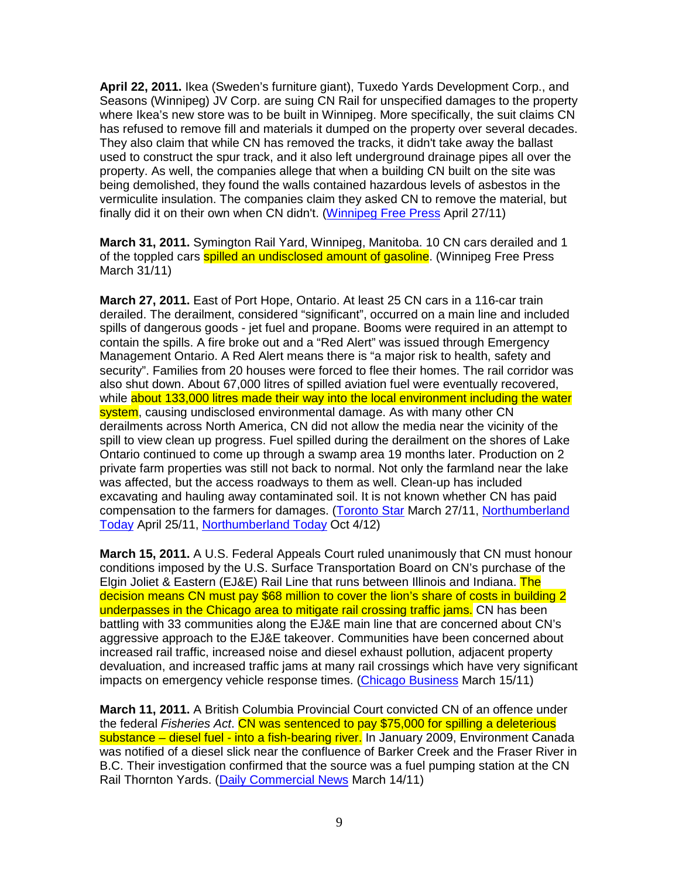**April 22, 2011.** Ikea (Sweden's furniture giant), Tuxedo Yards Development Corp., and Seasons (Winnipeg) JV Corp. are suing CN Rail for unspecified damages to the property where Ikea's new store was to be built in Winnipeg. More specifically, the suit claims CN has refused to remove fill and materials it dumped on the property over several decades. They also claim that while CN has removed the tracks, it didn't take away the ballast used to construct the spur track, and it also left underground drainage pipes all over the property. As well, the companies allege that when a building CN built on the site was being demolished, they found the walls contained hazardous levels of asbestos in the vermiculite insulation. The companies claim they asked CN to remove the material, but finally did it on their own when CN didn't. (Winnipeg Free Press April 27/11)

**March 31, 2011.** Symington Rail Yard, Winnipeg, Manitoba. 10 CN cars derailed and 1 of the toppled cars **spilled an undisclosed amount of gasoline**. (Winnipeg Free Press March 31/11)

**March 27, 2011.** East of Port Hope, Ontario. At least 25 CN cars in a 116-car train derailed. The derailment, considered "significant", occurred on a main line and included spills of dangerous goods - jet fuel and propane. Booms were required in an attempt to contain the spills. A fire broke out and a "Red Alert" was issued through Emergency Management Ontario. A Red Alert means there is "a major risk to health, safety and security". Families from 20 houses were forced to flee their homes. The rail corridor was also shut down. About 67,000 litres of spilled aviation fuel were eventually recovered, while about 133,000 litres made their way into the local environment including the water system, causing undisclosed environmental damage. As with many other CN derailments across North America, CN did not allow the media near the vicinity of the spill to view clean up progress. Fuel spilled during the derailment on the shores of Lake Ontario continued to come up through a swamp area 19 months later. Production on 2 private farm properties was still not back to normal. Not only the farmland near the lake was affected, but the access roadways to them as well. Clean-up has included excavating and hauling away contaminated soil. It is not known whether CN has paid compensation to the farmers for damages. (Toronto Star March 27/11, Northumberland Today April 25/11, Northumberland Today Oct 4/12)

**March 15, 2011.** A U.S. Federal Appeals Court ruled unanimously that CN must honour conditions imposed by the U.S. Surface Transportation Board on CN's purchase of the Elgin Joliet & Eastern (EJ&E) Rail Line that runs between Illinois and Indiana. The decision means CN must pay \$68 million to cover the lion's share of costs in building 2 underpasses in the Chicago area to mitigate rail crossing traffic jams. CN has been battling with 33 communities along the EJ&E main line that are concerned about CN's aggressive approach to the EJ&E takeover. Communities have been concerned about increased rail traffic, increased noise and diesel exhaust pollution, adjacent property devaluation, and increased traffic jams at many rail crossings which have very significant impacts on emergency vehicle response times. (Chicago Business March 15/11)

**March 11, 2011.** A British Columbia Provincial Court convicted CN of an offence under the federal Fisheries Act. CN was sentenced to pay \$75,000 for spilling a deleterious substance – diesel fuel - into a fish-bearing river. In January 2009, Environment Canada was notified of a diesel slick near the confluence of Barker Creek and the Fraser River in B.C. Their investigation confirmed that the source was a fuel pumping station at the CN Rail Thornton Yards. (Daily Commercial News March 14/11)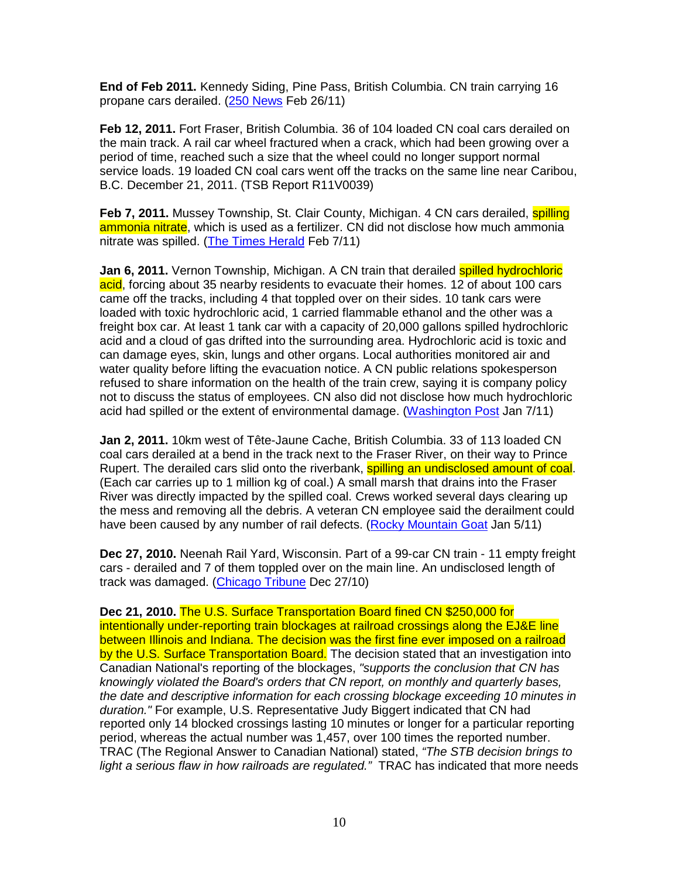**End of Feb 2011.** Kennedy Siding, Pine Pass, British Columbia. CN train carrying 16 propane cars derailed. (250 News Feb 26/11)

**Feb 12, 2011.** Fort Fraser, British Columbia. 36 of 104 loaded CN coal cars derailed on the main track. A rail car wheel fractured when a crack, which had been growing over a period of time, reached such a size that the wheel could no longer support normal service loads. 19 loaded CN coal cars went off the tracks on the same line near Caribou, B.C. December 21, 2011. (TSB Report R11V0039)

**Feb 7, 2011.** Mussey Township, St. Clair County, Michigan. 4 CN cars derailed, **spilling** ammonia nitrate, which is used as a fertilizer. CN did not disclose how much ammonia nitrate was spilled. (The Times Herald Feb 7/11)

**Jan 6, 2011.** Vernon Township, Michigan. A CN train that derailed spilled hydrochloric acid, forcing about 35 nearby residents to evacuate their homes. 12 of about 100 cars came off the tracks, including 4 that toppled over on their sides. 10 tank cars were loaded with toxic hydrochloric acid, 1 carried flammable ethanol and the other was a freight box car. At least 1 tank car with a capacity of 20,000 gallons spilled hydrochloric acid and a cloud of gas drifted into the surrounding area. Hydrochloric acid is toxic and can damage eyes, skin, lungs and other organs. Local authorities monitored air and water quality before lifting the evacuation notice. A CN public relations spokesperson refused to share information on the health of the train crew, saying it is company policy not to discuss the status of employees. CN also did not disclose how much hydrochloric acid had spilled or the extent of environmental damage. (Washington Post Jan 7/11)

**Jan 2, 2011.** 10km west of Tête-Jaune Cache, British Columbia. 33 of 113 loaded CN coal cars derailed at a bend in the track next to the Fraser River, on their way to Prince Rupert. The derailed cars slid onto the riverbank, spilling an undisclosed amount of coal. (Each car carries up to 1 million kg of coal.) A small marsh that drains into the Fraser River was directly impacted by the spilled coal. Crews worked several days clearing up the mess and removing all the debris. A veteran CN employee said the derailment could have been caused by any number of rail defects. (Rocky Mountain Goat Jan 5/11)

**Dec 27, 2010.** Neenah Rail Yard, Wisconsin. Part of a 99-car CN train - 11 empty freight cars - derailed and 7 of them toppled over on the main line. An undisclosed length of track was damaged. (Chicago Tribune Dec 27/10)

**Dec 21, 2010.** The U.S. Surface Transportation Board fined CN \$250,000 for intentionally under-reporting train blockages at railroad crossings along the EJ&E line between Illinois and Indiana. The decision was the first fine ever imposed on a railroad by the U.S. Surface Transportation Board. The decision stated that an investigation into Canadian National's reporting of the blockages, "supports the conclusion that CN has knowingly violated the Board's orders that CN report, on monthly and quarterly bases, the date and descriptive information for each crossing blockage exceeding 10 minutes in duration." For example, U.S. Representative Judy Biggert indicated that CN had reported only 14 blocked crossings lasting 10 minutes or longer for a particular reporting period, whereas the actual number was 1,457, over 100 times the reported number. TRAC (The Regional Answer to Canadian National) stated, "The STB decision brings to light a serious flaw in how railroads are regulated." TRAC has indicated that more needs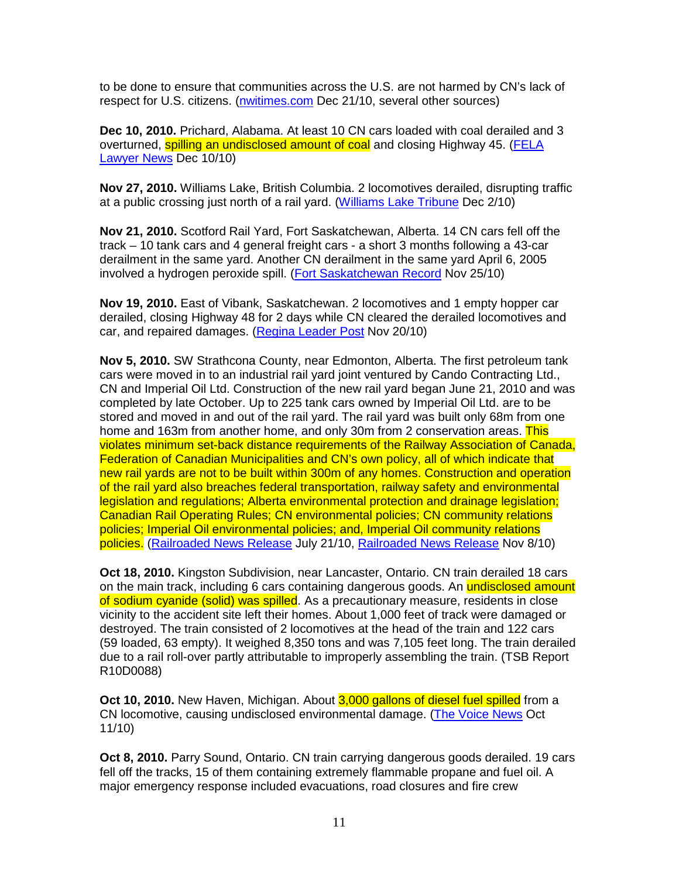to be done to ensure that communities across the U.S. are not harmed by CN's lack of respect for U.S. citizens. (nwitimes.com Dec 21/10, several other sources)

**Dec 10, 2010.** Prichard, Alabama. At least 10 CN cars loaded with coal derailed and 3 overturned, spilling an undisclosed amount of coal and closing Highway 45. (FELA Lawyer News Dec 10/10)

**Nov 27, 2010.** Williams Lake, British Columbia. 2 locomotives derailed, disrupting traffic at a public crossing just north of a rail yard. (Williams Lake Tribune Dec 2/10)

**Nov 21, 2010.** Scotford Rail Yard, Fort Saskatchewan, Alberta. 14 CN cars fell off the track – 10 tank cars and 4 general freight cars - a short 3 months following a 43-car derailment in the same yard. Another CN derailment in the same yard April 6, 2005 involved a hydrogen peroxide spill. (Fort Saskatchewan Record Nov 25/10)

**Nov 19, 2010.** East of Vibank, Saskatchewan. 2 locomotives and 1 empty hopper car derailed, closing Highway 48 for 2 days while CN cleared the derailed locomotives and car, and repaired damages. (Regina Leader Post Nov 20/10)

**Nov 5, 2010.** SW Strathcona County, near Edmonton, Alberta. The first petroleum tank cars were moved in to an industrial rail yard joint ventured by Cando Contracting Ltd., CN and Imperial Oil Ltd. Construction of the new rail yard began June 21, 2010 and was completed by late October. Up to 225 tank cars owned by Imperial Oil Ltd. are to be stored and moved in and out of the rail yard. The rail yard was built only 68m from one home and 163m from another home, and only 30m from 2 conservation areas. This violates minimum set-back distance requirements of the Railway Association of Canada, Federation of Canadian Municipalities and CN's own policy, all of which indicate that new rail yards are not to be built within 300m of any homes. Construction and operation of the rail yard also breaches federal transportation, railway safety and environmental legislation and regulations; Alberta environmental protection and drainage legislation; Canadian Rail Operating Rules; CN environmental policies; CN community relations policies; Imperial Oil environmental policies; and, Imperial Oil community relations policies. (Railroaded News Release July 21/10, Railroaded News Release Nov 8/10)

**Oct 18, 2010.** Kingston Subdivision, near Lancaster, Ontario. CN train derailed 18 cars on the main track, including 6 cars containing dangerous goods. An undisclosed amount of sodium cyanide (solid) was spilled. As a precautionary measure, residents in close vicinity to the accident site left their homes. About 1,000 feet of track were damaged or destroyed. The train consisted of 2 locomotives at the head of the train and 122 cars (59 loaded, 63 empty). It weighed 8,350 tons and was 7,105 feet long. The train derailed due to a rail roll-over partly attributable to improperly assembling the train. (TSB Report R10D0088)

**Oct 10, 2010.** New Haven, Michigan. About 3,000 gallons of diesel fuel spilled from a CN locomotive, causing undisclosed environmental damage. (The Voice News Oct 11/10)

**Oct 8, 2010.** Parry Sound, Ontario. CN train carrying dangerous goods derailed. 19 cars fell off the tracks, 15 of them containing extremely flammable propane and fuel oil. A major emergency response included evacuations, road closures and fire crew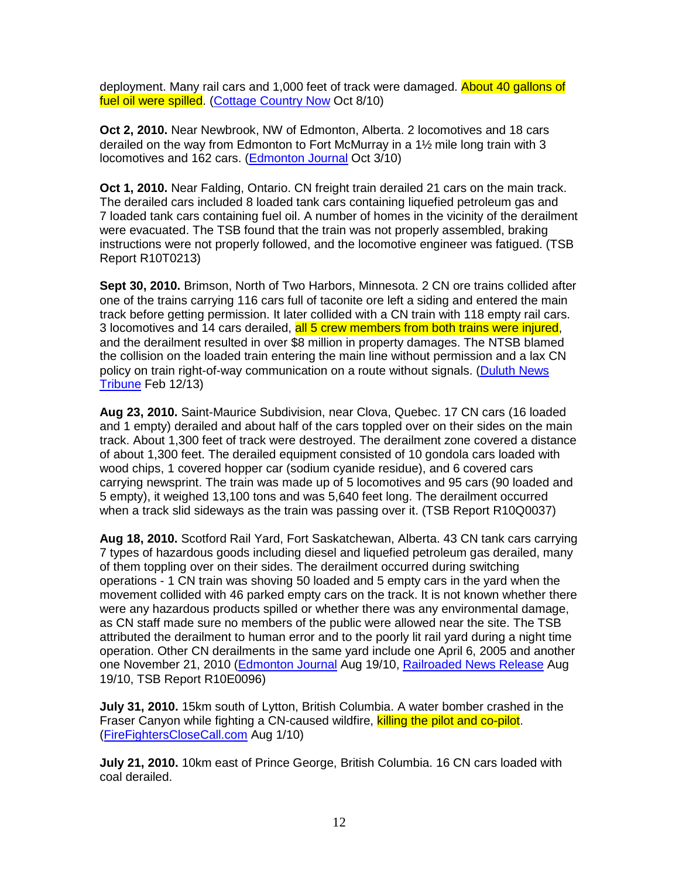deployment. Many rail cars and 1,000 feet of track were damaged. About 40 gallons of fuel oil were spilled. (Cottage Country Now Oct 8/10)

**Oct 2, 2010.** Near Newbrook, NW of Edmonton, Alberta. 2 locomotives and 18 cars derailed on the way from Edmonton to Fort McMurray in a 1½ mile long train with 3 locomotives and 162 cars. (**Edmonton Journal Oct 3/10**)

**Oct 1, 2010.** Near Falding, Ontario. CN freight train derailed 21 cars on the main track. The derailed cars included 8 loaded tank cars containing liquefied petroleum gas and 7 loaded tank cars containing fuel oil. A number of homes in the vicinity of the derailment were evacuated. The TSB found that the train was not properly assembled, braking instructions were not properly followed, and the locomotive engineer was fatigued. (TSB Report R10T0213)

**Sept 30, 2010.** Brimson, North of Two Harbors, Minnesota. 2 CN ore trains collided after one of the trains carrying 116 cars full of taconite ore left a siding and entered the main track before getting permission. It later collided with a CN train with 118 empty rail cars. 3 locomotives and 14 cars derailed, all 5 crew members from both trains were injured, and the derailment resulted in over \$8 million in property damages. The NTSB blamed the collision on the loaded train entering the main line without permission and a lax CN policy on train right-of-way communication on a route without signals. (Duluth News Tribune Feb 12/13)

**Aug 23, 2010.** Saint-Maurice Subdivision, near Clova, Quebec. 17 CN cars (16 loaded and 1 empty) derailed and about half of the cars toppled over on their sides on the main track. About 1,300 feet of track were destroyed. The derailment zone covered a distance of about 1,300 feet. The derailed equipment consisted of 10 gondola cars loaded with wood chips, 1 covered hopper car (sodium cyanide residue), and 6 covered cars carrying newsprint. The train was made up of 5 locomotives and 95 cars (90 loaded and 5 empty), it weighed 13,100 tons and was 5,640 feet long. The derailment occurred when a track slid sideways as the train was passing over it. (TSB Report R10Q0037)

**Aug 18, 2010.** Scotford Rail Yard, Fort Saskatchewan, Alberta. 43 CN tank cars carrying 7 types of hazardous goods including diesel and liquefied petroleum gas derailed, many of them toppling over on their sides. The derailment occurred during switching operations - 1 CN train was shoving 50 loaded and 5 empty cars in the yard when the movement collided with 46 parked empty cars on the track. It is not known whether there were any hazardous products spilled or whether there was any environmental damage, as CN staff made sure no members of the public were allowed near the site. The TSB attributed the derailment to human error and to the poorly lit rail yard during a night time operation. Other CN derailments in the same yard include one April 6, 2005 and another one November 21, 2010 (Edmonton Journal Aug 19/10, Railroaded News Release Aug 19/10, TSB Report R10E0096)

**July 31, 2010.** 15km south of Lytton, British Columbia. A water bomber crashed in the Fraser Canyon while fighting a CN-caused wildfire, killing the pilot and co-pilot. (FireFightersCloseCall.com Aug 1/10)

**July 21, 2010.** 10km east of Prince George, British Columbia. 16 CN cars loaded with coal derailed.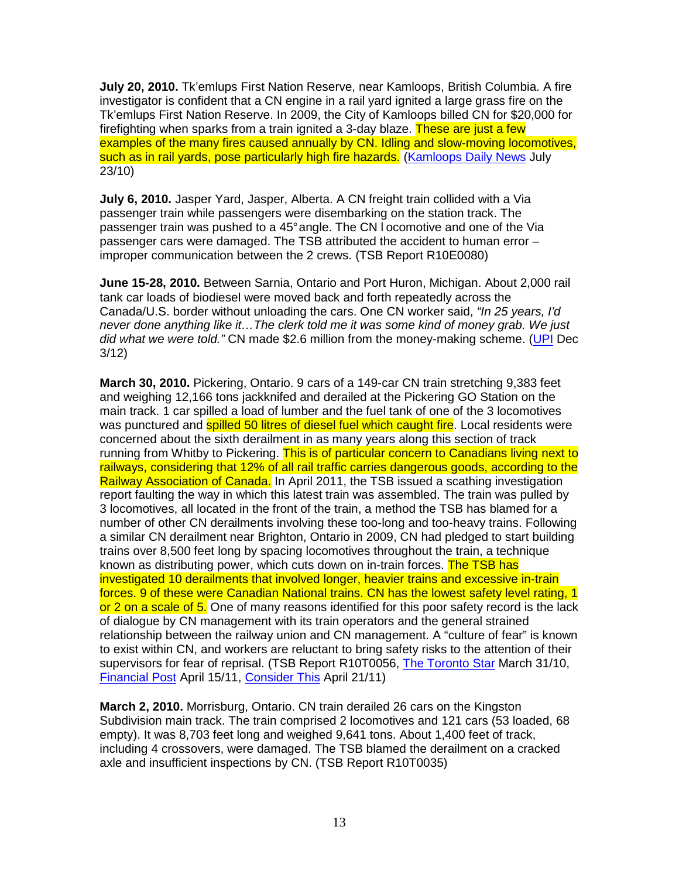**July 20, 2010.** Tk'emlups First Nation Reserve, near Kamloops, British Columbia. A fire investigator is confident that a CN engine in a rail yard ignited a large grass fire on the Tk'emlups First Nation Reserve. In 2009, the City of Kamloops billed CN for \$20,000 for firefighting when sparks from a train ignited a 3-day blaze. These are just a few examples of the many fires caused annually by CN. Idling and slow-moving locomotives, such as in rail yards, pose particularly high fire hazards. (Kamloops Daily News July 23/10)

**July 6, 2010.** Jasper Yard, Jasper, Alberta. A CN freight train collided with a Via passenger train while passengers were disembarking on the station track. The passenger train was pushed to a 45° angle. The CN l ocomotive and one of the Via passenger cars were damaged. The TSB attributed the accident to human error – improper communication between the 2 crews. (TSB Report R10E0080)

**June 15-28, 2010.** Between Sarnia, Ontario and Port Huron, Michigan. About 2,000 rail tank car loads of biodiesel were moved back and forth repeatedly across the Canada/U.S. border without unloading the cars. One CN worker said, "In 25 years, I'd never done anything like it…The clerk told me it was some kind of money grab. We just did what we were told." CN made \$2.6 million from the money-making scheme. (UPI Dec 3/12)

**March 30, 2010.** Pickering, Ontario. 9 cars of a 149-car CN train stretching 9,383 feet and weighing 12,166 tons jackknifed and derailed at the Pickering GO Station on the main track. 1 car spilled a load of lumber and the fuel tank of one of the 3 locomotives was punctured and **spilled 50 litres of diesel fuel which caught fire**. Local residents were concerned about the sixth derailment in as many years along this section of track running from Whitby to Pickering. This is of particular concern to Canadians living next to railways, considering that 12% of all rail traffic carries dangerous goods, according to the Railway Association of Canada. In April 2011, the TSB issued a scathing investigation report faulting the way in which this latest train was assembled. The train was pulled by 3 locomotives, all located in the front of the train, a method the TSB has blamed for a number of other CN derailments involving these too-long and too-heavy trains. Following a similar CN derailment near Brighton, Ontario in 2009, CN had pledged to start building trains over 8,500 feet long by spacing locomotives throughout the train, a technique known as distributing power, which cuts down on in-train forces. The TSB has investigated 10 derailments that involved longer, heavier trains and excessive in-train forces. 9 of these were Canadian National trains. CN has the lowest safety level rating, 1 or 2 on a scale of 5. One of many reasons identified for this poor safety record is the lack of dialogue by CN management with its train operators and the general strained relationship between the railway union and CN management. A "culture of fear" is known to exist within CN, and workers are reluctant to bring safety risks to the attention of their supervisors for fear of reprisal. (TSB Report R10T0056, The Toronto Star March 31/10, Financial Post April 15/11, Consider This April 21/11)

**March 2, 2010.** Morrisburg, Ontario. CN train derailed 26 cars on the Kingston Subdivision main track. The train comprised 2 locomotives and 121 cars (53 loaded, 68 empty). It was 8,703 feet long and weighed 9,641 tons. About 1,400 feet of track, including 4 crossovers, were damaged. The TSB blamed the derailment on a cracked axle and insufficient inspections by CN. (TSB Report R10T0035)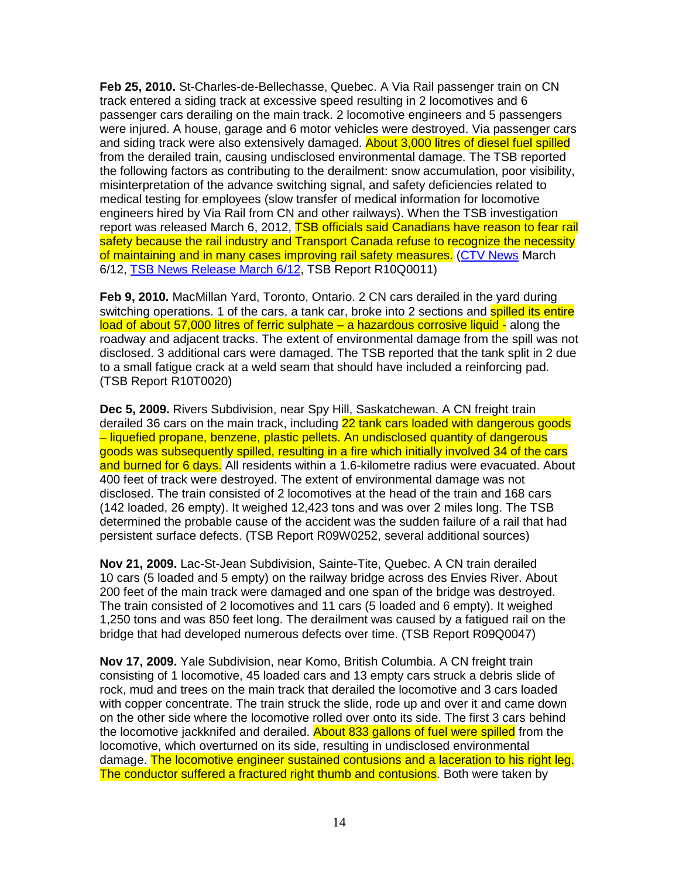**Feb 25, 2010.** St-Charles-de-Bellechasse, Quebec. A Via Rail passenger train on CN track entered a siding track at excessive speed resulting in 2 locomotives and 6 passenger cars derailing on the main track. 2 locomotive engineers and 5 passengers were injured. A house, garage and 6 motor vehicles were destroyed. Via passenger cars and siding track were also extensively damaged. **About 3,000 litres of diesel fuel spilled** from the derailed train, causing undisclosed environmental damage. The TSB reported the following factors as contributing to the derailment: snow accumulation, poor visibility, misinterpretation of the advance switching signal, and safety deficiencies related to medical testing for employees (slow transfer of medical information for locomotive engineers hired by Via Rail from CN and other railways). When the TSB investigation report was released March 6, 2012, TSB officials said Canadians have reason to fear rail safety because the rail industry and Transport Canada refuse to recognize the necessity of maintaining and in many cases improving rail safety measures. (CTV News March 6/12, TSB News Release March 6/12, TSB Report R10Q0011)

**Feb 9, 2010.** MacMillan Yard, Toronto, Ontario. 2 CN cars derailed in the yard during switching operations. 1 of the cars, a tank car, broke into 2 sections and **spilled its entire** load of about 57,000 litres of ferric sulphate – a hazardous corrosive liquid - along the roadway and adjacent tracks. The extent of environmental damage from the spill was not disclosed. 3 additional cars were damaged. The TSB reported that the tank split in 2 due to a small fatigue crack at a weld seam that should have included a reinforcing pad. (TSB Report R10T0020)

**Dec 5, 2009.** Rivers Subdivision, near Spy Hill, Saskatchewan. A CN freight train derailed 36 cars on the main track, including 22 tank cars loaded with dangerous goods – liquefied propane, benzene, plastic pellets. An undisclosed quantity of dangerous goods was subsequently spilled, resulting in a fire which initially involved 34 of the cars and burned for 6 days. All residents within a 1.6-kilometre radius were evacuated. About 400 feet of track were destroyed. The extent of environmental damage was not disclosed. The train consisted of 2 locomotives at the head of the train and 168 cars (142 loaded, 26 empty). It weighed 12,423 tons and was over 2 miles long. The TSB determined the probable cause of the accident was the sudden failure of a rail that had persistent surface defects. (TSB Report R09W0252, several additional sources)

**Nov 21, 2009.** Lac-St-Jean Subdivision, Sainte-Tite, Quebec. A CN train derailed 10 cars (5 loaded and 5 empty) on the railway bridge across des Envies River. About 200 feet of the main track were damaged and one span of the bridge was destroyed. The train consisted of 2 locomotives and 11 cars (5 loaded and 6 empty). It weighed 1,250 tons and was 850 feet long. The derailment was caused by a fatigued rail on the bridge that had developed numerous defects over time. (TSB Report R09Q0047)

**Nov 17, 2009.** Yale Subdivision, near Komo, British Columbia. A CN freight train consisting of 1 locomotive, 45 loaded cars and 13 empty cars struck a debris slide of rock, mud and trees on the main track that derailed the locomotive and 3 cars loaded with copper concentrate. The train struck the slide, rode up and over it and came down on the other side where the locomotive rolled over onto its side. The first 3 cars behind the locomotive jackknifed and derailed. About 833 gallons of fuel were spilled from the locomotive, which overturned on its side, resulting in undisclosed environmental damage. The locomotive engineer sustained contusions and a laceration to his right leg. The conductor suffered a fractured right thumb and contusions. Both were taken by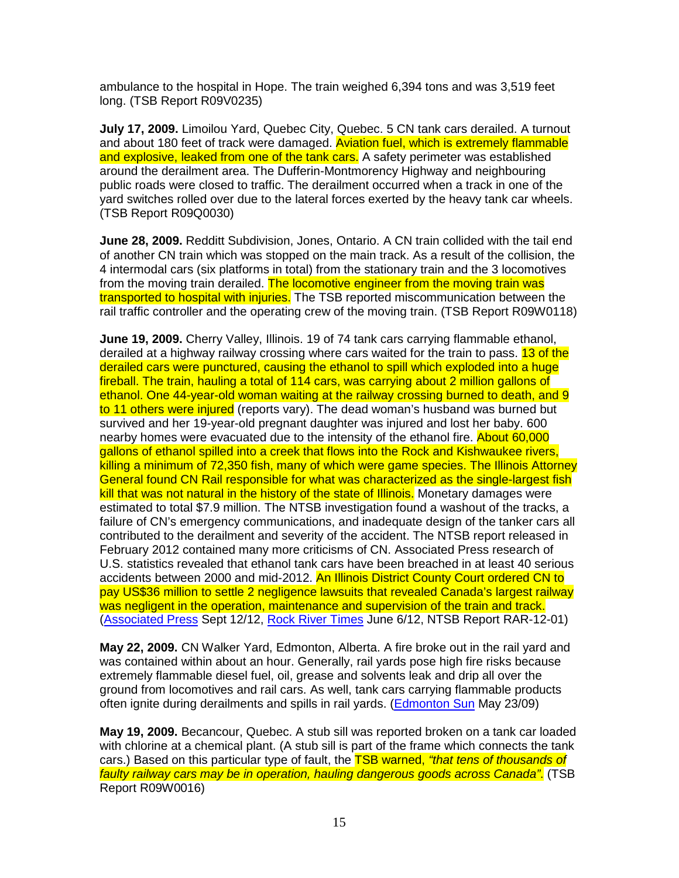ambulance to the hospital in Hope. The train weighed 6,394 tons and was 3,519 feet long. (TSB Report R09V0235)

**July 17, 2009.** Limoilou Yard, Quebec City, Quebec. 5 CN tank cars derailed. A turnout and about 180 feet of track were damaged. Aviation fuel, which is extremely flammable and explosive, leaked from one of the tank cars. A safety perimeter was established around the derailment area. The Dufferin-Montmorency Highway and neighbouring public roads were closed to traffic. The derailment occurred when a track in one of the yard switches rolled over due to the lateral forces exerted by the heavy tank car wheels. (TSB Report R09Q0030)

**June 28, 2009.** Redditt Subdivision, Jones, Ontario. A CN train collided with the tail end of another CN train which was stopped on the main track. As a result of the collision, the 4 intermodal cars (six platforms in total) from the stationary train and the 3 locomotives from the moving train derailed. The locomotive engineer from the moving train was transported to hospital with injuries. The TSB reported miscommunication between the rail traffic controller and the operating crew of the moving train. (TSB Report R09W0118)

**June 19, 2009.** Cherry Valley, Illinois. 19 of 74 tank cars carrying flammable ethanol, derailed at a highway railway crossing where cars waited for the train to pass. 13 of the derailed cars were punctured, causing the ethanol to spill which exploded into a huge fireball. The train, hauling a total of 114 cars, was carrying about 2 million gallons of ethanol. One 44-year-old woman waiting at the railway crossing burned to death, and 9 to 11 others were injured (reports vary). The dead woman's husband was burned but survived and her 19-year-old pregnant daughter was injured and lost her baby. 600 nearby homes were evacuated due to the intensity of the ethanol fire. About 60,000 gallons of ethanol spilled into a creek that flows into the Rock and Kishwaukee rivers, killing a minimum of 72,350 fish, many of which were game species. The Illinois Attorney General found CN Rail responsible for what was characterized as the single-largest fish kill that was not natural in the history of the state of Illinois. Monetary damages were estimated to total \$7.9 million. The NTSB investigation found a washout of the tracks, a failure of CN's emergency communications, and inadequate design of the tanker cars all contributed to the derailment and severity of the accident. The NTSB report released in February 2012 contained many more criticisms of CN. Associated Press research of U.S. statistics revealed that ethanol tank cars have been breached in at least 40 serious accidents between 2000 and mid-2012. An Illinois District County Court ordered CN to pay US\$36 million to settle 2 negligence lawsuits that revealed Canada's largest railway was negligent in the operation, maintenance and supervision of the train and track. (Associated Press Sept 12/12, Rock River Times June 6/12, NTSB Report RAR-12-01)

**May 22, 2009.** CN Walker Yard, Edmonton, Alberta. A fire broke out in the rail yard and was contained within about an hour. Generally, rail yards pose high fire risks because extremely flammable diesel fuel, oil, grease and solvents leak and drip all over the ground from locomotives and rail cars. As well, tank cars carrying flammable products often ignite during derailments and spills in rail yards. (Edmonton Sun May 23/09)

**May 19, 2009.** Becancour, Quebec. A stub sill was reported broken on a tank car loaded with chlorine at a chemical plant. (A stub sill is part of the frame which connects the tank cars.) Based on this particular type of fault, the **TSB warned, "that tens of thousands of** faulty railway cars may be in operation, hauling dangerous goods across Canada". (TSB Report R09W0016)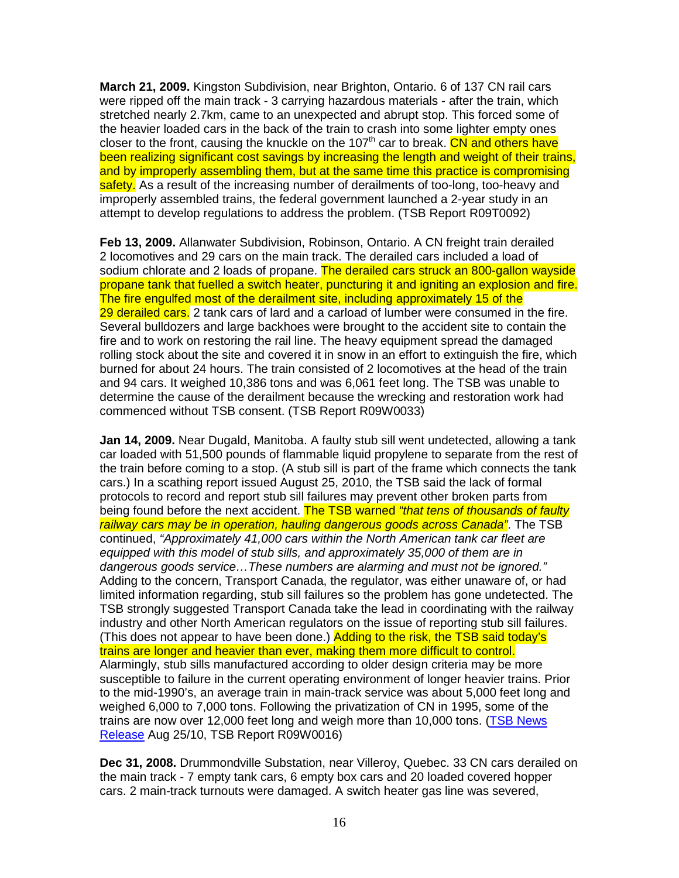**March 21, 2009.** Kingston Subdivision, near Brighton, Ontario. 6 of 137 CN rail cars were ripped off the main track - 3 carrying hazardous materials - after the train, which stretched nearly 2.7km, came to an unexpected and abrupt stop. This forced some of the heavier loaded cars in the back of the train to crash into some lighter empty ones closer to the front, causing the knuckle on the 107<sup>th</sup> car to break. CN and others have been realizing significant cost savings by increasing the length and weight of their trains, and by improperly assembling them, but at the same time this practice is compromising safety. As a result of the increasing number of derailments of too-long, too-heavy and improperly assembled trains, the federal government launched a 2-year study in an attempt to develop regulations to address the problem. (TSB Report R09T0092)

**Feb 13, 2009.** Allanwater Subdivision, Robinson, Ontario. A CN freight train derailed 2 locomotives and 29 cars on the main track. The derailed cars included a load of sodium chlorate and 2 loads of propane. The derailed cars struck an 800-gallon wayside propane tank that fuelled a switch heater, puncturing it and igniting an explosion and fire. The fire engulfed most of the derailment site, including approximately 15 of the 29 derailed cars. 2 tank cars of lard and a carload of lumber were consumed in the fire. Several bulldozers and large backhoes were brought to the accident site to contain the fire and to work on restoring the rail line. The heavy equipment spread the damaged rolling stock about the site and covered it in snow in an effort to extinguish the fire, which burned for about 24 hours. The train consisted of 2 locomotives at the head of the train and 94 cars. It weighed 10,386 tons and was 6,061 feet long. The TSB was unable to determine the cause of the derailment because the wrecking and restoration work had commenced without TSB consent. (TSB Report R09W0033)

**Jan 14, 2009.** Near Dugald, Manitoba. A faulty stub sill went undetected, allowing a tank car loaded with 51,500 pounds of flammable liquid propylene to separate from the rest of the train before coming to a stop. (A stub sill is part of the frame which connects the tank cars.) In a scathing report issued August 25, 2010, the TSB said the lack of formal protocols to record and report stub sill failures may prevent other broken parts from being found before the next accident. The TSB warned "that tens of thousands of faulty railway cars may be in operation, hauling dangerous goods across Canada". The TSB continued, "Approximately 41,000 cars within the North American tank car fleet are equipped with this model of stub sills, and approximately 35,000 of them are in dangerous goods service…These numbers are alarming and must not be ignored." Adding to the concern, Transport Canada, the regulator, was either unaware of, or had limited information regarding, stub sill failures so the problem has gone undetected. The TSB strongly suggested Transport Canada take the lead in coordinating with the railway industry and other North American regulators on the issue of reporting stub sill failures. (This does not appear to have been done.) Adding to the risk, the TSB said today's trains are longer and heavier than ever, making them more difficult to control. Alarmingly, stub sills manufactured according to older design criteria may be more susceptible to failure in the current operating environment of longer heavier trains. Prior to the mid-1990's, an average train in main-track service was about 5,000 feet long and weighed 6,000 to 7,000 tons. Following the privatization of CN in 1995, some of the trains are now over 12,000 feet long and weigh more than 10,000 tons. (TSB News Release Aug 25/10, TSB Report R09W0016)

**Dec 31, 2008.** Drummondville Substation, near Villeroy, Quebec. 33 CN cars derailed on the main track - 7 empty tank cars, 6 empty box cars and 20 loaded covered hopper cars. 2 main-track turnouts were damaged. A switch heater gas line was severed,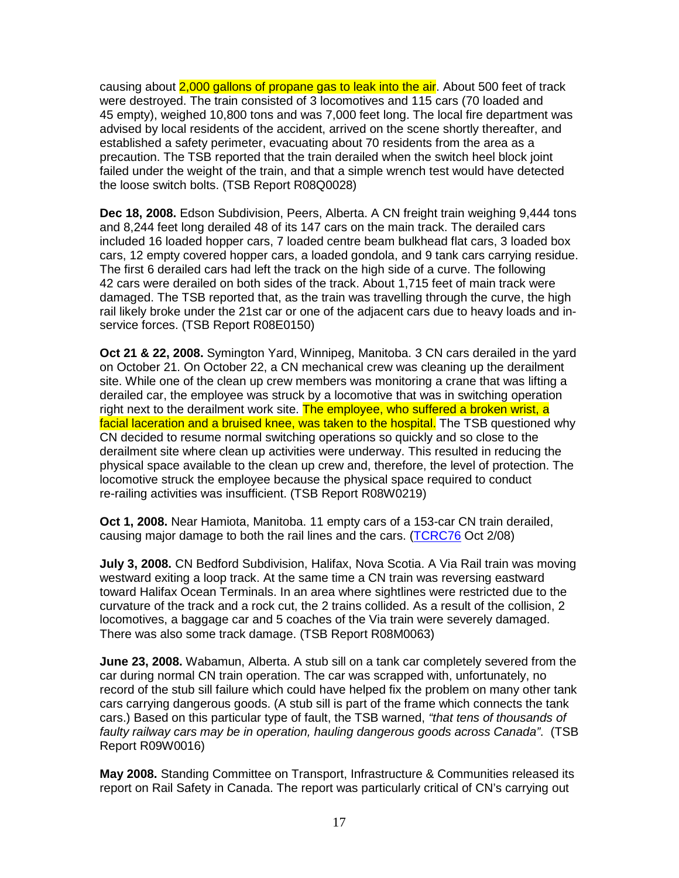causing about 2,000 gallons of propane gas to leak into the air. About 500 feet of track were destroyed. The train consisted of 3 locomotives and 115 cars (70 loaded and 45 empty), weighed 10,800 tons and was 7,000 feet long. The local fire department was advised by local residents of the accident, arrived on the scene shortly thereafter, and established a safety perimeter, evacuating about 70 residents from the area as a precaution. The TSB reported that the train derailed when the switch heel block joint failed under the weight of the train, and that a simple wrench test would have detected the loose switch bolts. (TSB Report R08Q0028)

**Dec 18, 2008.** Edson Subdivision, Peers, Alberta. A CN freight train weighing 9,444 tons and 8,244 feet long derailed 48 of its 147 cars on the main track. The derailed cars included 16 loaded hopper cars, 7 loaded centre beam bulkhead flat cars, 3 loaded box cars, 12 empty covered hopper cars, a loaded gondola, and 9 tank cars carrying residue. The first 6 derailed cars had left the track on the high side of a curve. The following 42 cars were derailed on both sides of the track. About 1,715 feet of main track were damaged. The TSB reported that, as the train was travelling through the curve, the high rail likely broke under the 21st car or one of the adjacent cars due to heavy loads and inservice forces. (TSB Report R08E0150)

**Oct 21 & 22, 2008.** Symington Yard, Winnipeg, Manitoba. 3 CN cars derailed in the yard on October 21. On October 22, a CN mechanical crew was cleaning up the derailment site. While one of the clean up crew members was monitoring a crane that was lifting a derailed car, the employee was struck by a locomotive that was in switching operation right next to the derailment work site. The employee, who suffered a broken wrist, a facial laceration and a bruised knee, was taken to the hospital. The TSB questioned why CN decided to resume normal switching operations so quickly and so close to the derailment site where clean up activities were underway. This resulted in reducing the physical space available to the clean up crew and, therefore, the level of protection. The locomotive struck the employee because the physical space required to conduct re-railing activities was insufficient. (TSB Report R08W0219)

**Oct 1, 2008.** Near Hamiota, Manitoba. 11 empty cars of a 153-car CN train derailed, causing major damage to both the rail lines and the cars. (TCRC76 Oct 2/08)

**July 3, 2008.** CN Bedford Subdivision, Halifax, Nova Scotia. A Via Rail train was moving westward exiting a loop track. At the same time a CN train was reversing eastward toward Halifax Ocean Terminals. In an area where sightlines were restricted due to the curvature of the track and a rock cut, the 2 trains collided. As a result of the collision, 2 locomotives, a baggage car and 5 coaches of the Via train were severely damaged. There was also some track damage. (TSB Report R08M0063)

**June 23, 2008.** Wabamun, Alberta. A stub sill on a tank car completely severed from the car during normal CN train operation. The car was scrapped with, unfortunately, no record of the stub sill failure which could have helped fix the problem on many other tank cars carrying dangerous goods. (A stub sill is part of the frame which connects the tank cars.) Based on this particular type of fault, the TSB warned, "that tens of thousands of faulty railway cars may be in operation, hauling dangerous goods across Canada". (TSB Report R09W0016)

**May 2008.** Standing Committee on Transport, Infrastructure & Communities released its report on Rail Safety in Canada. The report was particularly critical of CN's carrying out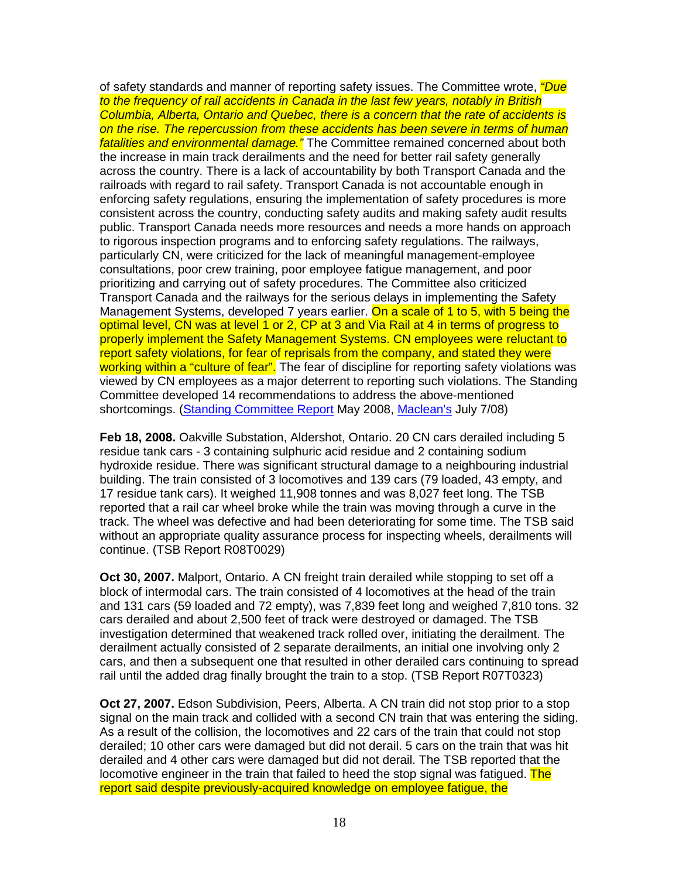of safety standards and manner of reporting safety issues. The Committee wrote, *"Due* to the frequency of rail accidents in Canada in the last few years, notably in British Columbia, Alberta, Ontario and Quebec, there is a concern that the rate of accidents is on the rise. The repercussion from these accidents has been severe in terms of human fatalities and environmental damage." The Committee remained concerned about both the increase in main track derailments and the need for better rail safety generally across the country. There is a lack of accountability by both Transport Canada and the railroads with regard to rail safety. Transport Canada is not accountable enough in enforcing safety regulations, ensuring the implementation of safety procedures is more consistent across the country, conducting safety audits and making safety audit results public. Transport Canada needs more resources and needs a more hands on approach to rigorous inspection programs and to enforcing safety regulations. The railways, particularly CN, were criticized for the lack of meaningful management-employee consultations, poor crew training, poor employee fatigue management, and poor prioritizing and carrying out of safety procedures. The Committee also criticized Transport Canada and the railways for the serious delays in implementing the Safety Management Systems, developed 7 years earlier. On a scale of 1 to 5, with 5 being the optimal level, CN was at level 1 or 2, CP at 3 and Via Rail at 4 in terms of progress to properly implement the Safety Management Systems. CN employees were reluctant to report safety violations, for fear of reprisals from the company, and stated they were working within a "culture of fear". The fear of discipline for reporting safety violations was viewed by CN employees as a major deterrent to reporting such violations. The Standing Committee developed 14 recommendations to address the above-mentioned shortcomings. (Standing Committee Report May 2008, Maclean's July 7/08)

**Feb 18, 2008.** Oakville Substation, Aldershot, Ontario. 20 CN cars derailed including 5 residue tank cars - 3 containing sulphuric acid residue and 2 containing sodium hydroxide residue. There was significant structural damage to a neighbouring industrial building. The train consisted of 3 locomotives and 139 cars (79 loaded, 43 empty, and 17 residue tank cars). It weighed 11,908 tonnes and was 8,027 feet long. The TSB reported that a rail car wheel broke while the train was moving through a curve in the track. The wheel was defective and had been deteriorating for some time. The TSB said without an appropriate quality assurance process for inspecting wheels, derailments will continue. (TSB Report R08T0029)

**Oct 30, 2007.** Malport, Ontario. A CN freight train derailed while stopping to set off a block of intermodal cars. The train consisted of 4 locomotives at the head of the train and 131 cars (59 loaded and 72 empty), was 7,839 feet long and weighed 7,810 tons. 32 cars derailed and about 2,500 feet of track were destroyed or damaged. The TSB investigation determined that weakened track rolled over, initiating the derailment. The derailment actually consisted of 2 separate derailments, an initial one involving only 2 cars, and then a subsequent one that resulted in other derailed cars continuing to spread rail until the added drag finally brought the train to a stop. (TSB Report R07T0323)

**Oct 27, 2007.** Edson Subdivision, Peers, Alberta. A CN train did not stop prior to a stop signal on the main track and collided with a second CN train that was entering the siding. As a result of the collision, the locomotives and 22 cars of the train that could not stop derailed; 10 other cars were damaged but did not derail. 5 cars on the train that was hit derailed and 4 other cars were damaged but did not derail. The TSB reported that the locomotive engineer in the train that failed to heed the stop signal was fatigued. The report said despite previously-acquired knowledge on employee fatigue, the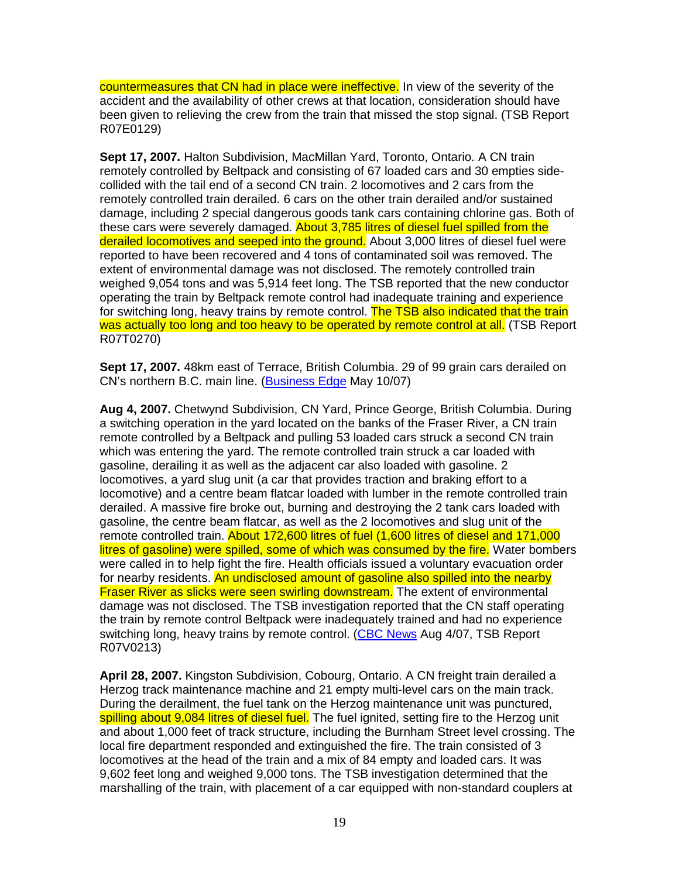countermeasures that CN had in place were ineffective. In view of the severity of the accident and the availability of other crews at that location, consideration should have been given to relieving the crew from the train that missed the stop signal. (TSB Report R07E0129)

**Sept 17, 2007.** Halton Subdivision, MacMillan Yard, Toronto, Ontario. A CN train remotely controlled by Beltpack and consisting of 67 loaded cars and 30 empties sidecollided with the tail end of a second CN train. 2 locomotives and 2 cars from the remotely controlled train derailed. 6 cars on the other train derailed and/or sustained damage, including 2 special dangerous goods tank cars containing chlorine gas. Both of these cars were severely damaged. About 3,785 litres of diesel fuel spilled from the derailed locomotives and seeped into the ground. About 3,000 litres of diesel fuel were reported to have been recovered and 4 tons of contaminated soil was removed. The extent of environmental damage was not disclosed. The remotely controlled train weighed 9,054 tons and was 5,914 feet long. The TSB reported that the new conductor operating the train by Beltpack remote control had inadequate training and experience for switching long, heavy trains by remote control. The TSB also indicated that the train was actually too long and too heavy to be operated by remote control at all. (TSB Report R07T0270)

**Sept 17, 2007.** 48km east of Terrace, British Columbia. 29 of 99 grain cars derailed on CN's northern B.C. main line. (Business Edge May 10/07)

**Aug 4, 2007.** Chetwynd Subdivision, CN Yard, Prince George, British Columbia. During a switching operation in the yard located on the banks of the Fraser River, a CN train remote controlled by a Beltpack and pulling 53 loaded cars struck a second CN train which was entering the yard. The remote controlled train struck a car loaded with gasoline, derailing it as well as the adjacent car also loaded with gasoline. 2 locomotives, a yard slug unit (a car that provides traction and braking effort to a locomotive) and a centre beam flatcar loaded with lumber in the remote controlled train derailed. A massive fire broke out, burning and destroying the 2 tank cars loaded with gasoline, the centre beam flatcar, as well as the 2 locomotives and slug unit of the remote controlled train. About 172,600 litres of fuel (1,600 litres of diesel and 171,000 litres of gasoline) were spilled, some of which was consumed by the fire. Water bombers were called in to help fight the fire. Health officials issued a voluntary evacuation order for nearby residents. An undisclosed amount of gasoline also spilled into the nearby **Fraser River as slicks were seen swirling downstream.** The extent of environmental damage was not disclosed. The TSB investigation reported that the CN staff operating the train by remote control Beltpack were inadequately trained and had no experience switching long, heavy trains by remote control. (CBC News Aug 4/07, TSB Report R07V0213)

**April 28, 2007.** Kingston Subdivision, Cobourg, Ontario. A CN freight train derailed a Herzog track maintenance machine and 21 empty multi-level cars on the main track. During the derailment, the fuel tank on the Herzog maintenance unit was punctured, spilling about 9,084 litres of diesel fuel. The fuel ignited, setting fire to the Herzog unit and about 1,000 feet of track structure, including the Burnham Street level crossing. The local fire department responded and extinguished the fire. The train consisted of 3 locomotives at the head of the train and a mix of 84 empty and loaded cars. It was 9,602 feet long and weighed 9,000 tons. The TSB investigation determined that the marshalling of the train, with placement of a car equipped with non-standard couplers at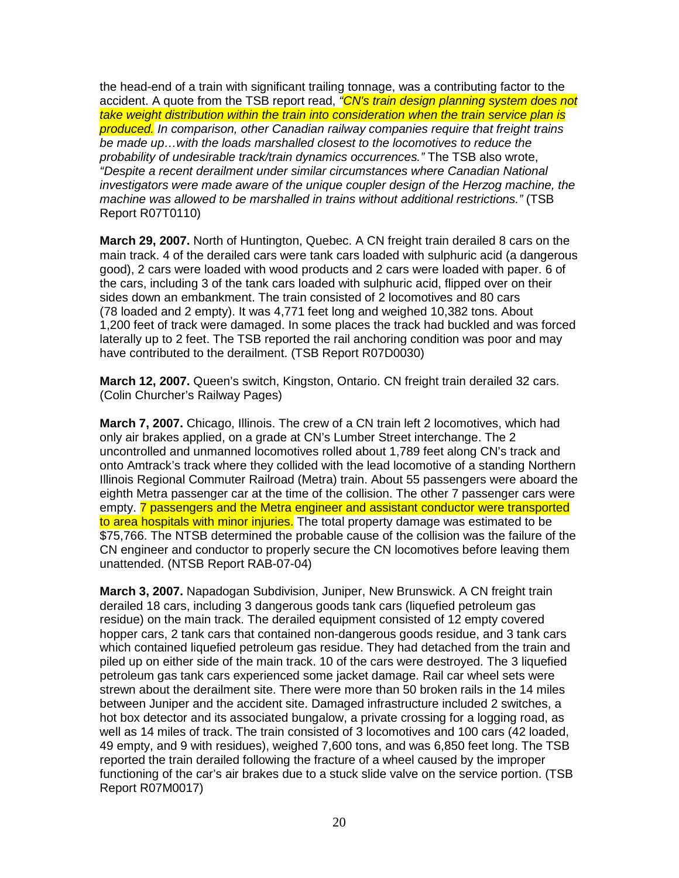the head-end of a train with significant trailing tonnage, was a contributing factor to the accident. A quote from the TSB report read, "CN's train design planning system does not take weight distribution within the train into consideration when the train service plan is produced. In comparison, other Canadian railway companies require that freight trains be made up…with the loads marshalled closest to the locomotives to reduce the probability of undesirable track/train dynamics occurrences." The TSB also wrote, "Despite a recent derailment under similar circumstances where Canadian National investigators were made aware of the unique coupler design of the Herzog machine, the machine was allowed to be marshalled in trains without additional restrictions." (TSB Report R07T0110)

**March 29, 2007.** North of Huntington, Quebec. A CN freight train derailed 8 cars on the main track. 4 of the derailed cars were tank cars loaded with sulphuric acid (a dangerous good), 2 cars were loaded with wood products and 2 cars were loaded with paper. 6 of the cars, including 3 of the tank cars loaded with sulphuric acid, flipped over on their sides down an embankment. The train consisted of 2 locomotives and 80 cars (78 loaded and 2 empty). It was 4,771 feet long and weighed 10,382 tons. About 1,200 feet of track were damaged. In some places the track had buckled and was forced laterally up to 2 feet. The TSB reported the rail anchoring condition was poor and may have contributed to the derailment. (TSB Report R07D0030)

**March 12, 2007.** Queen's switch, Kingston, Ontario. CN freight train derailed 32 cars. (Colin Churcher's Railway Pages)

**March 7, 2007.** Chicago, Illinois. The crew of a CN train left 2 locomotives, which had only air brakes applied, on a grade at CN's Lumber Street interchange. The 2 uncontrolled and unmanned locomotives rolled about 1,789 feet along CN's track and onto Amtrack's track where they collided with the lead locomotive of a standing Northern Illinois Regional Commuter Railroad (Metra) train. About 55 passengers were aboard the eighth Metra passenger car at the time of the collision. The other 7 passenger cars were empty. 7 passengers and the Metra engineer and assistant conductor were transported to area hospitals with minor injuries. The total property damage was estimated to be \$75,766. The NTSB determined the probable cause of the collision was the failure of the CN engineer and conductor to properly secure the CN locomotives before leaving them unattended. (NTSB Report RAB-07-04)

**March 3, 2007.** Napadogan Subdivision, Juniper, New Brunswick. A CN freight train derailed 18 cars, including 3 dangerous goods tank cars (liquefied petroleum gas residue) on the main track. The derailed equipment consisted of 12 empty covered hopper cars, 2 tank cars that contained non-dangerous goods residue, and 3 tank cars which contained liquefied petroleum gas residue. They had detached from the train and piled up on either side of the main track. 10 of the cars were destroyed. The 3 liquefied petroleum gas tank cars experienced some jacket damage. Rail car wheel sets were strewn about the derailment site. There were more than 50 broken rails in the 14 miles between Juniper and the accident site. Damaged infrastructure included 2 switches, a hot box detector and its associated bungalow, a private crossing for a logging road, as well as 14 miles of track. The train consisted of 3 locomotives and 100 cars (42 loaded, 49 empty, and 9 with residues), weighed 7,600 tons, and was 6,850 feet long. The TSB reported the train derailed following the fracture of a wheel caused by the improper functioning of the car's air brakes due to a stuck slide valve on the service portion. (TSB Report R07M0017)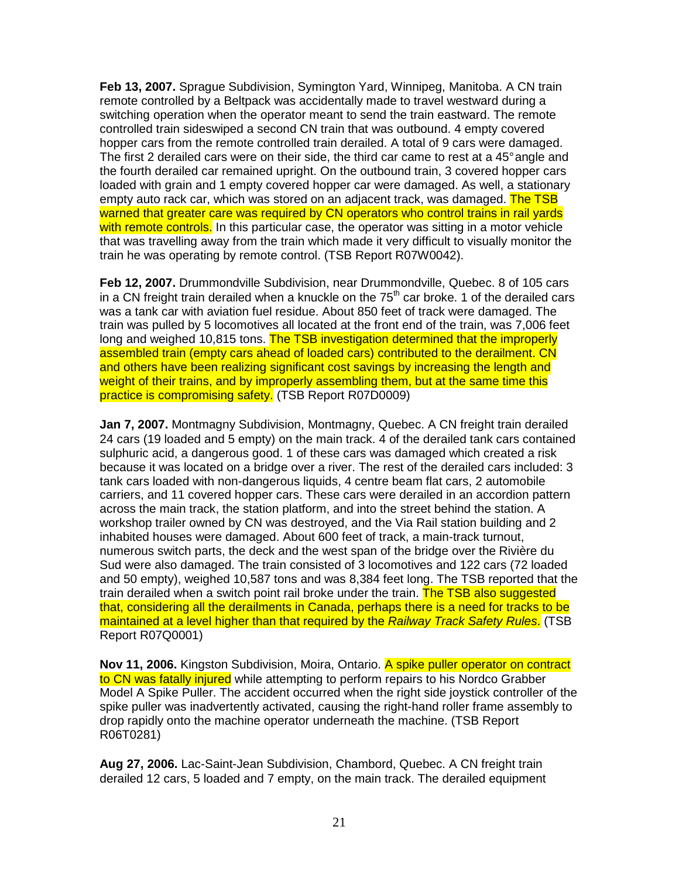**Feb 13, 2007.** Sprague Subdivision, Symington Yard, Winnipeg, Manitoba. A CN train remote controlled by a Beltpack was accidentally made to travel westward during a switching operation when the operator meant to send the train eastward. The remote controlled train sideswiped a second CN train that was outbound. 4 empty covered hopper cars from the remote controlled train derailed. A total of 9 cars were damaged. The first 2 derailed cars were on their side, the third car came to rest at a 45° angle and the fourth derailed car remained upright. On the outbound train, 3 covered hopper cars loaded with grain and 1 empty covered hopper car were damaged. As well, a stationary empty auto rack car, which was stored on an adjacent track, was damaged. The TSB warned that greater care was required by CN operators who control trains in rail yards with remote controls. In this particular case, the operator was sitting in a motor vehicle that was travelling away from the train which made it very difficult to visually monitor the train he was operating by remote control. (TSB Report R07W0042).

**Feb 12, 2007.** Drummondville Subdivision, near Drummondville, Quebec. 8 of 105 cars in a CN freight train derailed when a knuckle on the  $75<sup>th</sup>$  car broke. 1 of the derailed cars was a tank car with aviation fuel residue. About 850 feet of track were damaged. The train was pulled by 5 locomotives all located at the front end of the train, was 7,006 feet long and weighed 10,815 tons. The TSB investigation determined that the improperly assembled train (empty cars ahead of loaded cars) contributed to the derailment. CN and others have been realizing significant cost savings by increasing the length and weight of their trains, and by improperly assembling them, but at the same time this practice is compromising safety. (TSB Report R07D0009)

**Jan 7, 2007.** Montmagny Subdivision, Montmagny, Quebec. A CN freight train derailed 24 cars (19 loaded and 5 empty) on the main track. 4 of the derailed tank cars contained sulphuric acid, a dangerous good. 1 of these cars was damaged which created a risk because it was located on a bridge over a river. The rest of the derailed cars included: 3 tank cars loaded with non-dangerous liquids, 4 centre beam flat cars, 2 automobile carriers, and 11 covered hopper cars. These cars were derailed in an accordion pattern across the main track, the station platform, and into the street behind the station. A workshop trailer owned by CN was destroyed, and the Via Rail station building and 2 inhabited houses were damaged. About 600 feet of track, a main-track turnout, numerous switch parts, the deck and the west span of the bridge over the Rivière du Sud were also damaged. The train consisted of 3 locomotives and 122 cars (72 loaded and 50 empty), weighed 10,587 tons and was 8,384 feet long. The TSB reported that the train derailed when a switch point rail broke under the train. The TSB also suggested that, considering all the derailments in Canada, perhaps there is a need for tracks to be maintained at a level higher than that required by the Railway Track Safety Rules. (TSB Report R07Q0001)

**Nov 11, 2006.** Kingston Subdivision, Moira, Ontario. A spike puller operator on contract to CN was fatally injured while attempting to perform repairs to his Nordco Grabber Model A Spike Puller. The accident occurred when the right side joystick controller of the spike puller was inadvertently activated, causing the right-hand roller frame assembly to drop rapidly onto the machine operator underneath the machine. (TSB Report R06T0281)

**Aug 27, 2006.** Lac-Saint-Jean Subdivision, Chambord, Quebec. A CN freight train derailed 12 cars, 5 loaded and 7 empty, on the main track. The derailed equipment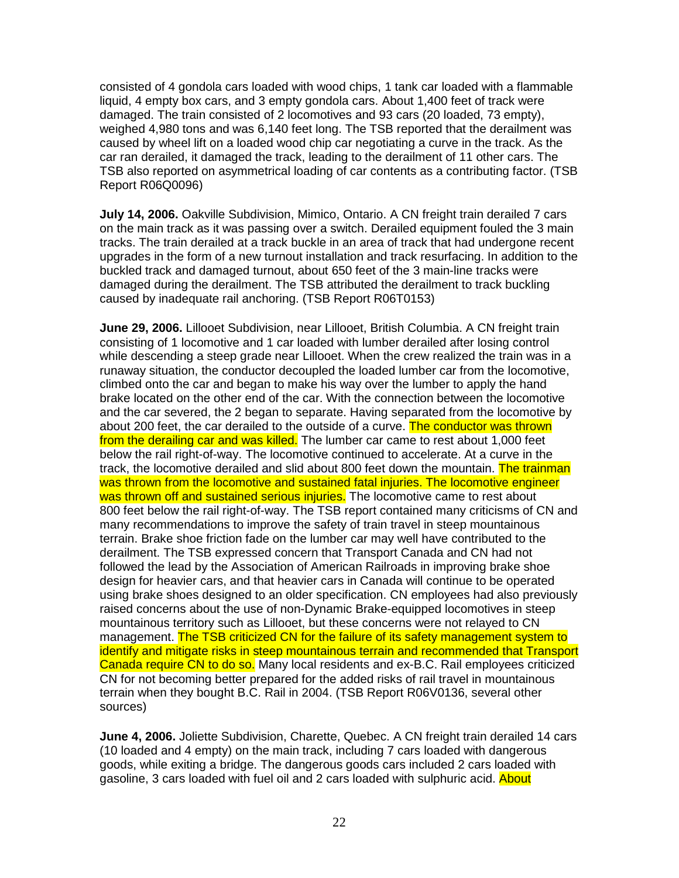consisted of 4 gondola cars loaded with wood chips, 1 tank car loaded with a flammable liquid, 4 empty box cars, and 3 empty gondola cars. About 1,400 feet of track were damaged. The train consisted of 2 locomotives and 93 cars (20 loaded, 73 empty), weighed 4,980 tons and was 6,140 feet long. The TSB reported that the derailment was caused by wheel lift on a loaded wood chip car negotiating a curve in the track. As the car ran derailed, it damaged the track, leading to the derailment of 11 other cars. The TSB also reported on asymmetrical loading of car contents as a contributing factor. (TSB Report R06Q0096)

**July 14, 2006.** Oakville Subdivision, Mimico, Ontario. A CN freight train derailed 7 cars on the main track as it was passing over a switch. Derailed equipment fouled the 3 main tracks. The train derailed at a track buckle in an area of track that had undergone recent upgrades in the form of a new turnout installation and track resurfacing. In addition to the buckled track and damaged turnout, about 650 feet of the 3 main-line tracks were damaged during the derailment. The TSB attributed the derailment to track buckling caused by inadequate rail anchoring. (TSB Report R06T0153)

**June 29, 2006.** Lillooet Subdivision, near Lillooet, British Columbia. A CN freight train consisting of 1 locomotive and 1 car loaded with lumber derailed after losing control while descending a steep grade near Lillooet. When the crew realized the train was in a runaway situation, the conductor decoupled the loaded lumber car from the locomotive, climbed onto the car and began to make his way over the lumber to apply the hand brake located on the other end of the car. With the connection between the locomotive and the car severed, the 2 began to separate. Having separated from the locomotive by about 200 feet, the car derailed to the outside of a curve. The conductor was thrown from the derailing car and was killed. The lumber car came to rest about 1,000 feet below the rail right-of-way. The locomotive continued to accelerate. At a curve in the track, the locomotive derailed and slid about 800 feet down the mountain. The trainman was thrown from the locomotive and sustained fatal injuries. The locomotive engineer was thrown off and sustained serious injuries. The locomotive came to rest about 800 feet below the rail right-of-way. The TSB report contained many criticisms of CN and many recommendations to improve the safety of train travel in steep mountainous terrain. Brake shoe friction fade on the lumber car may well have contributed to the derailment. The TSB expressed concern that Transport Canada and CN had not followed the lead by the Association of American Railroads in improving brake shoe design for heavier cars, and that heavier cars in Canada will continue to be operated using brake shoes designed to an older specification. CN employees had also previously raised concerns about the use of non-Dynamic Brake-equipped locomotives in steep mountainous territory such as Lillooet, but these concerns were not relayed to CN management. The TSB criticized CN for the failure of its safety management system to identify and mitigate risks in steep mountainous terrain and recommended that Transport Canada require CN to do so. Many local residents and ex-B.C. Rail employees criticized CN for not becoming better prepared for the added risks of rail travel in mountainous terrain when they bought B.C. Rail in 2004. (TSB Report R06V0136, several other sources)

**June 4, 2006.** Joliette Subdivision, Charette, Quebec. A CN freight train derailed 14 cars (10 loaded and 4 empty) on the main track, including 7 cars loaded with dangerous goods, while exiting a bridge. The dangerous goods cars included 2 cars loaded with gasoline, 3 cars loaded with fuel oil and 2 cars loaded with sulphuric acid. About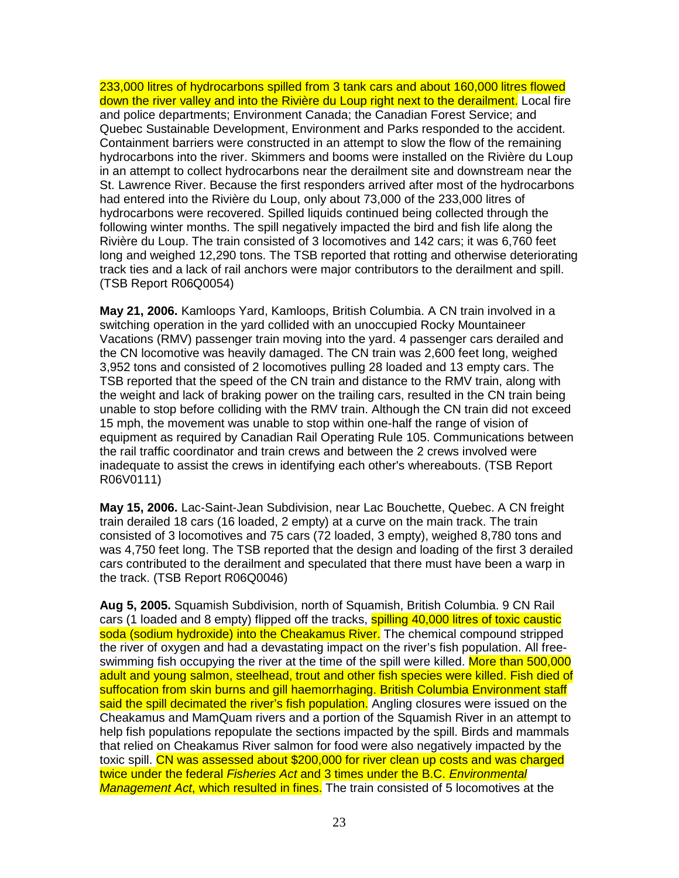233,000 litres of hydrocarbons spilled from 3 tank cars and about 160,000 litres flowed down the river valley and into the Rivière du Loup right next to the derailment. Local fire and police departments; Environment Canada; the Canadian Forest Service; and Quebec Sustainable Development, Environment and Parks responded to the accident. Containment barriers were constructed in an attempt to slow the flow of the remaining hydrocarbons into the river. Skimmers and booms were installed on the Rivière du Loup in an attempt to collect hydrocarbons near the derailment site and downstream near the St. Lawrence River. Because the first responders arrived after most of the hydrocarbons had entered into the Rivière du Loup, only about 73,000 of the 233,000 litres of hydrocarbons were recovered. Spilled liquids continued being collected through the following winter months. The spill negatively impacted the bird and fish life along the Rivière du Loup. The train consisted of 3 locomotives and 142 cars; it was 6,760 feet long and weighed 12,290 tons. The TSB reported that rotting and otherwise deteriorating track ties and a lack of rail anchors were major contributors to the derailment and spill. (TSB Report R06Q0054)

**May 21, 2006.** Kamloops Yard, Kamloops, British Columbia. A CN train involved in a switching operation in the yard collided with an unoccupied Rocky Mountaineer Vacations (RMV) passenger train moving into the yard. 4 passenger cars derailed and the CN locomotive was heavily damaged. The CN train was 2,600 feet long, weighed 3,952 tons and consisted of 2 locomotives pulling 28 loaded and 13 empty cars. The TSB reported that the speed of the CN train and distance to the RMV train, along with the weight and lack of braking power on the trailing cars, resulted in the CN train being unable to stop before colliding with the RMV train. Although the CN train did not exceed 15 mph, the movement was unable to stop within one-half the range of vision of equipment as required by Canadian Rail Operating Rule 105. Communications between the rail traffic coordinator and train crews and between the 2 crews involved were inadequate to assist the crews in identifying each other's whereabouts. (TSB Report R06V0111)

**May 15, 2006.** Lac-Saint-Jean Subdivision, near Lac Bouchette, Quebec. A CN freight train derailed 18 cars (16 loaded, 2 empty) at a curve on the main track. The train consisted of 3 locomotives and 75 cars (72 loaded, 3 empty), weighed 8,780 tons and was 4,750 feet long. The TSB reported that the design and loading of the first 3 derailed cars contributed to the derailment and speculated that there must have been a warp in the track. (TSB Report R06Q0046)

**Aug 5, 2005.** Squamish Subdivision, north of Squamish, British Columbia. 9 CN Rail cars (1 loaded and 8 empty) flipped off the tracks, **spilling 40,000 litres of toxic caustic** soda (sodium hydroxide) into the Cheakamus River. The chemical compound stripped the river of oxygen and had a devastating impact on the river's fish population. All freeswimming fish occupying the river at the time of the spill were killed. More than 500,000 adult and young salmon, steelhead, trout and other fish species were killed. Fish died of suffocation from skin burns and gill haemorrhaging. British Columbia Environment staff said the spill decimated the river's fish population. Angling closures were issued on the Cheakamus and MamQuam rivers and a portion of the Squamish River in an attempt to help fish populations repopulate the sections impacted by the spill. Birds and mammals that relied on Cheakamus River salmon for food were also negatively impacted by the toxic spill. CN was assessed about \$200,000 for river clean up costs and was charged twice under the federal Fisheries Act and 3 times under the B.C. Environmental Management Act, which resulted in fines. The train consisted of 5 locomotives at the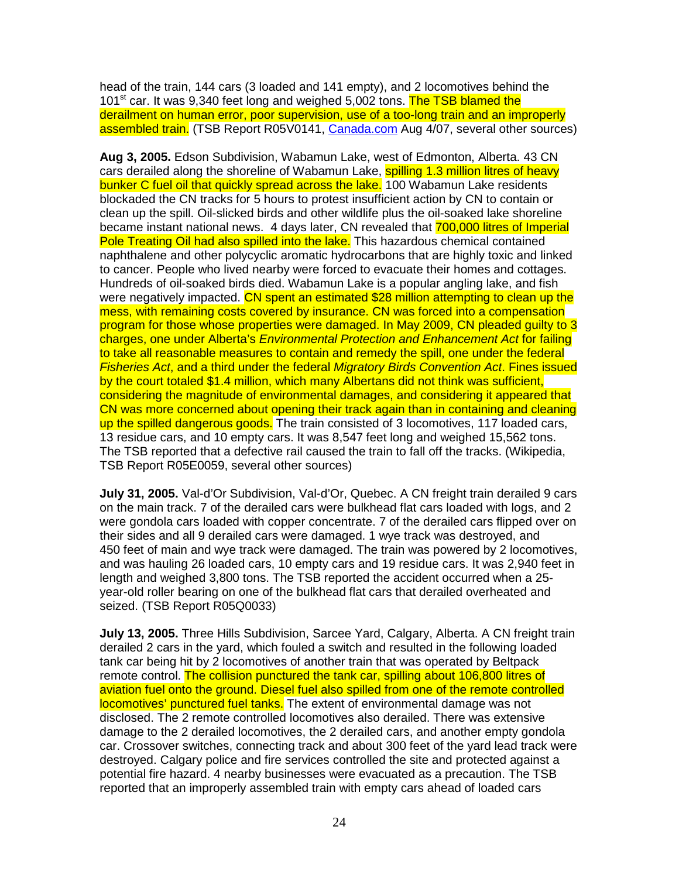head of the train, 144 cars (3 loaded and 141 empty), and 2 locomotives behind the 101<sup>st</sup> car. It was 9,340 feet long and weighed 5,002 tons. The TSB blamed the derailment on human error, poor supervision, use of a too-long train and an improperly assembled train. (TSB Report R05V0141, Canada.com Aug 4/07, several other sources)

**Aug 3, 2005.** Edson Subdivision, Wabamun Lake, west of Edmonton, Alberta. 43 CN cars derailed along the shoreline of Wabamun Lake, spilling 1.3 million litres of heavy bunker C fuel oil that quickly spread across the lake. 100 Wabamun Lake residents blockaded the CN tracks for 5 hours to protest insufficient action by CN to contain or clean up the spill. Oil-slicked birds and other wildlife plus the oil-soaked lake shoreline became instant national news. 4 days later, CN revealed that 700,000 litres of Imperial Pole Treating Oil had also spilled into the lake. This hazardous chemical contained naphthalene and other polycyclic aromatic hydrocarbons that are highly toxic and linked to cancer. People who lived nearby were forced to evacuate their homes and cottages. Hundreds of oil-soaked birds died. Wabamun Lake is a popular angling lake, and fish were negatively impacted. CN spent an estimated \$28 million attempting to clean up the mess, with remaining costs covered by insurance. CN was forced into a compensation program for those whose properties were damaged. In May 2009, CN pleaded guilty to 3 charges, one under Alberta's Environmental Protection and Enhancement Act for failing to take all reasonable measures to contain and remedy the spill, one under the federal Fisheries Act, and a third under the federal Migratory Birds Convention Act. Fines issued by the court totaled \$1.4 million, which many Albertans did not think was sufficient, considering the magnitude of environmental damages, and considering it appeared that CN was more concerned about opening their track again than in containing and cleaning up the spilled dangerous goods. The train consisted of 3 locomotives, 117 loaded cars, 13 residue cars, and 10 empty cars. It was 8,547 feet long and weighed 15,562 tons. The TSB reported that a defective rail caused the train to fall off the tracks. (Wikipedia, TSB Report R05E0059, several other sources)

**July 31, 2005.** Val-d'Or Subdivision, Val-d'Or, Quebec. A CN freight train derailed 9 cars on the main track. 7 of the derailed cars were bulkhead flat cars loaded with logs, and 2 were gondola cars loaded with copper concentrate. 7 of the derailed cars flipped over on their sides and all 9 derailed cars were damaged. 1 wye track was destroyed, and 450 feet of main and wye track were damaged. The train was powered by 2 locomotives, and was hauling 26 loaded cars, 10 empty cars and 19 residue cars. It was 2,940 feet in length and weighed 3,800 tons. The TSB reported the accident occurred when a 25 year-old roller bearing on one of the bulkhead flat cars that derailed overheated and seized. (TSB Report R05Q0033)

**July 13, 2005.** Three Hills Subdivision, Sarcee Yard, Calgary, Alberta. A CN freight train derailed 2 cars in the yard, which fouled a switch and resulted in the following loaded tank car being hit by 2 locomotives of another train that was operated by Beltpack remote control. The collision punctured the tank car, spilling about 106,800 litres of aviation fuel onto the ground. Diesel fuel also spilled from one of the remote controlled locomotives' punctured fuel tanks. The extent of environmental damage was not disclosed. The 2 remote controlled locomotives also derailed. There was extensive damage to the 2 derailed locomotives, the 2 derailed cars, and another empty gondola car. Crossover switches, connecting track and about 300 feet of the yard lead track were destroyed. Calgary police and fire services controlled the site and protected against a potential fire hazard. 4 nearby businesses were evacuated as a precaution. The TSB reported that an improperly assembled train with empty cars ahead of loaded cars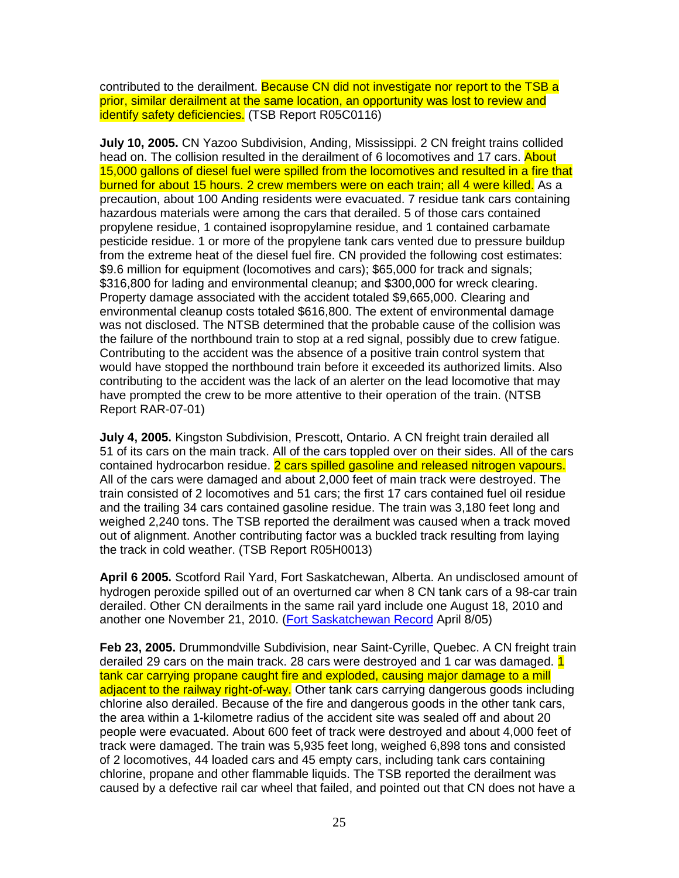contributed to the derailment. Because CN did not investigate nor report to the TSB a prior, similar derailment at the same location, an opportunity was lost to review and identify safety deficiencies. (TSB Report R05C0116)

**July 10, 2005.** CN Yazoo Subdivision, Anding, Mississippi. 2 CN freight trains collided head on. The collision resulted in the derailment of 6 locomotives and 17 cars. About 15,000 gallons of diesel fuel were spilled from the locomotives and resulted in a fire that burned for about 15 hours. 2 crew members were on each train; all 4 were killed. As a precaution, about 100 Anding residents were evacuated. 7 residue tank cars containing hazardous materials were among the cars that derailed. 5 of those cars contained propylene residue, 1 contained isopropylamine residue, and 1 contained carbamate pesticide residue. 1 or more of the propylene tank cars vented due to pressure buildup from the extreme heat of the diesel fuel fire. CN provided the following cost estimates: \$9.6 million for equipment (locomotives and cars); \$65,000 for track and signals; \$316,800 for lading and environmental cleanup; and \$300,000 for wreck clearing. Property damage associated with the accident totaled \$9,665,000. Clearing and environmental cleanup costs totaled \$616,800. The extent of environmental damage was not disclosed. The NTSB determined that the probable cause of the collision was the failure of the northbound train to stop at a red signal, possibly due to crew fatigue. Contributing to the accident was the absence of a positive train control system that would have stopped the northbound train before it exceeded its authorized limits. Also contributing to the accident was the lack of an alerter on the lead locomotive that may have prompted the crew to be more attentive to their operation of the train. (NTSB Report RAR-07-01)

**July 4, 2005.** Kingston Subdivision, Prescott, Ontario. A CN freight train derailed all 51 of its cars on the main track. All of the cars toppled over on their sides. All of the cars contained hydrocarbon residue. 2 cars spilled gasoline and released nitrogen vapours. All of the cars were damaged and about 2,000 feet of main track were destroyed. The train consisted of 2 locomotives and 51 cars; the first 17 cars contained fuel oil residue and the trailing 34 cars contained gasoline residue. The train was 3,180 feet long and weighed 2,240 tons. The TSB reported the derailment was caused when a track moved out of alignment. Another contributing factor was a buckled track resulting from laying the track in cold weather. (TSB Report R05H0013)

**April 6 2005.** Scotford Rail Yard, Fort Saskatchewan, Alberta. An undisclosed amount of hydrogen peroxide spilled out of an overturned car when 8 CN tank cars of a 98-car train derailed. Other CN derailments in the same rail yard include one August 18, 2010 and another one November 21, 2010. (Fort Saskatchewan Record April 8/05)

**Feb 23, 2005.** Drummondville Subdivision, near Saint-Cyrille, Quebec. A CN freight train derailed 29 cars on the main track. 28 cars were destroyed and 1 car was damaged. 1 tank car carrying propane caught fire and exploded, causing major damage to a mill adjacent to the railway right-of-way. Other tank cars carrying dangerous goods including chlorine also derailed. Because of the fire and dangerous goods in the other tank cars, the area within a 1-kilometre radius of the accident site was sealed off and about 20 people were evacuated. About 600 feet of track were destroyed and about 4,000 feet of track were damaged. The train was 5,935 feet long, weighed 6,898 tons and consisted of 2 locomotives, 44 loaded cars and 45 empty cars, including tank cars containing chlorine, propane and other flammable liquids. The TSB reported the derailment was caused by a defective rail car wheel that failed, and pointed out that CN does not have a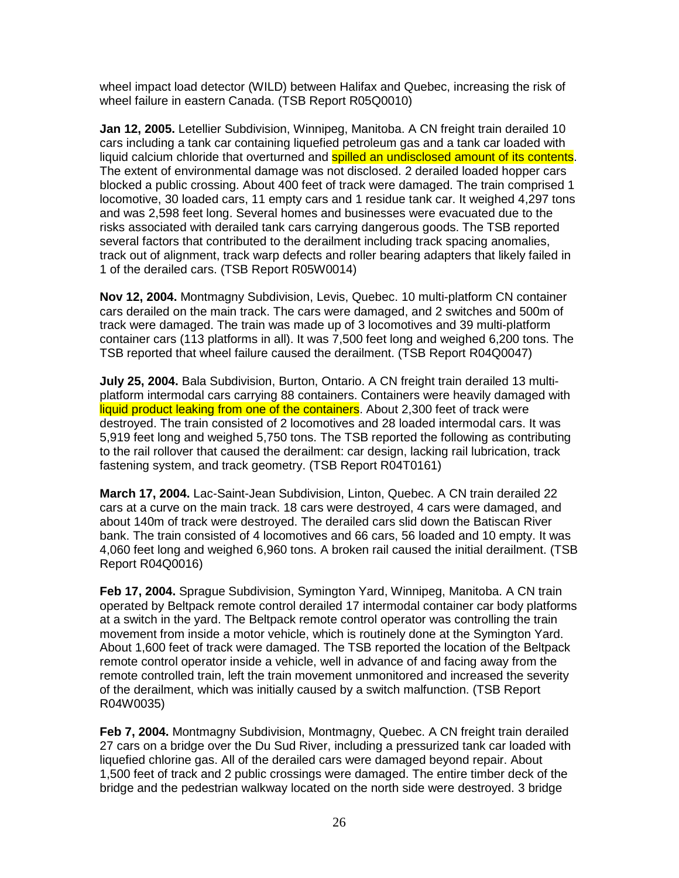wheel impact load detector (WILD) between Halifax and Quebec, increasing the risk of wheel failure in eastern Canada. (TSB Report R05Q0010)

**Jan 12, 2005.** Letellier Subdivision, Winnipeg, Manitoba. A CN freight train derailed 10 cars including a tank car containing liquefied petroleum gas and a tank car loaded with liquid calcium chloride that overturned and spilled an undisclosed amount of its contents. The extent of environmental damage was not disclosed. 2 derailed loaded hopper cars blocked a public crossing. About 400 feet of track were damaged. The train comprised 1 locomotive, 30 loaded cars, 11 empty cars and 1 residue tank car. It weighed 4,297 tons and was 2,598 feet long. Several homes and businesses were evacuated due to the risks associated with derailed tank cars carrying dangerous goods. The TSB reported several factors that contributed to the derailment including track spacing anomalies, track out of alignment, track warp defects and roller bearing adapters that likely failed in 1 of the derailed cars. (TSB Report R05W0014)

**Nov 12, 2004.** Montmagny Subdivision, Levis, Quebec. 10 multi-platform CN container cars derailed on the main track. The cars were damaged, and 2 switches and 500m of track were damaged. The train was made up of 3 locomotives and 39 multi-platform container cars (113 platforms in all). It was 7,500 feet long and weighed 6,200 tons. The TSB reported that wheel failure caused the derailment. (TSB Report R04Q0047)

**July 25, 2004.** Bala Subdivision, Burton, Ontario. A CN freight train derailed 13 multiplatform intermodal cars carrying 88 containers. Containers were heavily damaged with liquid product leaking from one of the containers. About 2,300 feet of track were destroyed. The train consisted of 2 locomotives and 28 loaded intermodal cars. It was 5,919 feet long and weighed 5,750 tons. The TSB reported the following as contributing to the rail rollover that caused the derailment: car design, lacking rail lubrication, track fastening system, and track geometry. (TSB Report R04T0161)

**March 17, 2004.** Lac-Saint-Jean Subdivision, Linton, Quebec. A CN train derailed 22 cars at a curve on the main track. 18 cars were destroyed, 4 cars were damaged, and about 140m of track were destroyed. The derailed cars slid down the Batiscan River bank. The train consisted of 4 locomotives and 66 cars, 56 loaded and 10 empty. It was 4,060 feet long and weighed 6,960 tons. A broken rail caused the initial derailment. (TSB Report R04Q0016)

**Feb 17, 2004.** Sprague Subdivision, Symington Yard, Winnipeg, Manitoba. A CN train operated by Beltpack remote control derailed 17 intermodal container car body platforms at a switch in the yard. The Beltpack remote control operator was controlling the train movement from inside a motor vehicle, which is routinely done at the Symington Yard. About 1,600 feet of track were damaged. The TSB reported the location of the Beltpack remote control operator inside a vehicle, well in advance of and facing away from the remote controlled train, left the train movement unmonitored and increased the severity of the derailment, which was initially caused by a switch malfunction. (TSB Report R04W0035)

**Feb 7, 2004.** Montmagny Subdivision, Montmagny, Quebec. A CN freight train derailed 27 cars on a bridge over the Du Sud River, including a pressurized tank car loaded with liquefied chlorine gas. All of the derailed cars were damaged beyond repair. About 1,500 feet of track and 2 public crossings were damaged. The entire timber deck of the bridge and the pedestrian walkway located on the north side were destroyed. 3 bridge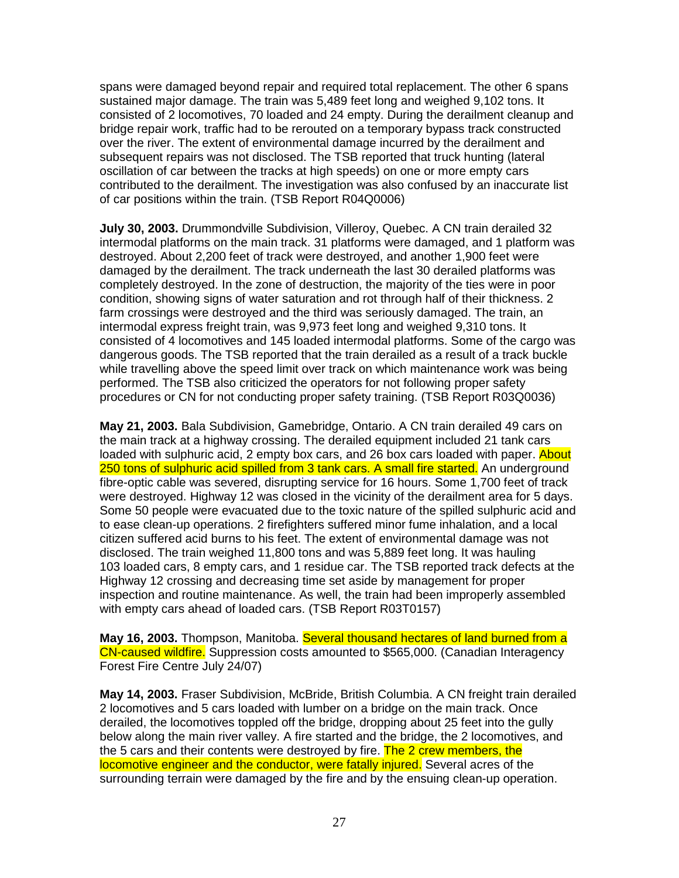spans were damaged beyond repair and required total replacement. The other 6 spans sustained major damage. The train was 5,489 feet long and weighed 9,102 tons. It consisted of 2 locomotives, 70 loaded and 24 empty. During the derailment cleanup and bridge repair work, traffic had to be rerouted on a temporary bypass track constructed over the river. The extent of environmental damage incurred by the derailment and subsequent repairs was not disclosed. The TSB reported that truck hunting (lateral oscillation of car between the tracks at high speeds) on one or more empty cars contributed to the derailment. The investigation was also confused by an inaccurate list of car positions within the train. (TSB Report R04Q0006)

**July 30, 2003.** Drummondville Subdivision, Villeroy, Quebec. A CN train derailed 32 intermodal platforms on the main track. 31 platforms were damaged, and 1 platform was destroyed. About 2,200 feet of track were destroyed, and another 1,900 feet were damaged by the derailment. The track underneath the last 30 derailed platforms was completely destroyed. In the zone of destruction, the majority of the ties were in poor condition, showing signs of water saturation and rot through half of their thickness. 2 farm crossings were destroyed and the third was seriously damaged. The train, an intermodal express freight train, was 9,973 feet long and weighed 9,310 tons. It consisted of 4 locomotives and 145 loaded intermodal platforms. Some of the cargo was dangerous goods. The TSB reported that the train derailed as a result of a track buckle while travelling above the speed limit over track on which maintenance work was being performed. The TSB also criticized the operators for not following proper safety procedures or CN for not conducting proper safety training. (TSB Report R03Q0036)

**May 21, 2003.** Bala Subdivision, Gamebridge, Ontario. A CN train derailed 49 cars on the main track at a highway crossing. The derailed equipment included 21 tank cars loaded with sulphuric acid, 2 empty box cars, and 26 box cars loaded with paper. About 250 tons of sulphuric acid spilled from 3 tank cars. A small fire started. An underground fibre-optic cable was severed, disrupting service for 16 hours. Some 1,700 feet of track were destroyed. Highway 12 was closed in the vicinity of the derailment area for 5 days. Some 50 people were evacuated due to the toxic nature of the spilled sulphuric acid and to ease clean-up operations. 2 firefighters suffered minor fume inhalation, and a local citizen suffered acid burns to his feet. The extent of environmental damage was not disclosed. The train weighed 11,800 tons and was 5,889 feet long. It was hauling 103 loaded cars, 8 empty cars, and 1 residue car. The TSB reported track defects at the Highway 12 crossing and decreasing time set aside by management for proper inspection and routine maintenance. As well, the train had been improperly assembled with empty cars ahead of loaded cars. (TSB Report R03T0157)

**May 16, 2003.** Thompson, Manitoba. Several thousand hectares of land burned from a CN-caused wildfire. Suppression costs amounted to \$565,000. (Canadian Interagency Forest Fire Centre July 24/07)

**May 14, 2003.** Fraser Subdivision, McBride, British Columbia. A CN freight train derailed 2 locomotives and 5 cars loaded with lumber on a bridge on the main track. Once derailed, the locomotives toppled off the bridge, dropping about 25 feet into the gully below along the main river valley. A fire started and the bridge, the 2 locomotives, and the 5 cars and their contents were destroyed by fire. The 2 crew members, the locomotive engineer and the conductor, were fatally injured. Several acres of the surrounding terrain were damaged by the fire and by the ensuing clean-up operation.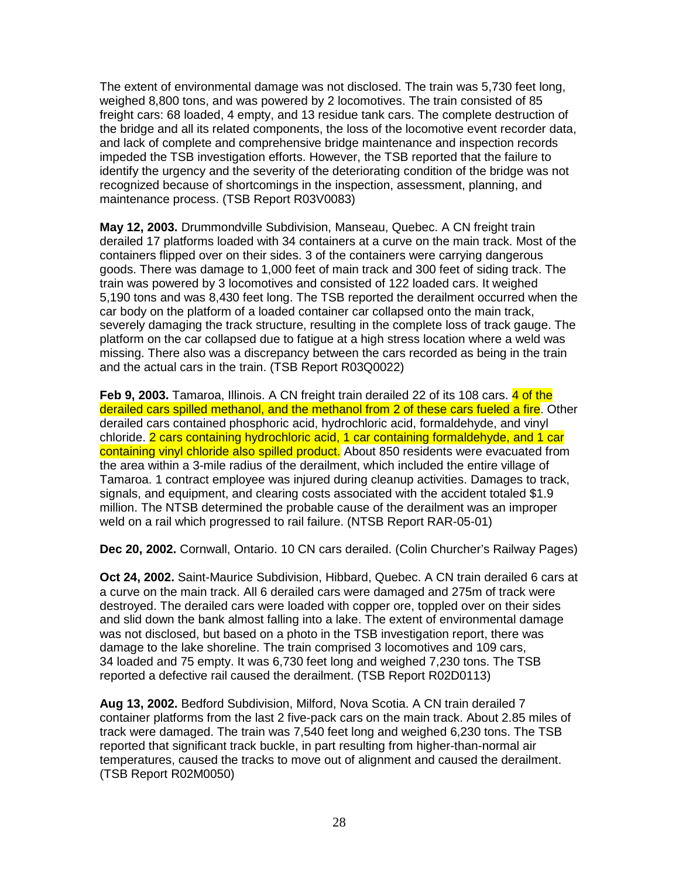The extent of environmental damage was not disclosed. The train was 5,730 feet long, weighed 8,800 tons, and was powered by 2 locomotives. The train consisted of 85 freight cars: 68 loaded, 4 empty, and 13 residue tank cars. The complete destruction of the bridge and all its related components, the loss of the locomotive event recorder data, and lack of complete and comprehensive bridge maintenance and inspection records impeded the TSB investigation efforts. However, the TSB reported that the failure to identify the urgency and the severity of the deteriorating condition of the bridge was not recognized because of shortcomings in the inspection, assessment, planning, and maintenance process. (TSB Report R03V0083)

**May 12, 2003.** Drummondville Subdivision, Manseau, Quebec. A CN freight train derailed 17 platforms loaded with 34 containers at a curve on the main track. Most of the containers flipped over on their sides. 3 of the containers were carrying dangerous goods. There was damage to 1,000 feet of main track and 300 feet of siding track. The train was powered by 3 locomotives and consisted of 122 loaded cars. It weighed 5,190 tons and was 8,430 feet long. The TSB reported the derailment occurred when the car body on the platform of a loaded container car collapsed onto the main track, severely damaging the track structure, resulting in the complete loss of track gauge. The platform on the car collapsed due to fatigue at a high stress location where a weld was missing. There also was a discrepancy between the cars recorded as being in the train and the actual cars in the train. (TSB Report R03Q0022)

**Feb 9, 2003.** Tamaroa, Illinois. A CN freight train derailed 22 of its 108 cars. 4 of the derailed cars spilled methanol, and the methanol from 2 of these cars fueled a fire. Other derailed cars contained phosphoric acid, hydrochloric acid, formaldehyde, and vinyl chloride. 2 cars containing hydrochloric acid, 1 car containing formaldehyde, and 1 car containing vinyl chloride also spilled product. About 850 residents were evacuated from the area within a 3-mile radius of the derailment, which included the entire village of Tamaroa. 1 contract employee was injured during cleanup activities. Damages to track, signals, and equipment, and clearing costs associated with the accident totaled \$1.9 million. The NTSB determined the probable cause of the derailment was an improper weld on a rail which progressed to rail failure. (NTSB Report RAR-05-01)

**Dec 20, 2002.** Cornwall, Ontario. 10 CN cars derailed. (Colin Churcher's Railway Pages)

**Oct 24, 2002.** Saint-Maurice Subdivision, Hibbard, Quebec. A CN train derailed 6 cars at a curve on the main track. All 6 derailed cars were damaged and 275m of track were destroyed. The derailed cars were loaded with copper ore, toppled over on their sides and slid down the bank almost falling into a lake. The extent of environmental damage was not disclosed, but based on a photo in the TSB investigation report, there was damage to the lake shoreline. The train comprised 3 locomotives and 109 cars, 34 loaded and 75 empty. It was 6,730 feet long and weighed 7,230 tons. The TSB reported a defective rail caused the derailment. (TSB Report R02D0113)

**Aug 13, 2002.** Bedford Subdivision, Milford, Nova Scotia. A CN train derailed 7 container platforms from the last 2 five-pack cars on the main track. About 2.85 miles of track were damaged. The train was 7,540 feet long and weighed 6,230 tons. The TSB reported that significant track buckle, in part resulting from higher-than-normal air temperatures, caused the tracks to move out of alignment and caused the derailment. (TSB Report R02M0050)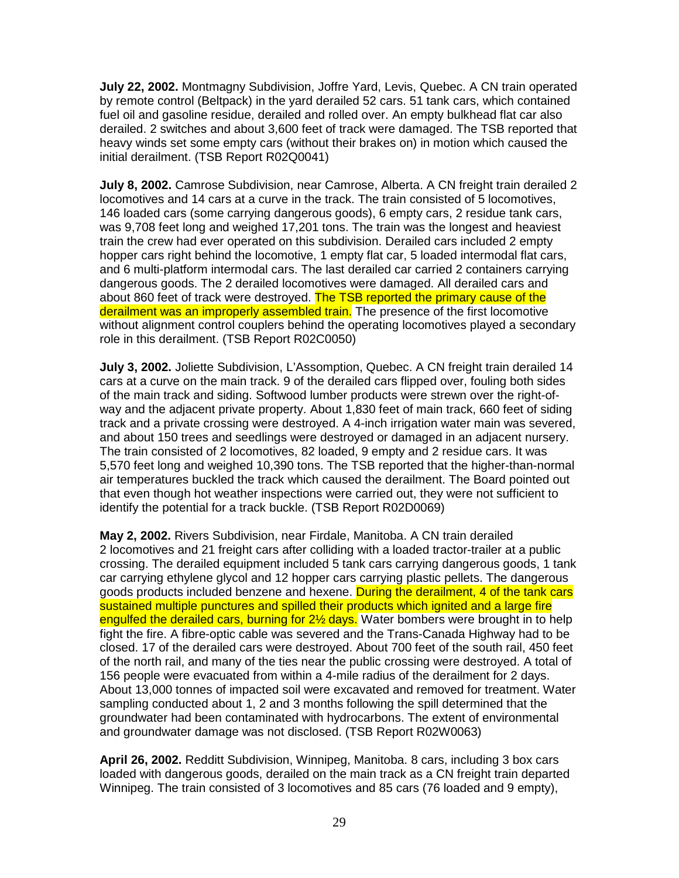**July 22, 2002.** Montmagny Subdivision, Joffre Yard, Levis, Quebec. A CN train operated by remote control (Beltpack) in the yard derailed 52 cars. 51 tank cars, which contained fuel oil and gasoline residue, derailed and rolled over. An empty bulkhead flat car also derailed. 2 switches and about 3,600 feet of track were damaged. The TSB reported that heavy winds set some empty cars (without their brakes on) in motion which caused the initial derailment. (TSB Report R02Q0041)

**July 8, 2002.** Camrose Subdivision, near Camrose, Alberta. A CN freight train derailed 2 locomotives and 14 cars at a curve in the track. The train consisted of 5 locomotives, 146 loaded cars (some carrying dangerous goods), 6 empty cars, 2 residue tank cars, was 9,708 feet long and weighed 17,201 tons. The train was the longest and heaviest train the crew had ever operated on this subdivision. Derailed cars included 2 empty hopper cars right behind the locomotive, 1 empty flat car, 5 loaded intermodal flat cars, and 6 multi-platform intermodal cars. The last derailed car carried 2 containers carrying dangerous goods. The 2 derailed locomotives were damaged. All derailed cars and about 860 feet of track were destroyed. The TSB reported the primary cause of the derailment was an improperly assembled train. The presence of the first locomotive without alignment control couplers behind the operating locomotives played a secondary role in this derailment. (TSB Report R02C0050)

**July 3, 2002.** Joliette Subdivision, L'Assomption, Quebec. A CN freight train derailed 14 cars at a curve on the main track. 9 of the derailed cars flipped over, fouling both sides of the main track and siding. Softwood lumber products were strewn over the right-ofway and the adjacent private property. About 1,830 feet of main track, 660 feet of siding track and a private crossing were destroyed. A 4-inch irrigation water main was severed, and about 150 trees and seedlings were destroyed or damaged in an adjacent nursery. The train consisted of 2 locomotives, 82 loaded, 9 empty and 2 residue cars. It was 5,570 feet long and weighed 10,390 tons. The TSB reported that the higher-than-normal air temperatures buckled the track which caused the derailment. The Board pointed out that even though hot weather inspections were carried out, they were not sufficient to identify the potential for a track buckle. (TSB Report R02D0069)

**May 2, 2002.** Rivers Subdivision, near Firdale, Manitoba. A CN train derailed 2 locomotives and 21 freight cars after colliding with a loaded tractor-trailer at a public crossing. The derailed equipment included 5 tank cars carrying dangerous goods, 1 tank car carrying ethylene glycol and 12 hopper cars carrying plastic pellets. The dangerous goods products included benzene and hexene. During the derailment, 4 of the tank cars sustained multiple punctures and spilled their products which ignited and a large fire engulfed the derailed cars, burning for 2<sup>1/2</sup> days. Water bombers were brought in to help fight the fire. A fibre-optic cable was severed and the Trans-Canada Highway had to be closed. 17 of the derailed cars were destroyed. About 700 feet of the south rail, 450 feet of the north rail, and many of the ties near the public crossing were destroyed. A total of 156 people were evacuated from within a 4-mile radius of the derailment for 2 days. About 13,000 tonnes of impacted soil were excavated and removed for treatment. Water sampling conducted about 1, 2 and 3 months following the spill determined that the groundwater had been contaminated with hydrocarbons. The extent of environmental and groundwater damage was not disclosed. (TSB Report R02W0063)

**April 26, 2002.** Redditt Subdivision, Winnipeg, Manitoba. 8 cars, including 3 box cars loaded with dangerous goods, derailed on the main track as a CN freight train departed Winnipeg. The train consisted of 3 locomotives and 85 cars (76 loaded and 9 empty),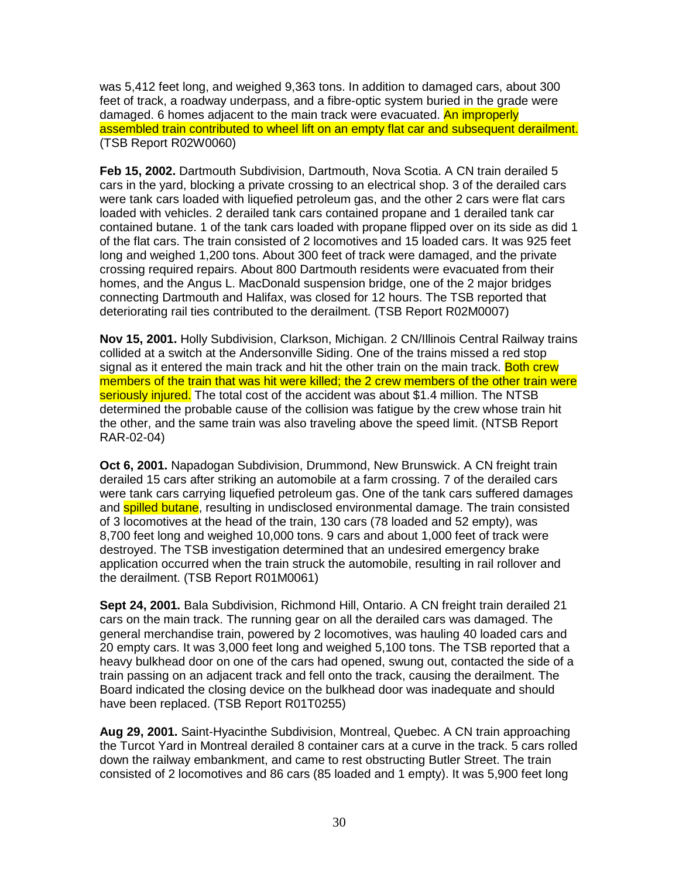was 5,412 feet long, and weighed 9,363 tons. In addition to damaged cars, about 300 feet of track, a roadway underpass, and a fibre-optic system buried in the grade were damaged. 6 homes adjacent to the main track were evacuated. An improperly assembled train contributed to wheel lift on an empty flat car and subsequent derailment. (TSB Report R02W0060)

**Feb 15, 2002.** Dartmouth Subdivision, Dartmouth, Nova Scotia. A CN train derailed 5 cars in the yard, blocking a private crossing to an electrical shop. 3 of the derailed cars were tank cars loaded with liquefied petroleum gas, and the other 2 cars were flat cars loaded with vehicles. 2 derailed tank cars contained propane and 1 derailed tank car contained butane. 1 of the tank cars loaded with propane flipped over on its side as did 1 of the flat cars. The train consisted of 2 locomotives and 15 loaded cars. It was 925 feet long and weighed 1,200 tons. About 300 feet of track were damaged, and the private crossing required repairs. About 800 Dartmouth residents were evacuated from their homes, and the Angus L. MacDonald suspension bridge, one of the 2 major bridges connecting Dartmouth and Halifax, was closed for 12 hours. The TSB reported that deteriorating rail ties contributed to the derailment. (TSB Report R02M0007)

**Nov 15, 2001.** Holly Subdivision, Clarkson, Michigan. 2 CN/Illinois Central Railway trains collided at a switch at the Andersonville Siding. One of the trains missed a red stop signal as it entered the main track and hit the other train on the main track. Both crew members of the train that was hit were killed; the 2 crew members of the other train were seriously injured. The total cost of the accident was about \$1.4 million. The NTSB determined the probable cause of the collision was fatigue by the crew whose train hit the other, and the same train was also traveling above the speed limit. (NTSB Report RAR-02-04)

**Oct 6, 2001.** Napadogan Subdivision, Drummond, New Brunswick. A CN freight train derailed 15 cars after striking an automobile at a farm crossing. 7 of the derailed cars were tank cars carrying liquefied petroleum gas. One of the tank cars suffered damages and **spilled butane**, resulting in undisclosed environmental damage. The train consisted of 3 locomotives at the head of the train, 130 cars (78 loaded and 52 empty), was 8,700 feet long and weighed 10,000 tons. 9 cars and about 1,000 feet of track were destroyed. The TSB investigation determined that an undesired emergency brake application occurred when the train struck the automobile, resulting in rail rollover and the derailment. (TSB Report R01M0061)

**Sept 24, 2001.** Bala Subdivision, Richmond Hill, Ontario. A CN freight train derailed 21 cars on the main track. The running gear on all the derailed cars was damaged. The general merchandise train, powered by 2 locomotives, was hauling 40 loaded cars and 20 empty cars. It was 3,000 feet long and weighed 5,100 tons. The TSB reported that a heavy bulkhead door on one of the cars had opened, swung out, contacted the side of a train passing on an adjacent track and fell onto the track, causing the derailment. The Board indicated the closing device on the bulkhead door was inadequate and should have been replaced. (TSB Report R01T0255)

**Aug 29, 2001.** Saint-Hyacinthe Subdivision, Montreal, Quebec. A CN train approaching the Turcot Yard in Montreal derailed 8 container cars at a curve in the track. 5 cars rolled down the railway embankment, and came to rest obstructing Butler Street. The train consisted of 2 locomotives and 86 cars (85 loaded and 1 empty). It was 5,900 feet long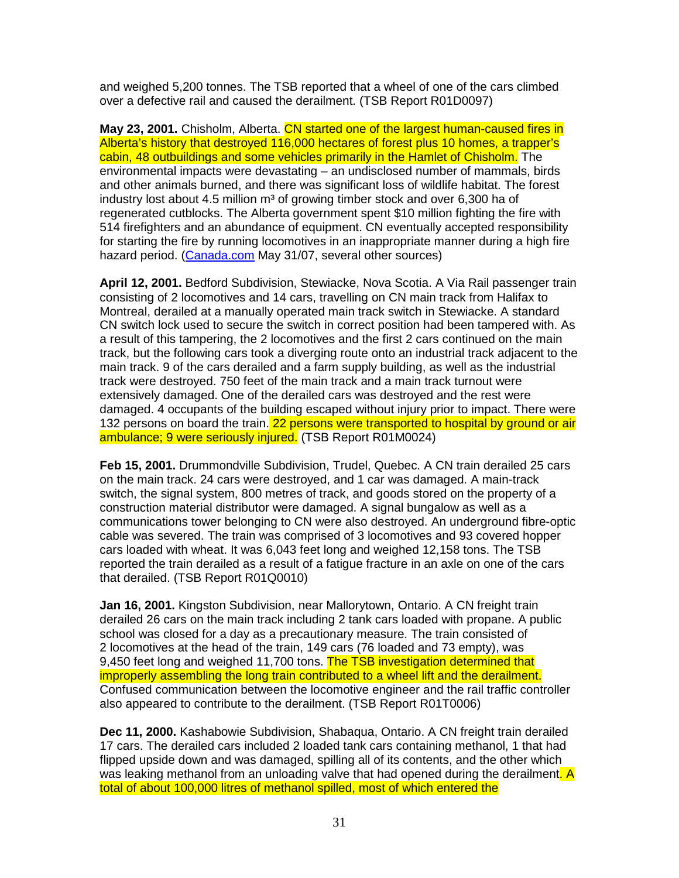and weighed 5,200 tonnes. The TSB reported that a wheel of one of the cars climbed over a defective rail and caused the derailment. (TSB Report R01D0097)

**May 23, 2001.** Chisholm, Alberta. CN started one of the largest human-caused fires in Alberta's history that destroyed 116,000 hectares of forest plus 10 homes, a trapper's cabin, 48 outbuildings and some vehicles primarily in the Hamlet of Chisholm. The environmental impacts were devastating – an undisclosed number of mammals, birds and other animals burned, and there was significant loss of wildlife habitat. The forest industry lost about 4.5 million  $m<sup>3</sup>$  of growing timber stock and over 6,300 ha of regenerated cutblocks. The Alberta government spent \$10 million fighting the fire with 514 firefighters and an abundance of equipment. CN eventually accepted responsibility for starting the fire by running locomotives in an inappropriate manner during a high fire hazard period. (Canada.com May 31/07, several other sources)

**April 12, 2001.** Bedford Subdivision, Stewiacke, Nova Scotia. A Via Rail passenger train consisting of 2 locomotives and 14 cars, travelling on CN main track from Halifax to Montreal, derailed at a manually operated main track switch in Stewiacke. A standard CN switch lock used to secure the switch in correct position had been tampered with. As a result of this tampering, the 2 locomotives and the first 2 cars continued on the main track, but the following cars took a diverging route onto an industrial track adjacent to the main track. 9 of the cars derailed and a farm supply building, as well as the industrial track were destroyed. 750 feet of the main track and a main track turnout were extensively damaged. One of the derailed cars was destroyed and the rest were damaged. 4 occupants of the building escaped without injury prior to impact. There were 132 persons on board the train. 22 persons were transported to hospital by ground or air ambulance; 9 were seriously injured. (TSB Report R01M0024)

**Feb 15, 2001.** Drummondville Subdivision, Trudel, Quebec. A CN train derailed 25 cars on the main track. 24 cars were destroyed, and 1 car was damaged. A main-track switch, the signal system, 800 metres of track, and goods stored on the property of a construction material distributor were damaged. A signal bungalow as well as a communications tower belonging to CN were also destroyed. An underground fibre-optic cable was severed. The train was comprised of 3 locomotives and 93 covered hopper cars loaded with wheat. It was 6,043 feet long and weighed 12,158 tons. The TSB reported the train derailed as a result of a fatigue fracture in an axle on one of the cars that derailed. (TSB Report R01Q0010)

**Jan 16, 2001.** Kingston Subdivision, near Mallorytown, Ontario. A CN freight train derailed 26 cars on the main track including 2 tank cars loaded with propane. A public school was closed for a day as a precautionary measure. The train consisted of 2 locomotives at the head of the train, 149 cars (76 loaded and 73 empty), was 9,450 feet long and weighed 11,700 tons. The TSB investigation determined that improperly assembling the long train contributed to a wheel lift and the derailment. Confused communication between the locomotive engineer and the rail traffic controller also appeared to contribute to the derailment. (TSB Report R01T0006)

**Dec 11, 2000.** Kashabowie Subdivision, Shabaqua, Ontario. A CN freight train derailed 17 cars. The derailed cars included 2 loaded tank cars containing methanol, 1 that had flipped upside down and was damaged, spilling all of its contents, and the other which was leaking methanol from an unloading valve that had opened during the derailment. A total of about 100,000 litres of methanol spilled, most of which entered the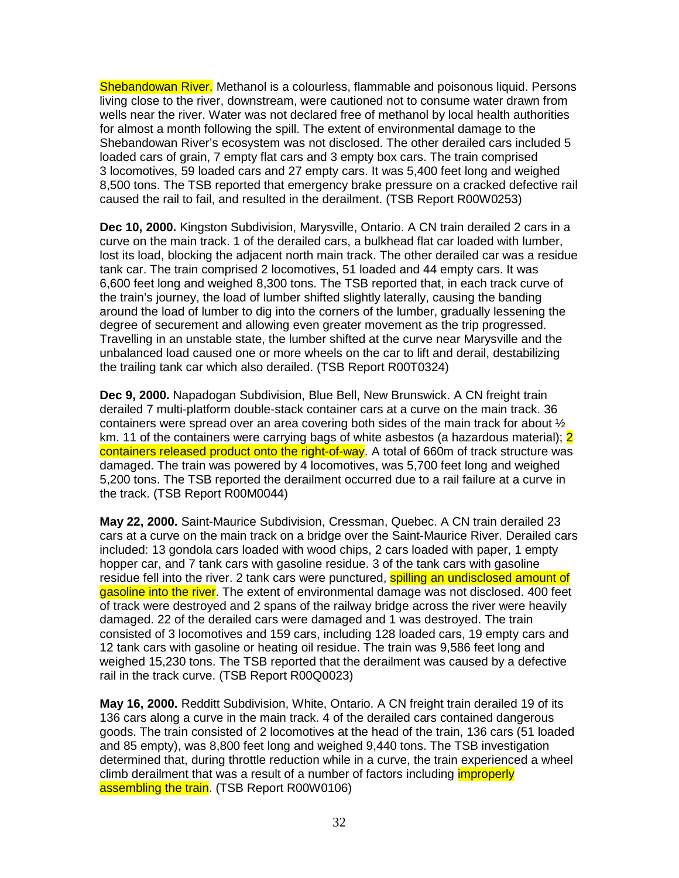Shebandowan River. Methanol is a colourless, flammable and poisonous liquid. Persons living close to the river, downstream, were cautioned not to consume water drawn from wells near the river. Water was not declared free of methanol by local health authorities for almost a month following the spill. The extent of environmental damage to the Shebandowan River's ecosystem was not disclosed. The other derailed cars included 5 loaded cars of grain, 7 empty flat cars and 3 empty box cars. The train comprised 3 locomotives, 59 loaded cars and 27 empty cars. It was 5,400 feet long and weighed 8,500 tons. The TSB reported that emergency brake pressure on a cracked defective rail caused the rail to fail, and resulted in the derailment. (TSB Report R00W0253)

**Dec 10, 2000.** Kingston Subdivision, Marysville, Ontario. A CN train derailed 2 cars in a curve on the main track. 1 of the derailed cars, a bulkhead flat car loaded with lumber, lost its load, blocking the adjacent north main track. The other derailed car was a residue tank car. The train comprised 2 locomotives, 51 loaded and 44 empty cars. It was 6,600 feet long and weighed 8,300 tons. The TSB reported that, in each track curve of the train's journey, the load of lumber shifted slightly laterally, causing the banding around the load of lumber to dig into the corners of the lumber, gradually lessening the degree of securement and allowing even greater movement as the trip progressed. Travelling in an unstable state, the lumber shifted at the curve near Marysville and the unbalanced load caused one or more wheels on the car to lift and derail, destabilizing the trailing tank car which also derailed. (TSB Report R00T0324)

**Dec 9, 2000.** Napadogan Subdivision, Blue Bell, New Brunswick. A CN freight train derailed 7 multi-platform double-stack container cars at a curve on the main track. 36 containers were spread over an area covering both sides of the main track for about  $\frac{1}{2}$ km. 11 of the containers were carrying bags of white asbestos (a hazardous material); 2 containers released product onto the right-of-way. A total of 660m of track structure was damaged. The train was powered by 4 locomotives, was 5,700 feet long and weighed 5,200 tons. The TSB reported the derailment occurred due to a rail failure at a curve in the track. (TSB Report R00M0044)

**May 22, 2000.** Saint-Maurice Subdivision, Cressman, Quebec. A CN train derailed 23 cars at a curve on the main track on a bridge over the Saint-Maurice River. Derailed cars included: 13 gondola cars loaded with wood chips, 2 cars loaded with paper, 1 empty hopper car, and 7 tank cars with gasoline residue. 3 of the tank cars with gasoline residue fell into the river. 2 tank cars were punctured, **spilling an undisclosed amount of** gasoline into the river. The extent of environmental damage was not disclosed. 400 feet of track were destroyed and 2 spans of the railway bridge across the river were heavily damaged. 22 of the derailed cars were damaged and 1 was destroyed. The train consisted of 3 locomotives and 159 cars, including 128 loaded cars, 19 empty cars and 12 tank cars with gasoline or heating oil residue. The train was 9,586 feet long and weighed 15,230 tons. The TSB reported that the derailment was caused by a defective rail in the track curve. (TSB Report R00Q0023)

**May 16, 2000.** Redditt Subdivision, White, Ontario. A CN freight train derailed 19 of its 136 cars along a curve in the main track. 4 of the derailed cars contained dangerous goods. The train consisted of 2 locomotives at the head of the train, 136 cars (51 loaded and 85 empty), was 8,800 feet long and weighed 9,440 tons. The TSB investigation determined that, during throttle reduction while in a curve, the train experienced a wheel climb derailment that was a result of a number of factors including *improperly* assembling the train. (TSB Report R00W0106)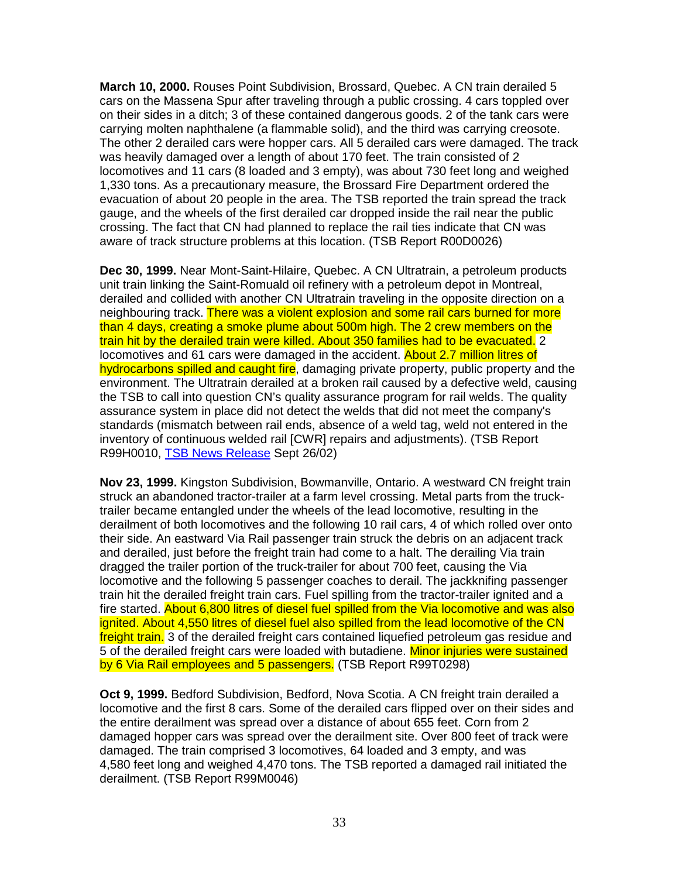**March 10, 2000.** Rouses Point Subdivision, Brossard, Quebec. A CN train derailed 5 cars on the Massena Spur after traveling through a public crossing. 4 cars toppled over on their sides in a ditch; 3 of these contained dangerous goods. 2 of the tank cars were carrying molten naphthalene (a flammable solid), and the third was carrying creosote. The other 2 derailed cars were hopper cars. All 5 derailed cars were damaged. The track was heavily damaged over a length of about 170 feet. The train consisted of 2 locomotives and 11 cars (8 loaded and 3 empty), was about 730 feet long and weighed 1,330 tons. As a precautionary measure, the Brossard Fire Department ordered the evacuation of about 20 people in the area. The TSB reported the train spread the track gauge, and the wheels of the first derailed car dropped inside the rail near the public crossing. The fact that CN had planned to replace the rail ties indicate that CN was aware of track structure problems at this location. (TSB Report R00D0026)

**Dec 30, 1999.** Near Mont-Saint-Hilaire, Quebec. A CN Ultratrain, a petroleum products unit train linking the Saint-Romuald oil refinery with a petroleum depot in Montreal, derailed and collided with another CN Ultratrain traveling in the opposite direction on a neighbouring track. There was a violent explosion and some rail cars burned for more than 4 days, creating a smoke plume about 500m high. The 2 crew members on the train hit by the derailed train were killed. About 350 families had to be evacuated. 2 locomotives and 61 cars were damaged in the accident. About 2.7 million litres of hydrocarbons spilled and caught fire, damaging private property, public property and the environment. The Ultratrain derailed at a broken rail caused by a defective weld, causing the TSB to call into question CN's quality assurance program for rail welds. The quality assurance system in place did not detect the welds that did not meet the company's standards (mismatch between rail ends, absence of a weld tag, weld not entered in the inventory of continuous welded rail [CWR] repairs and adjustments). (TSB Report R99H0010, TSB News Release Sept 26/02)

**Nov 23, 1999.** Kingston Subdivision, Bowmanville, Ontario. A westward CN freight train struck an abandoned tractor-trailer at a farm level crossing. Metal parts from the trucktrailer became entangled under the wheels of the lead locomotive, resulting in the derailment of both locomotives and the following 10 rail cars, 4 of which rolled over onto their side. An eastward Via Rail passenger train struck the debris on an adjacent track and derailed, just before the freight train had come to a halt. The derailing Via train dragged the trailer portion of the truck-trailer for about 700 feet, causing the Via locomotive and the following 5 passenger coaches to derail. The jackknifing passenger train hit the derailed freight train cars. Fuel spilling from the tractor-trailer ignited and a fire started. About 6,800 litres of diesel fuel spilled from the Via locomotive and was also ignited. About 4,550 litres of diesel fuel also spilled from the lead locomotive of the CN freight train. 3 of the derailed freight cars contained liquefied petroleum gas residue and 5 of the derailed freight cars were loaded with butadiene. Minor injuries were sustained by 6 Via Rail employees and 5 passengers. (TSB Report R99T0298)

**Oct 9, 1999.** Bedford Subdivision, Bedford, Nova Scotia. A CN freight train derailed a locomotive and the first 8 cars. Some of the derailed cars flipped over on their sides and the entire derailment was spread over a distance of about 655 feet. Corn from 2 damaged hopper cars was spread over the derailment site. Over 800 feet of track were damaged. The train comprised 3 locomotives, 64 loaded and 3 empty, and was 4,580 feet long and weighed 4,470 tons. The TSB reported a damaged rail initiated the derailment. (TSB Report R99M0046)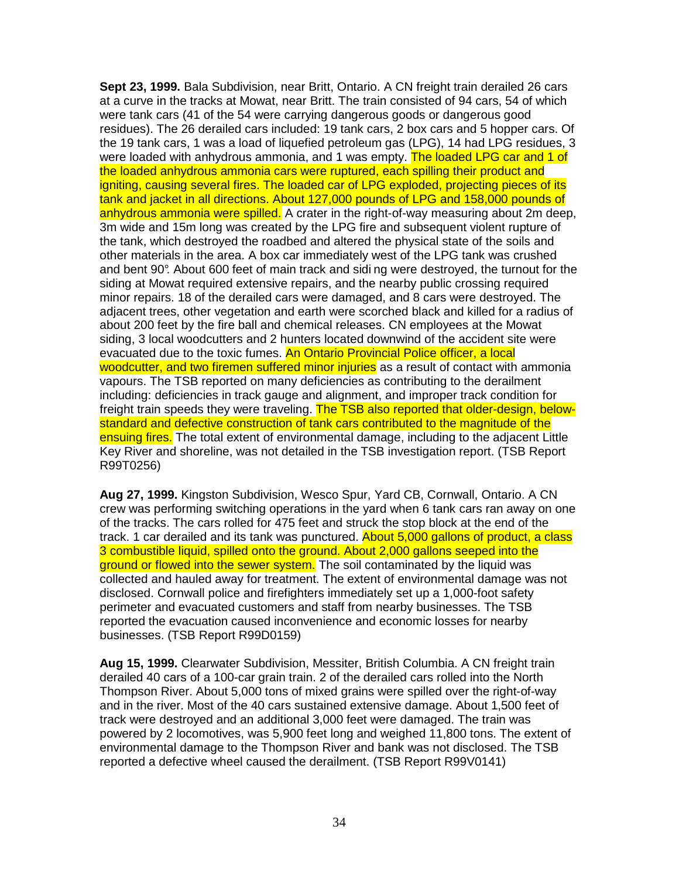**Sept 23, 1999.** Bala Subdivision, near Britt, Ontario. A CN freight train derailed 26 cars at a curve in the tracks at Mowat, near Britt. The train consisted of 94 cars, 54 of which were tank cars (41 of the 54 were carrying dangerous goods or dangerous good residues). The 26 derailed cars included: 19 tank cars, 2 box cars and 5 hopper cars. Of the 19 tank cars, 1 was a load of liquefied petroleum gas (LPG), 14 had LPG residues, 3 were loaded with anhydrous ammonia, and 1 was empty. The loaded LPG car and 1 of the loaded anhydrous ammonia cars were ruptured, each spilling their product and igniting, causing several fires. The loaded car of LPG exploded, projecting pieces of its tank and jacket in all directions. About 127,000 pounds of LPG and 158,000 pounds of anhydrous ammonia were spilled. A crater in the right-of-way measuring about 2m deep, 3m wide and 15m long was created by the LPG fire and subsequent violent rupture of the tank, which destroyed the roadbed and altered the physical state of the soils and other materials in the area. A box car immediately west of the LPG tank was crushed and bent 90°. About 600 feet of main track and sidi ng were destroyed, the turnout for the siding at Mowat required extensive repairs, and the nearby public crossing required minor repairs. 18 of the derailed cars were damaged, and 8 cars were destroyed. The adjacent trees, other vegetation and earth were scorched black and killed for a radius of about 200 feet by the fire ball and chemical releases. CN employees at the Mowat siding, 3 local woodcutters and 2 hunters located downwind of the accident site were evacuated due to the toxic fumes. An Ontario Provincial Police officer, a local woodcutter, and two firemen suffered minor injuries as a result of contact with ammonia vapours. The TSB reported on many deficiencies as contributing to the derailment including: deficiencies in track gauge and alignment, and improper track condition for freight train speeds they were traveling. The TSB also reported that older-design, belowstandard and defective construction of tank cars contributed to the magnitude of the ensuing fires. The total extent of environmental damage, including to the adjacent Little Key River and shoreline, was not detailed in the TSB investigation report. (TSB Report R99T0256)

**Aug 27, 1999.** Kingston Subdivision, Wesco Spur, Yard CB, Cornwall, Ontario. A CN crew was performing switching operations in the yard when 6 tank cars ran away on one of the tracks. The cars rolled for 475 feet and struck the stop block at the end of the track. 1 car derailed and its tank was punctured. About 5,000 gallons of product, a class 3 combustible liquid, spilled onto the ground. About 2,000 gallons seeped into the ground or flowed into the sewer system. The soil contaminated by the liquid was collected and hauled away for treatment. The extent of environmental damage was not disclosed. Cornwall police and firefighters immediately set up a 1,000-foot safety perimeter and evacuated customers and staff from nearby businesses. The TSB reported the evacuation caused inconvenience and economic losses for nearby businesses. (TSB Report R99D0159)

**Aug 15, 1999.** Clearwater Subdivision, Messiter, British Columbia. A CN freight train derailed 40 cars of a 100-car grain train. 2 of the derailed cars rolled into the North Thompson River. About 5,000 tons of mixed grains were spilled over the right-of-way and in the river. Most of the 40 cars sustained extensive damage. About 1,500 feet of track were destroyed and an additional 3,000 feet were damaged. The train was powered by 2 locomotives, was 5,900 feet long and weighed 11,800 tons. The extent of environmental damage to the Thompson River and bank was not disclosed. The TSB reported a defective wheel caused the derailment. (TSB Report R99V0141)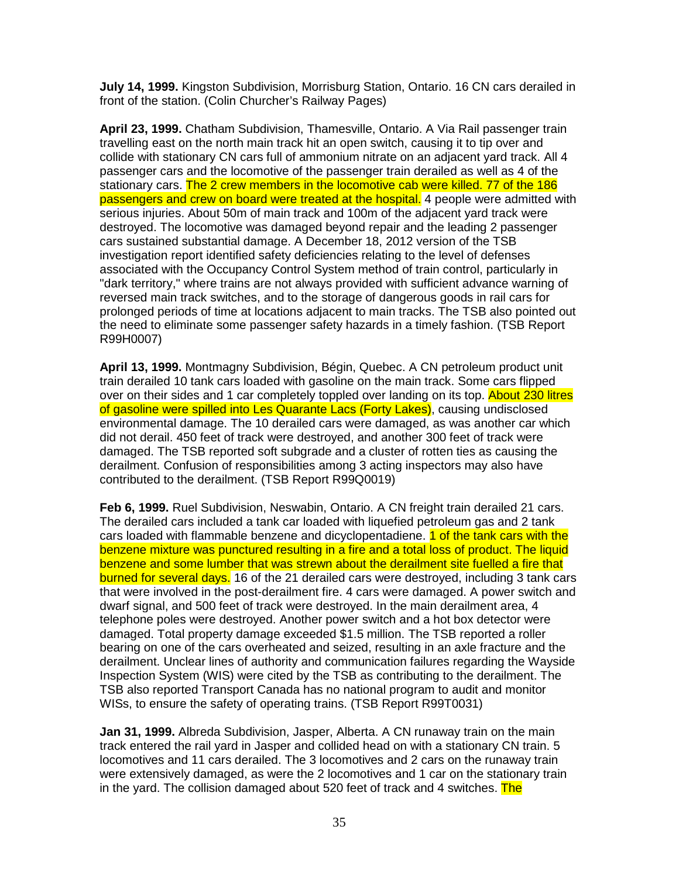**July 14, 1999.** Kingston Subdivision, Morrisburg Station, Ontario. 16 CN cars derailed in front of the station. (Colin Churcher's Railway Pages)

**April 23, 1999.** Chatham Subdivision, Thamesville, Ontario. A Via Rail passenger train travelling east on the north main track hit an open switch, causing it to tip over and collide with stationary CN cars full of ammonium nitrate on an adjacent yard track. All 4 passenger cars and the locomotive of the passenger train derailed as well as 4 of the stationary cars. The 2 crew members in the locomotive cab were killed. 77 of the 186 passengers and crew on board were treated at the hospital. 4 people were admitted with serious injuries. About 50m of main track and 100m of the adjacent yard track were destroyed. The locomotive was damaged beyond repair and the leading 2 passenger cars sustained substantial damage. A December 18, 2012 version of the TSB investigation report identified safety deficiencies relating to the level of defenses associated with the Occupancy Control System method of train control, particularly in "dark territory," where trains are not always provided with sufficient advance warning of reversed main track switches, and to the storage of dangerous goods in rail cars for prolonged periods of time at locations adjacent to main tracks. The TSB also pointed out the need to eliminate some passenger safety hazards in a timely fashion. (TSB Report R99H0007)

**April 13, 1999.** Montmagny Subdivision, Bégin, Quebec. A CN petroleum product unit train derailed 10 tank cars loaded with gasoline on the main track. Some cars flipped over on their sides and 1 car completely toppled over landing on its top. About 230 litres of gasoline were spilled into Les Quarante Lacs (Forty Lakes), causing undisclosed environmental damage. The 10 derailed cars were damaged, as was another car which did not derail. 450 feet of track were destroyed, and another 300 feet of track were damaged. The TSB reported soft subgrade and a cluster of rotten ties as causing the derailment. Confusion of responsibilities among 3 acting inspectors may also have contributed to the derailment. (TSB Report R99Q0019)

**Feb 6, 1999.** Ruel Subdivision, Neswabin, Ontario. A CN freight train derailed 21 cars. The derailed cars included a tank car loaded with liquefied petroleum gas and 2 tank cars loaded with flammable benzene and dicyclopentadiene. **1 of the tank cars with the** benzene mixture was punctured resulting in a fire and a total loss of product. The liquid benzene and some lumber that was strewn about the derailment site fuelled a fire that burned for several days. 16 of the 21 derailed cars were destroyed, including 3 tank cars that were involved in the post-derailment fire. 4 cars were damaged. A power switch and dwarf signal, and 500 feet of track were destroyed. In the main derailment area, 4 telephone poles were destroyed. Another power switch and a hot box detector were damaged. Total property damage exceeded \$1.5 million. The TSB reported a roller bearing on one of the cars overheated and seized, resulting in an axle fracture and the derailment. Unclear lines of authority and communication failures regarding the Wayside Inspection System (WIS) were cited by the TSB as contributing to the derailment. The TSB also reported Transport Canada has no national program to audit and monitor WISs, to ensure the safety of operating trains. (TSB Report R99T0031)

**Jan 31, 1999.** Albreda Subdivision, Jasper, Alberta. A CN runaway train on the main track entered the rail yard in Jasper and collided head on with a stationary CN train. 5 locomotives and 11 cars derailed. The 3 locomotives and 2 cars on the runaway train were extensively damaged, as were the 2 locomotives and 1 car on the stationary train in the yard. The collision damaged about 520 feet of track and 4 switches. The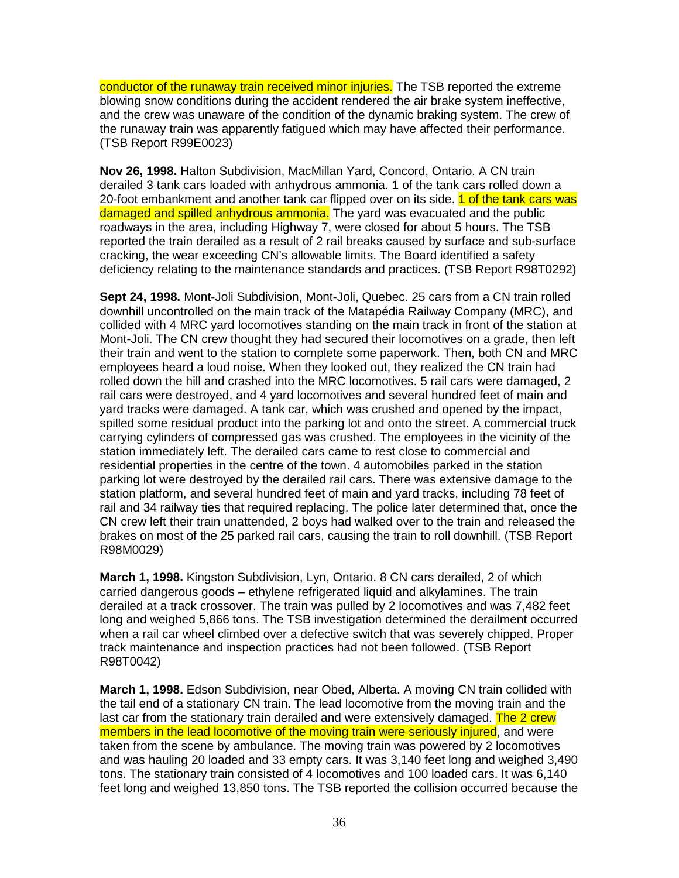conductor of the runaway train received minor injuries. The TSB reported the extreme blowing snow conditions during the accident rendered the air brake system ineffective, and the crew was unaware of the condition of the dynamic braking system. The crew of the runaway train was apparently fatigued which may have affected their performance. (TSB Report R99E0023)

**Nov 26, 1998.** Halton Subdivision, MacMillan Yard, Concord, Ontario. A CN train derailed 3 tank cars loaded with anhydrous ammonia. 1 of the tank cars rolled down a 20-foot embankment and another tank car flipped over on its side. 1 of the tank cars was damaged and spilled anhydrous ammonia. The yard was evacuated and the public roadways in the area, including Highway 7, were closed for about 5 hours. The TSB reported the train derailed as a result of 2 rail breaks caused by surface and sub-surface cracking, the wear exceeding CN's allowable limits. The Board identified a safety deficiency relating to the maintenance standards and practices. (TSB Report R98T0292)

**Sept 24, 1998.** Mont-Joli Subdivision, Mont-Joli, Quebec. 25 cars from a CN train rolled downhill uncontrolled on the main track of the Matapédia Railway Company (MRC), and collided with 4 MRC yard locomotives standing on the main track in front of the station at Mont-Joli. The CN crew thought they had secured their locomotives on a grade, then left their train and went to the station to complete some paperwork. Then, both CN and MRC employees heard a loud noise. When they looked out, they realized the CN train had rolled down the hill and crashed into the MRC locomotives. 5 rail cars were damaged, 2 rail cars were destroyed, and 4 yard locomotives and several hundred feet of main and yard tracks were damaged. A tank car, which was crushed and opened by the impact, spilled some residual product into the parking lot and onto the street. A commercial truck carrying cylinders of compressed gas was crushed. The employees in the vicinity of the station immediately left. The derailed cars came to rest close to commercial and residential properties in the centre of the town. 4 automobiles parked in the station parking lot were destroyed by the derailed rail cars. There was extensive damage to the station platform, and several hundred feet of main and yard tracks, including 78 feet of rail and 34 railway ties that required replacing. The police later determined that, once the CN crew left their train unattended, 2 boys had walked over to the train and released the brakes on most of the 25 parked rail cars, causing the train to roll downhill. (TSB Report R98M0029)

**March 1, 1998.** Kingston Subdivision, Lyn, Ontario. 8 CN cars derailed, 2 of which carried dangerous goods – ethylene refrigerated liquid and alkylamines. The train derailed at a track crossover. The train was pulled by 2 locomotives and was 7,482 feet long and weighed 5,866 tons. The TSB investigation determined the derailment occurred when a rail car wheel climbed over a defective switch that was severely chipped. Proper track maintenance and inspection practices had not been followed. (TSB Report R98T0042)

**March 1, 1998.** Edson Subdivision, near Obed, Alberta. A moving CN train collided with the tail end of a stationary CN train. The lead locomotive from the moving train and the last car from the stationary train derailed and were extensively damaged. The 2 crew members in the lead locomotive of the moving train were seriously injured, and were taken from the scene by ambulance. The moving train was powered by 2 locomotives and was hauling 20 loaded and 33 empty cars. It was 3,140 feet long and weighed 3,490 tons. The stationary train consisted of 4 locomotives and 100 loaded cars. It was 6,140 feet long and weighed 13,850 tons. The TSB reported the collision occurred because the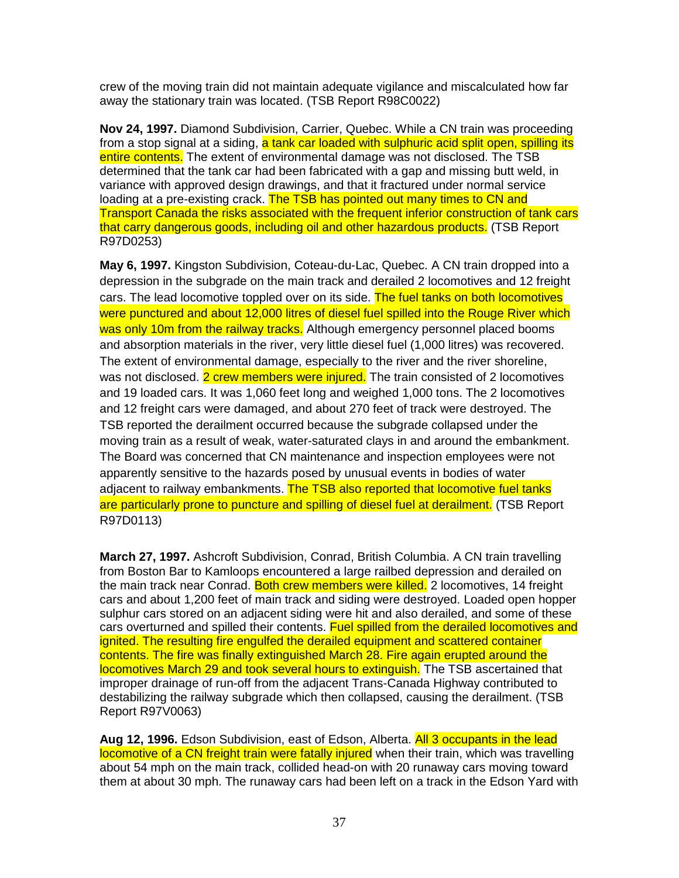crew of the moving train did not maintain adequate vigilance and miscalculated how far away the stationary train was located. (TSB Report R98C0022)

**Nov 24, 1997.** Diamond Subdivision, Carrier, Quebec. While a CN train was proceeding from a stop signal at a siding, a tank car loaded with sulphuric acid split open, spilling its entire contents. The extent of environmental damage was not disclosed. The TSB determined that the tank car had been fabricated with a gap and missing butt weld, in variance with approved design drawings, and that it fractured under normal service loading at a pre-existing crack. The TSB has pointed out many times to CN and Transport Canada the risks associated with the frequent inferior construction of tank cars that carry dangerous goods, including oil and other hazardous products. (TSB Report R97D0253)

**May 6, 1997.** Kingston Subdivision, Coteau-du-Lac, Quebec. A CN train dropped into a depression in the subgrade on the main track and derailed 2 locomotives and 12 freight cars. The lead locomotive toppled over on its side. The fuel tanks on both locomotives were punctured and about 12,000 litres of diesel fuel spilled into the Rouge River which was only 10m from the railway tracks. Although emergency personnel placed booms and absorption materials in the river, very little diesel fuel (1,000 litres) was recovered. The extent of environmental damage, especially to the river and the river shoreline, was not disclosed. 2 crew members were injured. The train consisted of 2 locomotives and 19 loaded cars. It was 1,060 feet long and weighed 1,000 tons. The 2 locomotives and 12 freight cars were damaged, and about 270 feet of track were destroyed. The TSB reported the derailment occurred because the subgrade collapsed under the moving train as a result of weak, water-saturated clays in and around the embankment. The Board was concerned that CN maintenance and inspection employees were not apparently sensitive to the hazards posed by unusual events in bodies of water adjacent to railway embankments. The TSB also reported that locomotive fuel tanks are particularly prone to puncture and spilling of diesel fuel at derailment. (TSB Report R97D0113)

**March 27, 1997.** Ashcroft Subdivision, Conrad, British Columbia. A CN train travelling from Boston Bar to Kamloops encountered a large railbed depression and derailed on the main track near Conrad. Both crew members were killed. 2 locomotives, 14 freight cars and about 1,200 feet of main track and siding were destroyed. Loaded open hopper sulphur cars stored on an adjacent siding were hit and also derailed, and some of these cars overturned and spilled their contents. Fuel spilled from the derailed locomotives and ignited. The resulting fire engulfed the derailed equipment and scattered container contents. The fire was finally extinguished March 28. Fire again erupted around the locomotives March 29 and took several hours to extinguish. The TSB ascertained that improper drainage of run-off from the adjacent Trans-Canada Highway contributed to destabilizing the railway subgrade which then collapsed, causing the derailment. (TSB Report R97V0063)

**Aug 12, 1996.** Edson Subdivision, east of Edson, Alberta. All 3 occupants in the lead locomotive of a CN freight train were fatally injured when their train, which was travelling about 54 mph on the main track, collided head-on with 20 runaway cars moving toward them at about 30 mph. The runaway cars had been left on a track in the Edson Yard with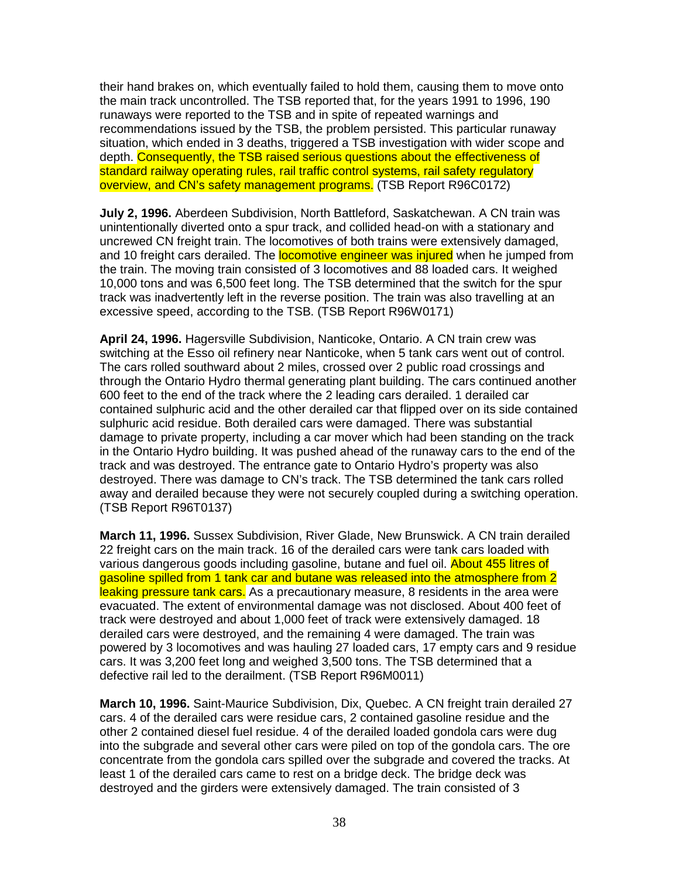their hand brakes on, which eventually failed to hold them, causing them to move onto the main track uncontrolled. The TSB reported that, for the years 1991 to 1996, 190 runaways were reported to the TSB and in spite of repeated warnings and recommendations issued by the TSB, the problem persisted. This particular runaway situation, which ended in 3 deaths, triggered a TSB investigation with wider scope and depth. Consequently, the TSB raised serious questions about the effectiveness of standard railway operating rules, rail traffic control systems, rail safety regulatory overview, and CN's safety management programs. (TSB Report R96C0172)

**July 2, 1996.** Aberdeen Subdivision, North Battleford, Saskatchewan. A CN train was unintentionally diverted onto a spur track, and collided head-on with a stationary and uncrewed CN freight train. The locomotives of both trains were extensively damaged, and 10 freight cars derailed. The **locomotive engineer was injured** when he jumped from the train. The moving train consisted of 3 locomotives and 88 loaded cars. It weighed 10,000 tons and was 6,500 feet long. The TSB determined that the switch for the spur track was inadvertently left in the reverse position. The train was also travelling at an excessive speed, according to the TSB. (TSB Report R96W0171)

**April 24, 1996.** Hagersville Subdivision, Nanticoke, Ontario. A CN train crew was switching at the Esso oil refinery near Nanticoke, when 5 tank cars went out of control. The cars rolled southward about 2 miles, crossed over 2 public road crossings and through the Ontario Hydro thermal generating plant building. The cars continued another 600 feet to the end of the track where the 2 leading cars derailed. 1 derailed car contained sulphuric acid and the other derailed car that flipped over on its side contained sulphuric acid residue. Both derailed cars were damaged. There was substantial damage to private property, including a car mover which had been standing on the track in the Ontario Hydro building. It was pushed ahead of the runaway cars to the end of the track and was destroyed. The entrance gate to Ontario Hydro's property was also destroyed. There was damage to CN's track. The TSB determined the tank cars rolled away and derailed because they were not securely coupled during a switching operation. (TSB Report R96T0137)

**March 11, 1996.** Sussex Subdivision, River Glade, New Brunswick. A CN train derailed 22 freight cars on the main track. 16 of the derailed cars were tank cars loaded with various dangerous goods including gasoline, butane and fuel oil. About 455 litres of gasoline spilled from 1 tank car and butane was released into the atmosphere from 2 leaking pressure tank cars. As a precautionary measure, 8 residents in the area were evacuated. The extent of environmental damage was not disclosed. About 400 feet of track were destroyed and about 1,000 feet of track were extensively damaged. 18 derailed cars were destroyed, and the remaining 4 were damaged. The train was powered by 3 locomotives and was hauling 27 loaded cars, 17 empty cars and 9 residue cars. It was 3,200 feet long and weighed 3,500 tons. The TSB determined that a defective rail led to the derailment. (TSB Report R96M0011)

**March 10, 1996.** Saint-Maurice Subdivision, Dix, Quebec. A CN freight train derailed 27 cars. 4 of the derailed cars were residue cars, 2 contained gasoline residue and the other 2 contained diesel fuel residue. 4 of the derailed loaded gondola cars were dug into the subgrade and several other cars were piled on top of the gondola cars. The ore concentrate from the gondola cars spilled over the subgrade and covered the tracks. At least 1 of the derailed cars came to rest on a bridge deck. The bridge deck was destroyed and the girders were extensively damaged. The train consisted of 3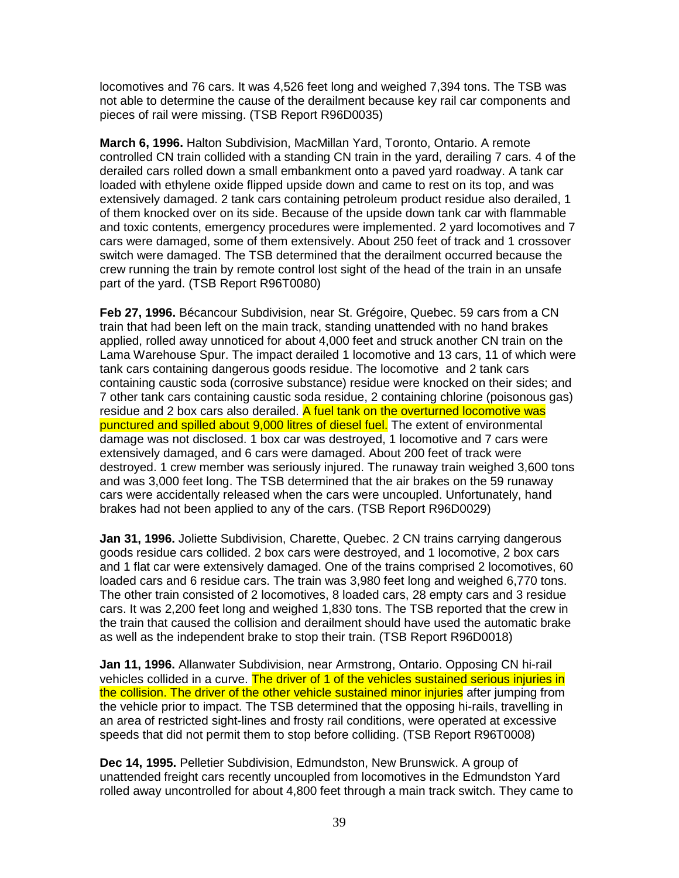locomotives and 76 cars. It was 4,526 feet long and weighed 7,394 tons. The TSB was not able to determine the cause of the derailment because key rail car components and pieces of rail were missing. (TSB Report R96D0035)

**March 6, 1996.** Halton Subdivision, MacMillan Yard, Toronto, Ontario. A remote controlled CN train collided with a standing CN train in the yard, derailing 7 cars. 4 of the derailed cars rolled down a small embankment onto a paved yard roadway. A tank car loaded with ethylene oxide flipped upside down and came to rest on its top, and was extensively damaged. 2 tank cars containing petroleum product residue also derailed, 1 of them knocked over on its side. Because of the upside down tank car with flammable and toxic contents, emergency procedures were implemented. 2 yard locomotives and 7 cars were damaged, some of them extensively. About 250 feet of track and 1 crossover switch were damaged. The TSB determined that the derailment occurred because the crew running the train by remote control lost sight of the head of the train in an unsafe part of the yard. (TSB Report R96T0080)

**Feb 27, 1996.** Bécancour Subdivision, near St. Grégoire, Quebec. 59 cars from a CN train that had been left on the main track, standing unattended with no hand brakes applied, rolled away unnoticed for about 4,000 feet and struck another CN train on the Lama Warehouse Spur. The impact derailed 1 locomotive and 13 cars, 11 of which were tank cars containing dangerous goods residue. The locomotive and 2 tank cars containing caustic soda (corrosive substance) residue were knocked on their sides; and 7 other tank cars containing caustic soda residue, 2 containing chlorine (poisonous gas) residue and 2 box cars also derailed. A fuel tank on the overturned locomotive was punctured and spilled about 9,000 litres of diesel fuel. The extent of environmental damage was not disclosed. 1 box car was destroyed, 1 locomotive and 7 cars were extensively damaged, and 6 cars were damaged. About 200 feet of track were destroyed. 1 crew member was seriously injured. The runaway train weighed 3,600 tons and was 3,000 feet long. The TSB determined that the air brakes on the 59 runaway cars were accidentally released when the cars were uncoupled. Unfortunately, hand brakes had not been applied to any of the cars. (TSB Report R96D0029)

**Jan 31, 1996.** Joliette Subdivision, Charette, Quebec. 2 CN trains carrying dangerous goods residue cars collided. 2 box cars were destroyed, and 1 locomotive, 2 box cars and 1 flat car were extensively damaged. One of the trains comprised 2 locomotives, 60 loaded cars and 6 residue cars. The train was 3,980 feet long and weighed 6,770 tons. The other train consisted of 2 locomotives, 8 loaded cars, 28 empty cars and 3 residue cars. It was 2,200 feet long and weighed 1,830 tons. The TSB reported that the crew in the train that caused the collision and derailment should have used the automatic brake as well as the independent brake to stop their train. (TSB Report R96D0018)

**Jan 11, 1996.** Allanwater Subdivision, near Armstrong, Ontario. Opposing CN hi-rail vehicles collided in a curve. The driver of 1 of the vehicles sustained serious injuries in the collision. The driver of the other vehicle sustained minor injuries after jumping from the vehicle prior to impact. The TSB determined that the opposing hi-rails, travelling in an area of restricted sight-lines and frosty rail conditions, were operated at excessive speeds that did not permit them to stop before colliding. (TSB Report R96T0008)

**Dec 14, 1995.** Pelletier Subdivision, Edmundston, New Brunswick. A group of unattended freight cars recently uncoupled from locomotives in the Edmundston Yard rolled away uncontrolled for about 4,800 feet through a main track switch. They came to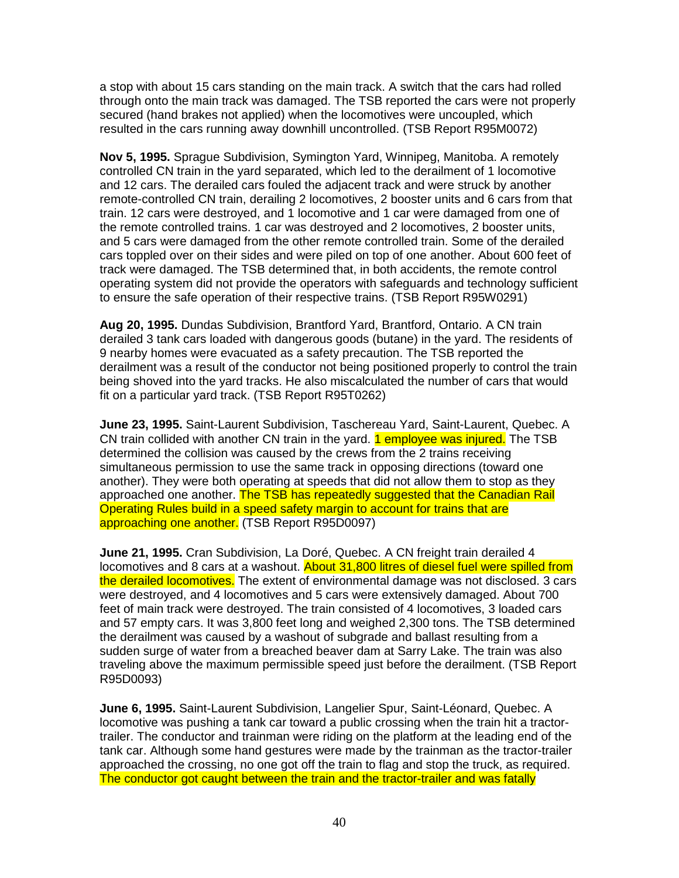a stop with about 15 cars standing on the main track. A switch that the cars had rolled through onto the main track was damaged. The TSB reported the cars were not properly secured (hand brakes not applied) when the locomotives were uncoupled, which resulted in the cars running away downhill uncontrolled. (TSB Report R95M0072)

**Nov 5, 1995.** Sprague Subdivision, Symington Yard, Winnipeg, Manitoba. A remotely controlled CN train in the yard separated, which led to the derailment of 1 locomotive and 12 cars. The derailed cars fouled the adjacent track and were struck by another remote-controlled CN train, derailing 2 locomotives, 2 booster units and 6 cars from that train. 12 cars were destroyed, and 1 locomotive and 1 car were damaged from one of the remote controlled trains. 1 car was destroyed and 2 locomotives, 2 booster units, and 5 cars were damaged from the other remote controlled train. Some of the derailed cars toppled over on their sides and were piled on top of one another. About 600 feet of track were damaged. The TSB determined that, in both accidents, the remote control operating system did not provide the operators with safeguards and technology sufficient to ensure the safe operation of their respective trains. (TSB Report R95W0291)

**Aug 20, 1995.** Dundas Subdivision, Brantford Yard, Brantford, Ontario. A CN train derailed 3 tank cars loaded with dangerous goods (butane) in the yard. The residents of 9 nearby homes were evacuated as a safety precaution. The TSB reported the derailment was a result of the conductor not being positioned properly to control the train being shoved into the yard tracks. He also miscalculated the number of cars that would fit on a particular yard track. (TSB Report R95T0262)

**June 23, 1995.** Saint-Laurent Subdivision, Taschereau Yard, Saint-Laurent, Quebec. A CN train collided with another CN train in the yard. **1 employee was injured.** The TSB determined the collision was caused by the crews from the 2 trains receiving simultaneous permission to use the same track in opposing directions (toward one another). They were both operating at speeds that did not allow them to stop as they approached one another. The TSB has repeatedly suggested that the Canadian Rail Operating Rules build in a speed safety margin to account for trains that are approaching one another. (TSB Report R95D0097)

**June 21, 1995.** Cran Subdivision, La Doré, Quebec. A CN freight train derailed 4 locomotives and 8 cars at a washout. About 31,800 litres of diesel fuel were spilled from the derailed locomotives. The extent of environmental damage was not disclosed. 3 cars were destroyed, and 4 locomotives and 5 cars were extensively damaged. About 700 feet of main track were destroyed. The train consisted of 4 locomotives, 3 loaded cars and 57 empty cars. It was 3,800 feet long and weighed 2,300 tons. The TSB determined the derailment was caused by a washout of subgrade and ballast resulting from a sudden surge of water from a breached beaver dam at Sarry Lake. The train was also traveling above the maximum permissible speed just before the derailment. (TSB Report R95D0093)

**June 6, 1995.** Saint-Laurent Subdivision, Langelier Spur, Saint-Léonard, Quebec. A locomotive was pushing a tank car toward a public crossing when the train hit a tractortrailer. The conductor and trainman were riding on the platform at the leading end of the tank car. Although some hand gestures were made by the trainman as the tractor-trailer approached the crossing, no one got off the train to flag and stop the truck, as required. The conductor got caught between the train and the tractor-trailer and was fatally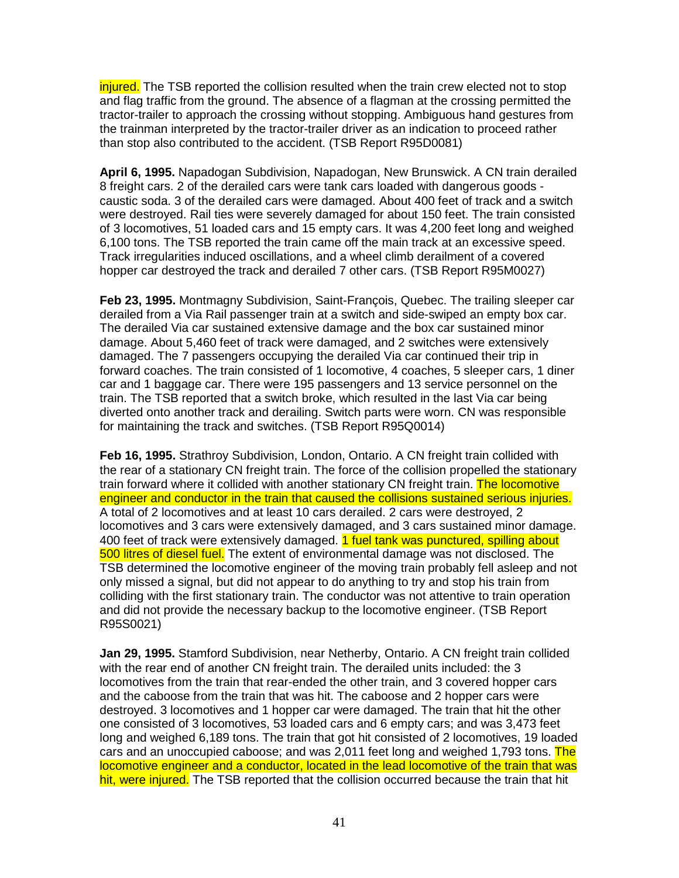injured. The TSB reported the collision resulted when the train crew elected not to stop and flag traffic from the ground. The absence of a flagman at the crossing permitted the tractor-trailer to approach the crossing without stopping. Ambiguous hand gestures from the trainman interpreted by the tractor-trailer driver as an indication to proceed rather than stop also contributed to the accident. (TSB Report R95D0081)

**April 6, 1995.** Napadogan Subdivision, Napadogan, New Brunswick. A CN train derailed 8 freight cars. 2 of the derailed cars were tank cars loaded with dangerous goods caustic soda. 3 of the derailed cars were damaged. About 400 feet of track and a switch were destroyed. Rail ties were severely damaged for about 150 feet. The train consisted of 3 locomotives, 51 loaded cars and 15 empty cars. It was 4,200 feet long and weighed 6,100 tons. The TSB reported the train came off the main track at an excessive speed. Track irregularities induced oscillations, and a wheel climb derailment of a covered hopper car destroyed the track and derailed 7 other cars. (TSB Report R95M0027)

**Feb 23, 1995.** Montmagny Subdivision, Saint-François, Quebec. The trailing sleeper car derailed from a Via Rail passenger train at a switch and side-swiped an empty box car. The derailed Via car sustained extensive damage and the box car sustained minor damage. About 5,460 feet of track were damaged, and 2 switches were extensively damaged. The 7 passengers occupying the derailed Via car continued their trip in forward coaches. The train consisted of 1 locomotive, 4 coaches, 5 sleeper cars, 1 diner car and 1 baggage car. There were 195 passengers and 13 service personnel on the train. The TSB reported that a switch broke, which resulted in the last Via car being diverted onto another track and derailing. Switch parts were worn. CN was responsible for maintaining the track and switches. (TSB Report R95Q0014)

**Feb 16, 1995.** Strathroy Subdivision, London, Ontario. A CN freight train collided with the rear of a stationary CN freight train. The force of the collision propelled the stationary train forward where it collided with another stationary CN freight train. The locomotive engineer and conductor in the train that caused the collisions sustained serious injuries. A total of 2 locomotives and at least 10 cars derailed. 2 cars were destroyed, 2 locomotives and 3 cars were extensively damaged, and 3 cars sustained minor damage. 400 feet of track were extensively damaged. 1 fuel tank was punctured, spilling about 500 litres of diesel fuel. The extent of environmental damage was not disclosed. The TSB determined the locomotive engineer of the moving train probably fell asleep and not only missed a signal, but did not appear to do anything to try and stop his train from colliding with the first stationary train. The conductor was not attentive to train operation and did not provide the necessary backup to the locomotive engineer. (TSB Report R95S0021)

**Jan 29, 1995.** Stamford Subdivision, near Netherby, Ontario. A CN freight train collided with the rear end of another CN freight train. The derailed units included: the 3 locomotives from the train that rear-ended the other train, and 3 covered hopper cars and the caboose from the train that was hit. The caboose and 2 hopper cars were destroyed. 3 locomotives and 1 hopper car were damaged. The train that hit the other one consisted of 3 locomotives, 53 loaded cars and 6 empty cars; and was 3,473 feet long and weighed 6,189 tons. The train that got hit consisted of 2 locomotives, 19 loaded cars and an unoccupied caboose; and was 2,011 feet long and weighed 1,793 tons. The locomotive engineer and a conductor, located in the lead locomotive of the train that was hit, were injured. The TSB reported that the collision occurred because the train that hit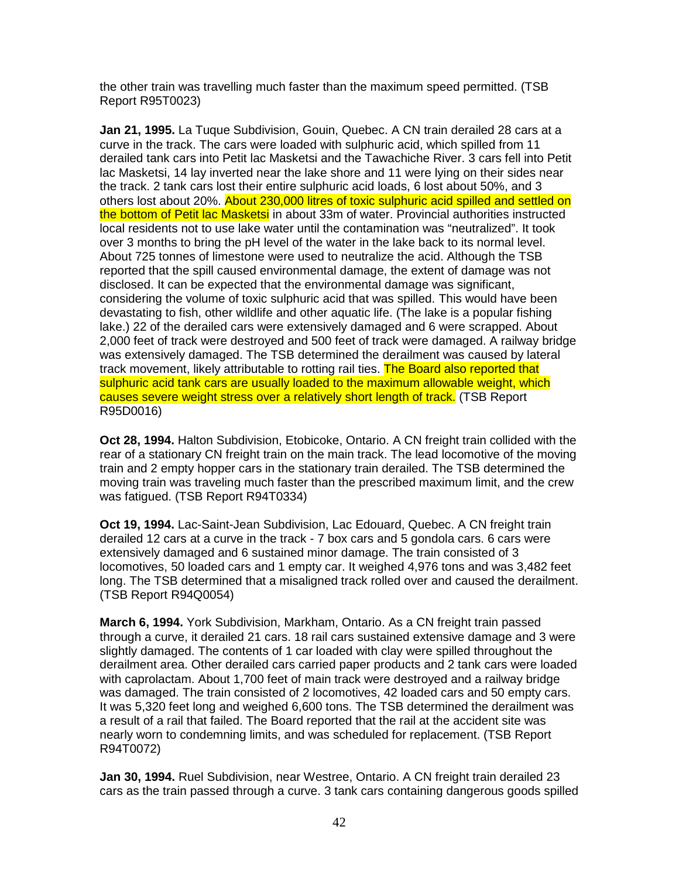the other train was travelling much faster than the maximum speed permitted. (TSB Report R95T0023)

**Jan 21, 1995.** La Tuque Subdivision, Gouin, Quebec. A CN train derailed 28 cars at a curve in the track. The cars were loaded with sulphuric acid, which spilled from 11 derailed tank cars into Petit lac Masketsi and the Tawachiche River. 3 cars fell into Petit lac Masketsi, 14 lay inverted near the lake shore and 11 were lying on their sides near the track. 2 tank cars lost their entire sulphuric acid loads, 6 lost about 50%, and 3 others lost about 20%. About 230,000 litres of toxic sulphuric acid spilled and settled on the bottom of Petit lac Masketsi in about 33m of water. Provincial authorities instructed local residents not to use lake water until the contamination was "neutralized". It took over 3 months to bring the pH level of the water in the lake back to its normal level. About 725 tonnes of limestone were used to neutralize the acid. Although the TSB reported that the spill caused environmental damage, the extent of damage was not disclosed. It can be expected that the environmental damage was significant, considering the volume of toxic sulphuric acid that was spilled. This would have been devastating to fish, other wildlife and other aquatic life. (The lake is a popular fishing lake.) 22 of the derailed cars were extensively damaged and 6 were scrapped. About 2,000 feet of track were destroyed and 500 feet of track were damaged. A railway bridge was extensively damaged. The TSB determined the derailment was caused by lateral track movement, likely attributable to rotting rail ties. The Board also reported that sulphuric acid tank cars are usually loaded to the maximum allowable weight, which causes severe weight stress over a relatively short length of track. (TSB Report R95D0016)

**Oct 28, 1994.** Halton Subdivision, Etobicoke, Ontario. A CN freight train collided with the rear of a stationary CN freight train on the main track. The lead locomotive of the moving train and 2 empty hopper cars in the stationary train derailed. The TSB determined the moving train was traveling much faster than the prescribed maximum limit, and the crew was fatigued. (TSB Report R94T0334)

**Oct 19, 1994.** Lac-Saint-Jean Subdivision, Lac Edouard, Quebec. A CN freight train derailed 12 cars at a curve in the track - 7 box cars and 5 gondola cars. 6 cars were extensively damaged and 6 sustained minor damage. The train consisted of 3 locomotives, 50 loaded cars and 1 empty car. It weighed 4,976 tons and was 3,482 feet long. The TSB determined that a misaligned track rolled over and caused the derailment. (TSB Report R94Q0054)

**March 6, 1994.** York Subdivision, Markham, Ontario. As a CN freight train passed through a curve, it derailed 21 cars. 18 rail cars sustained extensive damage and 3 were slightly damaged. The contents of 1 car loaded with clay were spilled throughout the derailment area. Other derailed cars carried paper products and 2 tank cars were loaded with caprolactam. About 1,700 feet of main track were destroyed and a railway bridge was damaged. The train consisted of 2 locomotives, 42 loaded cars and 50 empty cars. It was 5,320 feet long and weighed 6,600 tons. The TSB determined the derailment was a result of a rail that failed. The Board reported that the rail at the accident site was nearly worn to condemning limits, and was scheduled for replacement. (TSB Report R94T0072)

**Jan 30, 1994.** Ruel Subdivision, near Westree, Ontario. A CN freight train derailed 23 cars as the train passed through a curve. 3 tank cars containing dangerous goods spilled